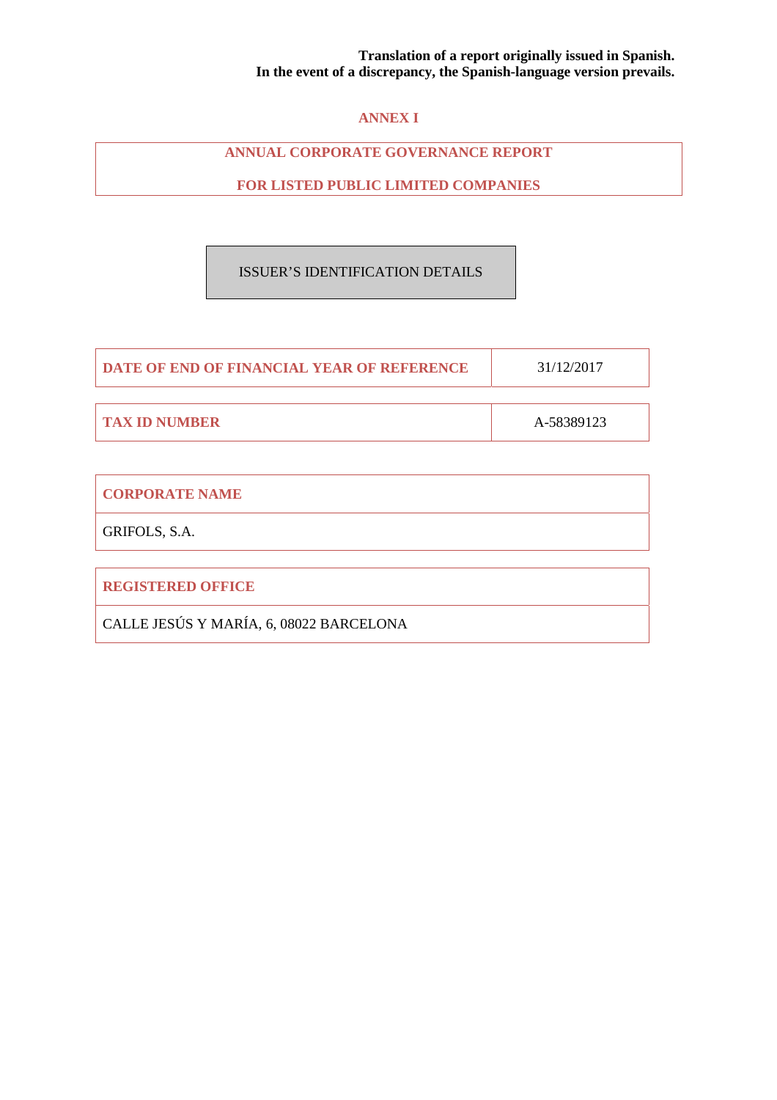# **ANNEX I**

# **ANNUAL CORPORATE GOVERNANCE REPORT**

**FOR LISTED PUBLIC LIMITED COMPANIES** 

# ISSUER'S IDENTIFICATION DETAILS

| <b>I DATE OF END OF FINANCIAL YEAR OF REFERENCE</b> | 31/12/2017 |
|-----------------------------------------------------|------------|
|                                                     |            |
| <b>TAX ID NUMBER</b>                                | A-58389123 |

| GRIFOLS, S.A.            |
|--------------------------|
| <b>REGISTERED OFFICE</b> |

CALLE JESÚS Y MARÍA, 6, 08022 BARCELONA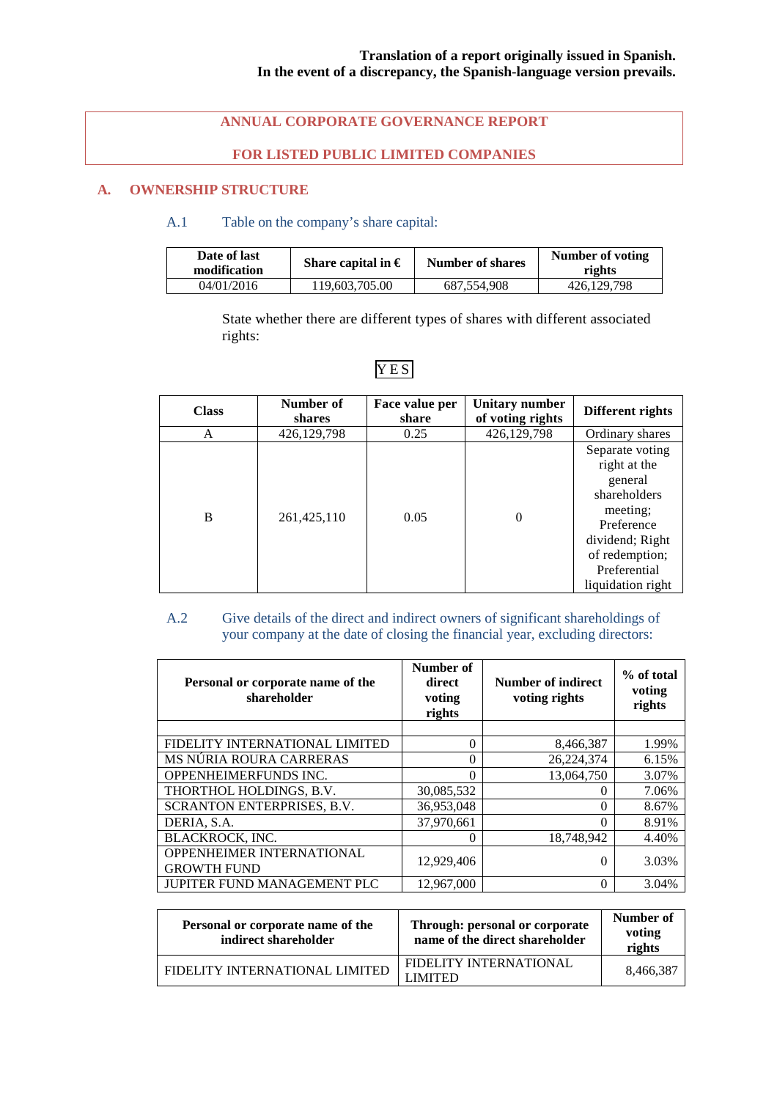# **ANNUAL CORPORATE GOVERNANCE REPORT**

# **FOR LISTED PUBLIC LIMITED COMPANIES**

# **A. OWNERSHIP STRUCTURE**

## A.1 Table on the company's share capital:

| Date of last<br>modification | Share capital in $\epsilon$ | Number of shares | Number of voting<br>rights |
|------------------------------|-----------------------------|------------------|----------------------------|
| 04/01/2016                   | 119.603.705.00              | 687.554.908      | 426,129,798                |

State whether there are different types of shares with different associated rights:

| <b>Class</b> | Number of<br>shares | Face value per<br>share | Unitary number<br>of voting rights | Different rights                                                                                                                                               |
|--------------|---------------------|-------------------------|------------------------------------|----------------------------------------------------------------------------------------------------------------------------------------------------------------|
| A            | 426,129,798         | 0.25                    | 426,129,798                        | Ordinary shares                                                                                                                                                |
| B            | 261,425,110         | 0.05                    | $\theta$                           | Separate voting<br>right at the<br>general<br>shareholders<br>meeting;<br>Preference<br>dividend; Right<br>of redemption;<br>Preferential<br>liquidation right |

# YES

# A.2 Give details of the direct and indirect owners of significant shareholdings of your company at the date of closing the financial year, excluding directors:

| Personal or corporate name of the<br>shareholder       | Number of<br>direct<br>voting<br>rights | Number of indirect<br>voting rights | % of total<br>voting<br>rights |
|--------------------------------------------------------|-----------------------------------------|-------------------------------------|--------------------------------|
|                                                        |                                         |                                     |                                |
| FIDELITY INTERNATIONAL LIMITED                         | 0                                       | 8,466,387                           | 1.99%                          |
| MS NÚRIA ROURA CARRERAS                                | 0                                       | 26,224,374                          | 6.15%                          |
| OPPENHEIMERFUNDS INC.                                  | $\Omega$                                | 13,064,750                          | 3.07%                          |
| THORTHOL HOLDINGS, B.V.                                | 30,085,532                              |                                     | 7.06%                          |
| SCRANTON ENTERPRISES, B.V.                             | 36,953,048                              | 0                                   | 8.67%                          |
| DERIA, S.A.                                            | 37.970.661                              | $\left( \right)$                    | 8.91%                          |
| BLACKROCK, INC.                                        | 0                                       | 18,748,942                          | 4.40%                          |
| <b>OPPENHEIMER INTERNATIONAL</b><br><b>GROWTH FUND</b> | 12,929,406                              | 0                                   | 3.03%                          |
| JUPITER FUND MANAGEMENT PLC                            | 12,967,000                              | 0                                   | 3.04%                          |

| Personal or corporate name of the<br>indirect shareholder | Through: personal or corporate<br>name of the direct shareholder | Number of<br>voting<br>rights |
|-----------------------------------------------------------|------------------------------------------------------------------|-------------------------------|
| FIDELITY INTERNATIONAL LIMITED                            | FIDELITY INTERNATIONAL<br>I IMITED.                              | 8.466.387                     |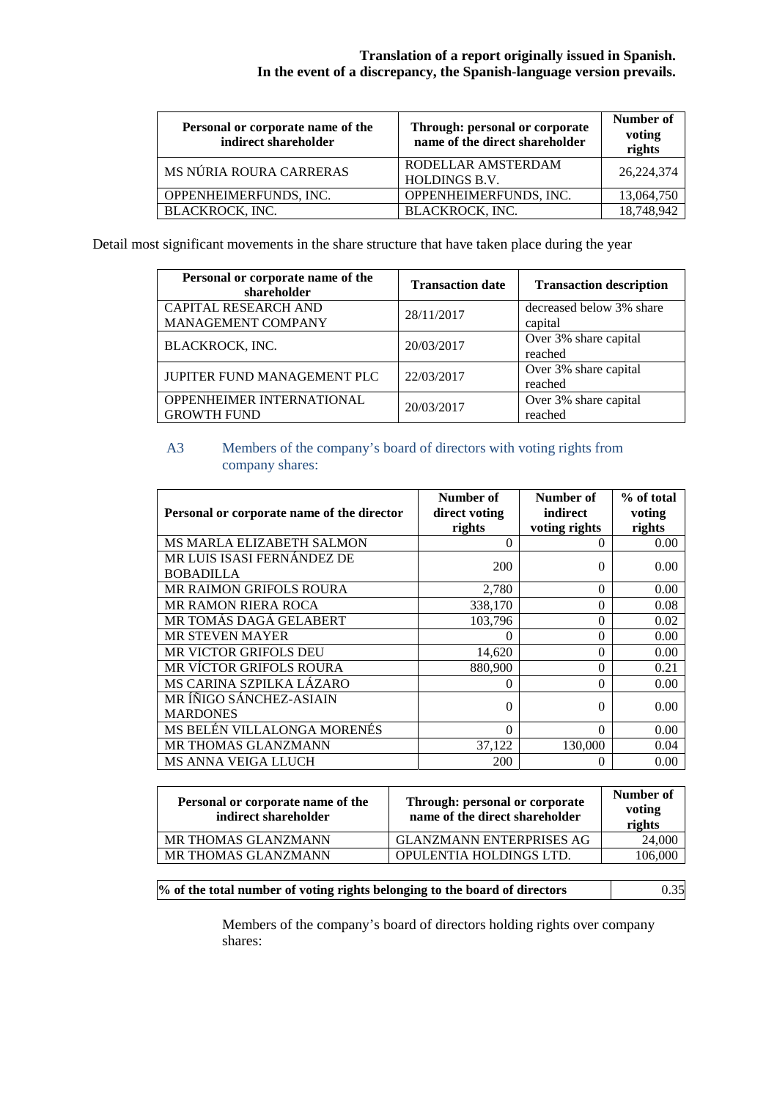| Personal or corporate name of the<br>indirect shareholder | Through: personal or corporate<br>name of the direct shareholder | Number of<br>voting<br>rights |
|-----------------------------------------------------------|------------------------------------------------------------------|-------------------------------|
| MS NÚRIA ROURA CARRERAS                                   | RODELLAR AMSTERDAM<br><b>HOLDINGS B.V.</b>                       | 26,224,374                    |
| OPPENHEIMERFUNDS, INC.                                    | OPPENHEIMERFUNDS, INC.                                           | 13,064,750                    |
| <b>BLACKROCK, INC.</b>                                    | BLACKROCK, INC.                                                  | 18,748,942                    |

Detail most significant movements in the share structure that have taken place during the year

| Personal or corporate name of the<br>shareholder | <b>Transaction date</b> | <b>Transaction description</b>      |
|--------------------------------------------------|-------------------------|-------------------------------------|
| CAPITAL RESEARCH AND<br>MANAGEMENT COMPANY       | 28/11/2017              | decreased below 3% share<br>capital |
| BLACKROCK, INC.                                  | 20/03/2017              | Over 3% share capital<br>reached    |
| JUPITER FUND MANAGEMENT PLC                      | 22/03/2017              | Over 3% share capital<br>reached    |
| OPPENHEIMER INTERNATIONAL<br><b>GROWTH FUND</b>  | 20/03/2017              | Over 3% share capital<br>reached    |

# A3 Members of the company's board of directors with voting rights from company shares:

| Personal or corporate name of the director     | Number of<br>direct voting<br>rights | Number of<br>indirect<br>voting rights | % of total<br>voting<br>rights |
|------------------------------------------------|--------------------------------------|----------------------------------------|--------------------------------|
| <b>MS MARLA ELIZABETH SALMON</b>               | 0                                    | $\theta$                               | 0.00                           |
| MR LUIS ISASI FERNÁNDEZ DE<br><b>BOBADILLA</b> | 200                                  | $\Omega$                               | 0.00                           |
| <b>MR RAIMON GRIFOLS ROURA</b>                 | 2,780                                | $\Omega$                               | 0.00                           |
| <b>MR RAMON RIERA ROCA</b>                     | 338,170                              | 0                                      | 0.08                           |
| MR TOMÁS DAGÁ GELABERT                         | 103,796                              | 0                                      | 0.02                           |
| <b>MR STEVEN MAYER</b>                         | $\Omega$                             | 0                                      | 0.00                           |
| MR VICTOR GRIFOLS DEU                          | 14,620                               | 0                                      | 0.00                           |
| MR VÍCTOR GRIFOLS ROURA                        | 880.900                              | 0                                      | 0.21                           |
| MS CARINA SZPILKA LÁZARO                       | 0                                    | 0                                      | 0.00                           |
| MR ÍÑIGO SÁNCHEZ-ASIAIN<br><b>MARDONES</b>     | 0                                    | 0                                      | 0.00                           |
| MS BELÉN VILLALONGA MORENÉS                    | 0                                    | 0                                      | 0.00                           |
| MR THOMAS GLANZMANN                            | 37,122                               | 130,000                                | 0.04                           |
| MS ANNA VEIGA LLUCH                            | 200                                  | $\Omega$                               | 0.00                           |

| Personal or corporate name of the<br>indirect shareholder | Through: personal or corporate<br>name of the direct shareholder | Number of<br>voting<br>rights |
|-----------------------------------------------------------|------------------------------------------------------------------|-------------------------------|
| MR THOMAS GLANZMANN                                       | <b>GLANZMANN ENTERPRISES AG</b>                                  | 24,000                        |
| MR THOMAS GLANZMANN                                       | OPULENTIA HOLDINGS LTD.                                          | 106,000                       |

| % of the total number of voting rights belonging to the board of directors | 0.35 |
|----------------------------------------------------------------------------|------|
|----------------------------------------------------------------------------|------|

Members of the company's board of directors holding rights over company shares: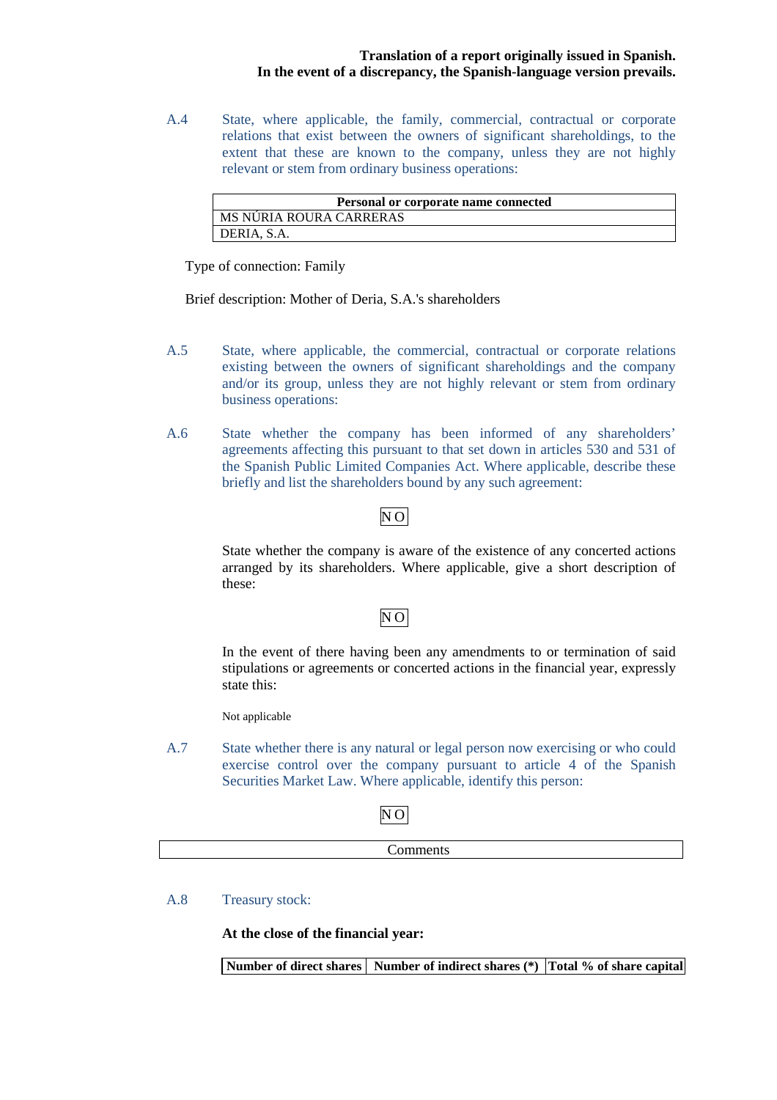A.4 State, where applicable, the family, commercial, contractual or corporate relations that exist between the owners of significant shareholdings, to the extent that these are known to the company, unless they are not highly relevant or stem from ordinary business operations:

| Personal or corporate name connected |
|--------------------------------------|
| MS NÚRIA ROURA CARRERAS              |
| DERIA, S.A.                          |

Type of connection: Family

Brief description: Mother of Deria, S.A.'s shareholders

- A.5 State, where applicable, the commercial, contractual or corporate relations existing between the owners of significant shareholdings and the company and/or its group, unless they are not highly relevant or stem from ordinary business operations:
- A.6 State whether the company has been informed of any shareholders' agreements affecting this pursuant to that set down in articles 530 and 531 of the Spanish Public Limited Companies Act. Where applicable, describe these briefly and list the shareholders bound by any such agreement:

# $\overline{NO}$

State whether the company is aware of the existence of any concerted actions arranged by its shareholders. Where applicable, give a short description of these:

# N<sub>O</sub>

In the event of there having been any amendments to or termination of said stipulations or agreements or concerted actions in the financial year, expressly state this:

Not applicable

A.7 State whether there is any natural or legal person now exercising or who could exercise control over the company pursuant to article 4 of the Spanish Securities Market Law. Where applicable, identify this person:

# NO

Comments

A.8 Treasury stock:

**At the close of the financial year:** 

**Number of direct shares Number of indirect shares (\*) Total % of share capital**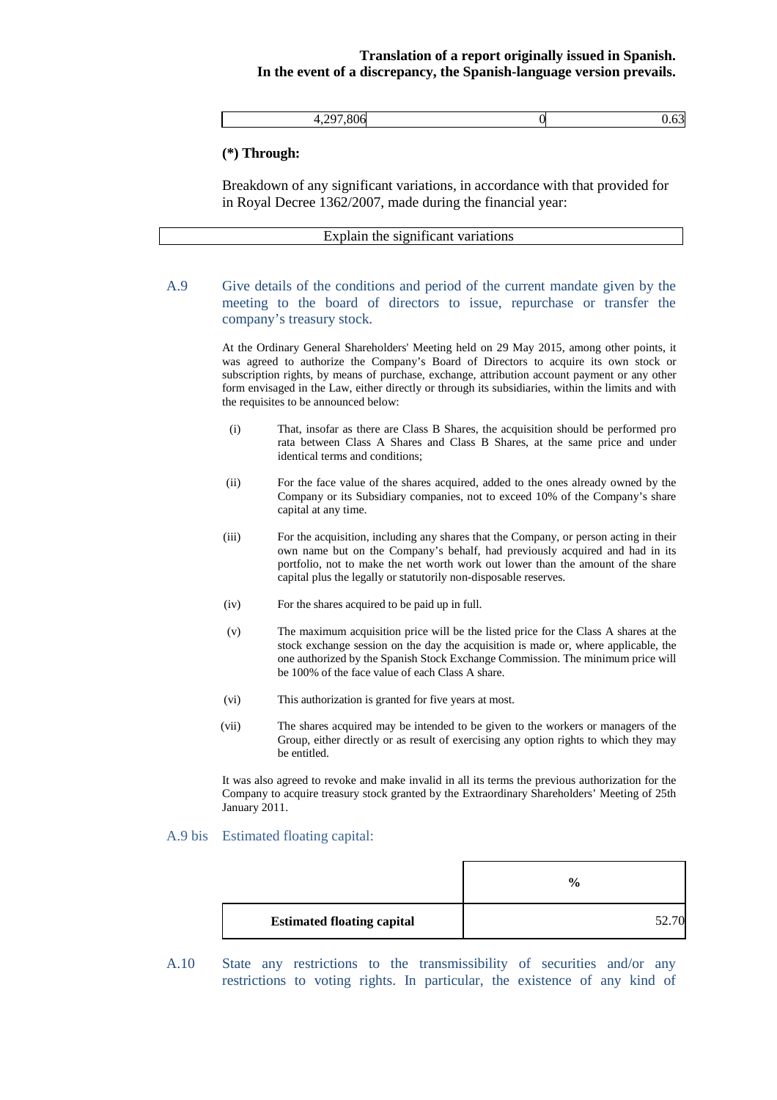| $ -$ |  |
|------|--|
|      |  |

#### **(\*) Through:**

Breakdown of any significant variations, in accordance with that provided for in Royal Decree 1362/2007, made during the financial year:

| Explain the significant variations |  |
|------------------------------------|--|
|                                    |  |

A.9 Give details of the conditions and period of the current mandate given by the meeting to the board of directors to issue, repurchase or transfer the company's treasury stock.

> At the Ordinary General Shareholders' Meeting held on 29 May 2015, among other points, it was agreed to authorize the Company's Board of Directors to acquire its own stock or subscription rights, by means of purchase, exchange, attribution account payment or any other form envisaged in the Law, either directly or through its subsidiaries, within the limits and with the requisites to be announced below:

- (i) That, insofar as there are Class B Shares, the acquisition should be performed pro rata between Class A Shares and Class B Shares, at the same price and under identical terms and conditions;
- (ii) For the face value of the shares acquired, added to the ones already owned by the Company or its Subsidiary companies, not to exceed 10% of the Company's share capital at any time.
- (iii) For the acquisition, including any shares that the Company, or person acting in their own name but on the Company's behalf, had previously acquired and had in its portfolio, not to make the net worth work out lower than the amount of the share capital plus the legally or statutorily non-disposable reserves.
- (iv) For the shares acquired to be paid up in full.
- (v) The maximum acquisition price will be the listed price for the Class A shares at the stock exchange session on the day the acquisition is made or, where applicable, the one authorized by the Spanish Stock Exchange Commission. The minimum price will be 100% of the face value of each Class A share.
- (vi) This authorization is granted for five years at most.
- (vii) The shares acquired may be intended to be given to the workers or managers of the Group, either directly or as result of exercising any option rights to which they may be entitled.

It was also agreed to revoke and make invalid in all its terms the previous authorization for the Company to acquire treasury stock granted by the Extraordinary Shareholders' Meeting of 25th January 2011.

#### A.9 bis Estimated floating capital:

|                                   | $\frac{0}{0}$ |
|-----------------------------------|---------------|
| <b>Estimated floating capital</b> | 52            |

A.10 State any restrictions to the transmissibility of securities and/or any restrictions to voting rights. In particular, the existence of any kind of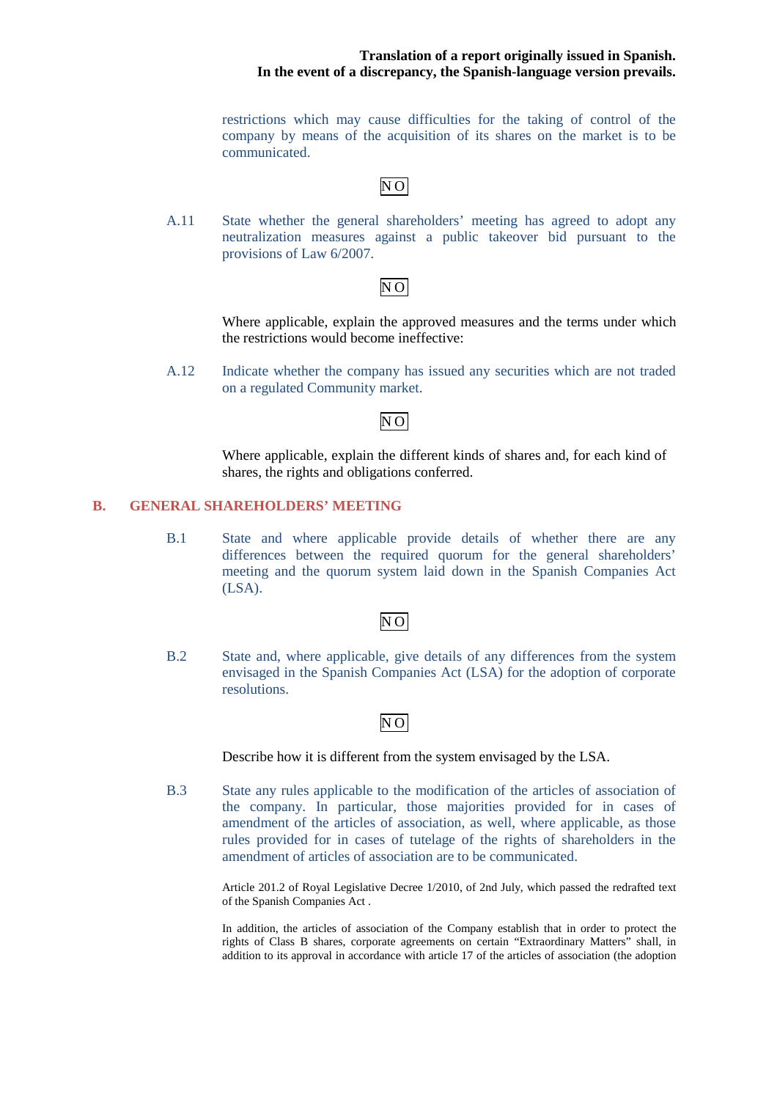restrictions which may cause difficulties for the taking of control of the company by means of the acquisition of its shares on the market is to be communicated.

# NO

A.11 State whether the general shareholders' meeting has agreed to adopt any neutralization measures against a public takeover bid pursuant to the provisions of Law 6/2007.

# NO

Where applicable, explain the approved measures and the terms under which the restrictions would become ineffective:

A.12 Indicate whether the company has issued any securities which are not traded on a regulated Community market.

# $\overline{N}$ O

Where applicable, explain the different kinds of shares and, for each kind of shares, the rights and obligations conferred.

#### **B. GENERAL SHAREHOLDERS' MEETING**

B.1 State and where applicable provide details of whether there are any differences between the required quorum for the general shareholders' meeting and the quorum system laid down in the Spanish Companies Act (LSA).

## NO

B.2 State and, where applicable, give details of any differences from the system envisaged in the Spanish Companies Act (LSA) for the adoption of corporate resolutions.

## $N<sub>O</sub>$

Describe how it is different from the system envisaged by the LSA.

B.3 State any rules applicable to the modification of the articles of association of the company. In particular, those majorities provided for in cases of amendment of the articles of association, as well, where applicable, as those rules provided for in cases of tutelage of the rights of shareholders in the amendment of articles of association are to be communicated.

> Article 201.2 of Royal Legislative Decree 1/2010, of 2nd July, which passed the redrafted text of the Spanish Companies Act .

> In addition, the articles of association of the Company establish that in order to protect the rights of Class B shares, corporate agreements on certain "Extraordinary Matters" shall, in addition to its approval in accordance with article 17 of the articles of association (the adoption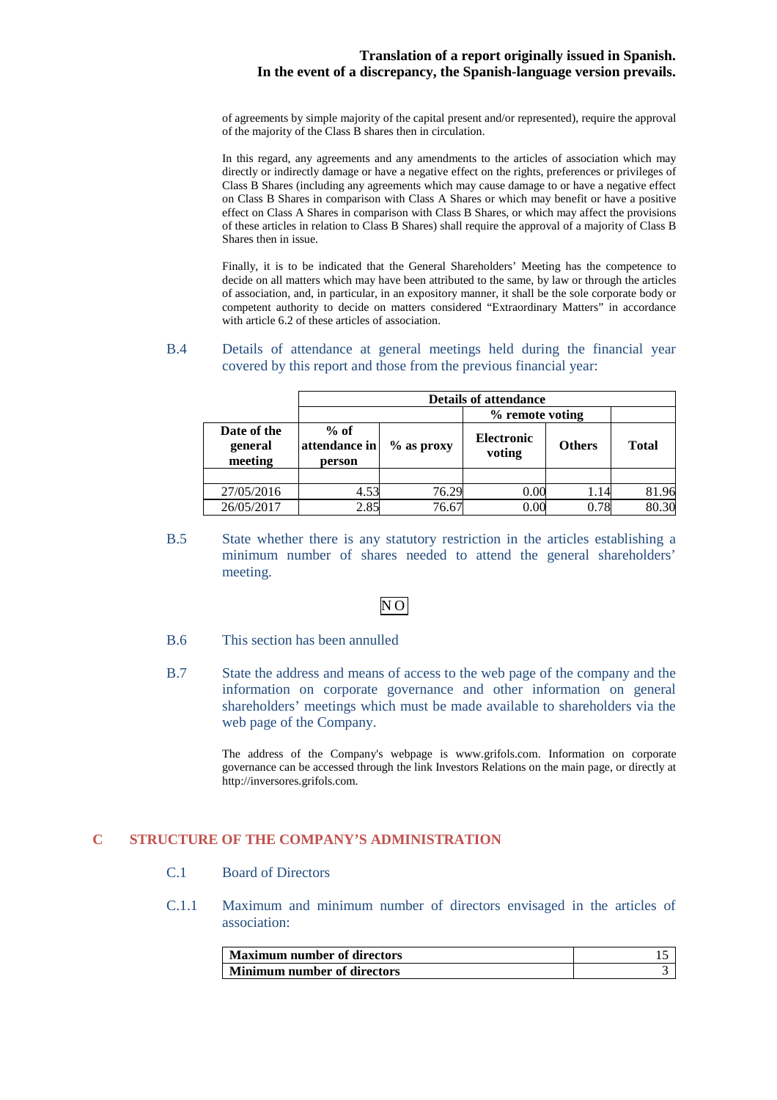of agreements by simple majority of the capital present and/or represented), require the approval of the majority of the Class B shares then in circulation.

In this regard, any agreements and any amendments to the articles of association which may directly or indirectly damage or have a negative effect on the rights, preferences or privileges of Class B Shares (including any agreements which may cause damage to or have a negative effect on Class B Shares in comparison with Class A Shares or which may benefit or have a positive effect on Class A Shares in comparison with Class B Shares, or which may affect the provisions of these articles in relation to Class B Shares) shall require the approval of a majority of Class B Shares then in issue.

Finally, it is to be indicated that the General Shareholders' Meeting has the competence to decide on all matters which may have been attributed to the same, by law or through the articles of association, and, in particular, in an expository manner, it shall be the sole corporate body or competent authority to decide on matters considered "Extraordinary Matters" in accordance with article 6.2 of these articles of association.

#### B.4 Details of attendance at general meetings held during the financial year covered by this report and those from the previous financial year:

|                                   | <b>Details of attendance</b>      |                 |                             |               |              |
|-----------------------------------|-----------------------------------|-----------------|-----------------------------|---------------|--------------|
|                                   |                                   | % remote voting |                             |               |              |
| Date of the<br>general<br>meeting | $%$ of<br>attendance in<br>person | $%$ as proxy    | <b>Electronic</b><br>voting | <b>Others</b> | <b>Total</b> |
|                                   |                                   |                 |                             |               |              |
| 27/05/2016                        | 4.53                              | 76.29           | 0.00                        | 1.14          | 81.96        |
| 26/05/2017                        | 2.85                              | 76.67           | 0.00                        | 0.78          | 80.30        |

B.5 State whether there is any statutory restriction in the articles establishing a minimum number of shares needed to attend the general shareholders' meeting.

# NO

- B.6 This section has been annulled
- B.7 State the address and means of access to the web page of the company and the information on corporate governance and other information on general shareholders' meetings which must be made available to shareholders via the web page of the Company.

The address of the Company's webpage is www.grifols.com. Information on corporate governance can be accessed through the link Investors Relations on the main page, or directly at http://inversores.grifols.com.

# **C STRUCTURE OF THE COMPANY'S ADMINISTRATION**

- C.1 Board of Directors
- C.1.1 Maximum and minimum number of directors envisaged in the articles of association:

| <b>Maximum number of directors</b> |  |
|------------------------------------|--|
| Minimum number of directors        |  |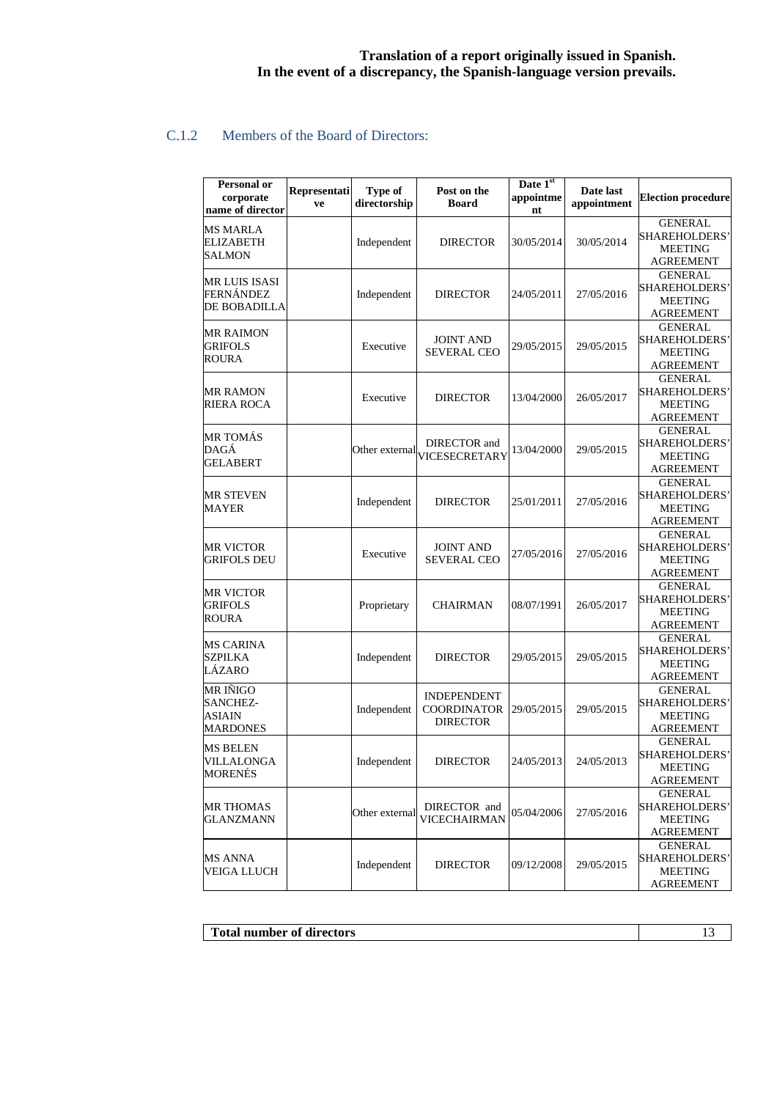# C.1.2 Members of the Board of Directors:

| <b>Personal or</b><br>corporate<br>name of director | Representati<br>ve | Type of<br>directorship | Post on the<br><b>Board</b>                                 | Date 1st<br>appointme<br>nt | Date last<br>appointment | <b>Election procedure</b>                                                    |
|-----------------------------------------------------|--------------------|-------------------------|-------------------------------------------------------------|-----------------------------|--------------------------|------------------------------------------------------------------------------|
| MS MARLA<br>ELIZABETH<br>SALMON                     |                    | Independent             | <b>DIRECTOR</b>                                             | 30/05/2014                  | 30/05/2014               | <b>GENERAL</b><br><b>SHAREHOLDERS</b><br><b>MEETING</b><br><b>AGREEMENT</b>  |
| MR LUIS ISASI<br>FERNÁNDEZ<br>DE BOBADILLA          |                    | Independent             | <b>DIRECTOR</b>                                             | 24/05/2011                  | 27/05/2016               | <b>GENERAL</b><br>SHAREHOLDERS'<br><b>MEETING</b><br><b>AGREEMENT</b>        |
| MR RAIMON<br><b>GRIFOLS</b><br><b>ROURA</b>         |                    | Executive               | <b>JOINT AND</b><br><b>SEVERAL CEO</b>                      | 29/05/2015                  | 29/05/2015               | <b>GENERAL</b><br><b>SHAREHOLDERS</b><br><b>MEETING</b><br><b>AGREEMENT</b>  |
| MR RAMON<br>RIERA ROCA                              |                    | Executive               | <b>DIRECTOR</b>                                             | 13/04/2000                  | 26/05/2017               | <b>GENERAL</b><br>SHAREHOLDERS'<br><b>MEETING</b><br><b>AGREEMENT</b>        |
| MR TOMÁS<br>DAGÁ<br>GELABERT                        |                    |                         | DIRECTOR and<br>Other external VICESECRETARY                | 13/04/2000                  | 29/05/2015               | <b>GENERAL</b><br>SHAREHOLDERS'<br><b>MEETING</b><br><b>AGREEMENT</b>        |
| MR STEVEN<br>MAYER                                  |                    | Independent             | <b>DIRECTOR</b>                                             | 25/01/2011                  | 27/05/2016               | <b>GENERAL</b><br>SHAREHOLDERS'<br><b>MEETING</b><br><b>AGREEMENT</b>        |
| MR VICTOR<br><b>GRIFOLS DEU</b>                     |                    | Executive               | <b>JOINT AND</b><br><b>SEVERAL CEO</b>                      | 27/05/2016                  | 27/05/2016               | <b>GENERAL</b><br>SHAREHOLDERS'<br><b>MEETING</b><br>AGREEMENT               |
| MR VICTOR<br><b>GRIFOLS</b><br>ROURA                |                    | Proprietary             | <b>CHAIRMAN</b>                                             | 08/07/1991                  | 26/05/2017               | <b>GENERAL</b><br>SHAREHOLDERS'<br><b>MEETING</b><br>AGREEMENT               |
| MS CARINA<br><b>SZPILKA</b><br>LÁZARO               |                    | Independent             | <b>DIRECTOR</b>                                             | 29/05/2015                  | 29/05/2015               | <b>GENERAL</b><br><b>SHAREHOLDERS</b><br><b>MEETING</b><br><b>AGREEMENT</b>  |
| MR IÑIGO<br><b>SANCHEZ-</b><br>ASIAIN<br>MARDONES   |                    | Independent             | <b>INDEPENDENT</b><br><b>COORDINATOR</b><br><b>DIRECTOR</b> | 29/05/2015                  | 29/05/2015               | <b>GENERAL</b><br>SHAREHOLDERS'<br><b>MEETING</b><br><b>AGREEMENT</b>        |
| MS BELEN<br>VILLALONGA<br>MORENÉS                   |                    | Independent             | <b>DIRECTOR</b>                                             | 24/05/2013                  | 24/05/2013               | <b>GENERAL</b><br><b>SHAREHOLDERS'</b><br><b>MEETING</b><br><b>AGREEMENT</b> |
| <b>MR THOMAS</b><br><b>GLANZMANN</b>                |                    | Other external          | DIRECTOR and<br>VICECHAIRMAN                                | 05/04/2006                  | 27/05/2016               | <b>GENERAL</b><br>SHAREHOLDERS'<br>MEETING<br><b>AGREEMENT</b>               |
| MS ANNA<br>VEIGA LLUCH                              |                    | Independent             | <b>DIRECTOR</b>                                             | 09/12/2008                  | 29/05/2015               | <b>GENERAL</b><br>SHAREHOLDERS'<br><b>MEETING</b><br><b>AGREEMENT</b>        |

**Total number of directors** 13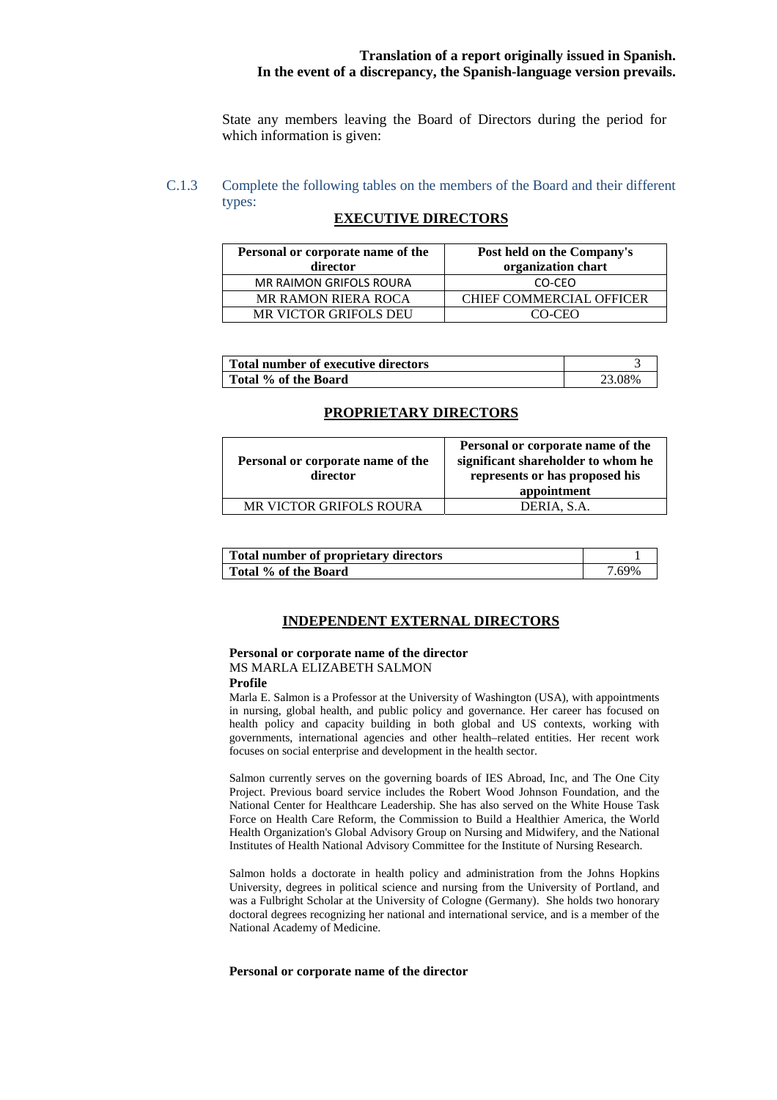State any members leaving the Board of Directors during the period for which information is given:

# C.1.3 Complete the following tables on the members of the Board and their different types:

## **EXECUTIVE DIRECTORS**

| Personal or corporate name of the<br>director | Post held on the Company's<br>organization chart |
|-----------------------------------------------|--------------------------------------------------|
| MR RAIMON GRIFOLS ROURA                       | CO-CEO                                           |
| <b>MR RAMON RIERA ROCA</b>                    | CHIEF COMMERCIAL OFFICER                         |
| MR VICTOR GRIFOLS DEU                         | CO-CEO                                           |

| Total number of executive directors |        |
|-------------------------------------|--------|
| Total % of the Board                | 23.08% |

#### **PROPRIETARY DIRECTORS**

| Personal or corporate name of the<br>director | Personal or corporate name of the<br>significant shareholder to whom he<br>represents or has proposed his<br>appointment |
|-----------------------------------------------|--------------------------------------------------------------------------------------------------------------------------|
| <b>MR VICTOR GRIFOLS ROURA</b>                | DERIA, S.A.                                                                                                              |

| Total number of proprietary directors |     |
|---------------------------------------|-----|
| Total % of the Board                  | 69% |

#### **INDEPENDENT EXTERNAL DIRECTORS**

# **Personal or corporate name of the director** MS MARLA ELIZABETH SALMON

#### **Profile**

Marla E. Salmon is a Professor at the University of Washington (USA), with appointments in nursing, global health, and public policy and governance. Her career has focused on health policy and capacity building in both global and US contexts, working with governments, international agencies and other health–related entities. Her recent work focuses on social enterprise and development in the health sector.

Salmon currently serves on the governing boards of IES Abroad, Inc, and The One City Project. Previous board service includes the Robert Wood Johnson Foundation, and the National Center for Healthcare Leadership. She has also served on the White House Task Force on Health Care Reform, the Commission to Build a Healthier America, the World Health Organization's Global Advisory Group on Nursing and Midwifery, and the National Institutes of Health National Advisory Committee for the Institute of Nursing Research.

Salmon holds a doctorate in health policy and administration from the Johns Hopkins University, degrees in political science and nursing from the University of Portland, and was a Fulbright Scholar at the University of Cologne (Germany). She holds two honorary doctoral degrees recognizing her national and international service, and is a member of the National Academy of Medicine.

#### **Personal or corporate name of the director**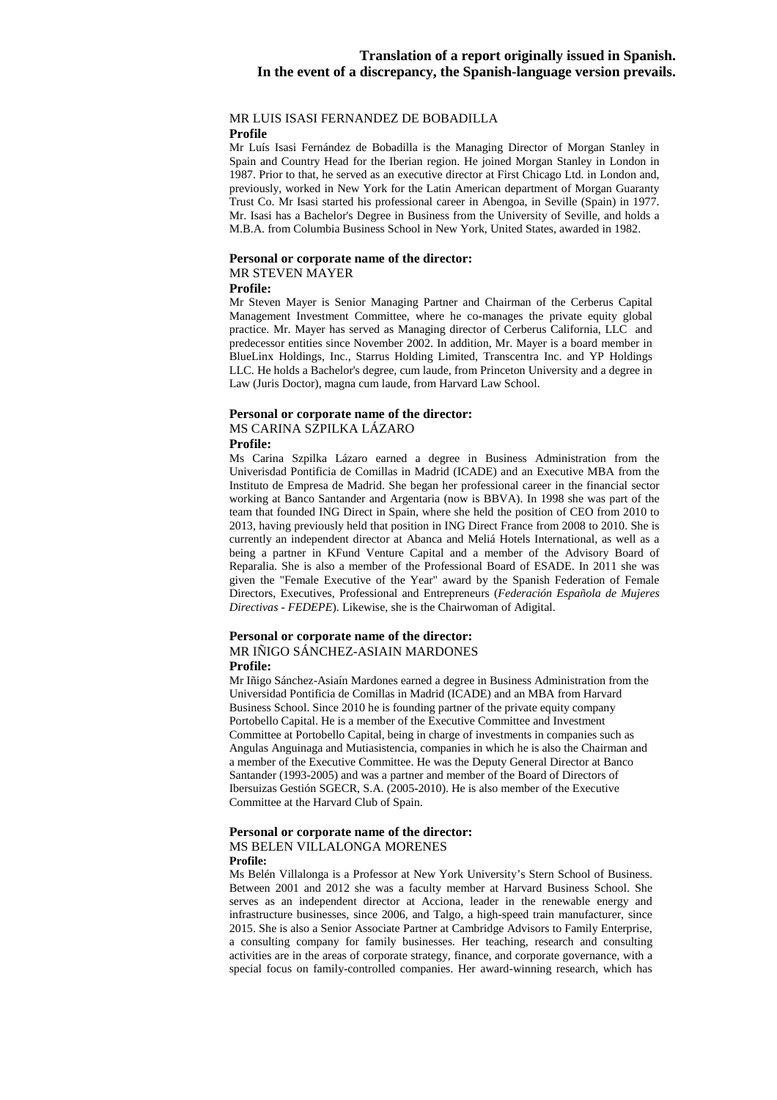# MR LUIS ISASI FERNANDEZ DE BOBADILLA

#### **Profile**

Mr Luís Isasi Fernández de Bobadilla is the Managing Director of Morgan Stanley in Spain and Country Head for the Iberian region. He joined Morgan Stanley in London in 1987. Prior to that, he served as an executive director at First Chicago Ltd. in London and, previously, worked in New York for the Latin American department of Morgan Guaranty Trust Co. Mr Isasi started his professional career in Abengoa, in Seville (Spain) in 1977. Mr. Isasi has a Bachelor's Degree in Business from the University of Seville, and holds a M.B.A. from Columbia Business School in New York, United States, awarded in 1982.

#### **Personal or corporate name of the director:** MR STEVEN MAYER

#### **Profile:**

Mr Steven Mayer is Senior Managing Partner and Chairman of the Cerberus Capital Management Investment Committee, where he co-manages the private equity global practice. Mr. Mayer has served as Managing director of Cerberus California, LLC and predecessor entities since November 2002. In addition, Mr. Mayer is a board member in BlueLinx Holdings, Inc., Starrus Holding Limited, Transcentra Inc. and YP Holdings LLC. He holds a Bachelor's degree, cum laude, from Princeton University and a degree in Law (Juris Doctor), magna cum laude, from Harvard Law School.

# **Personal or corporate name of the director:**  MS CARINA SZPILKA LÁZARO

#### **Profile:**

Ms Carina Szpilka Lázaro earned a degree in Business Administration from the Univerisdad Pontificia de Comillas in Madrid (ICADE) and an Executive MBA from the Instituto de Empresa de Madrid. She began her professional career in the financial sector working at Banco Santander and Argentaria (now is BBVA). In 1998 she was part of the team that founded ING Direct in Spain, where she held the position of CEO from 2010 to 2013, having previously held that position in ING Direct France from 2008 to 2010. She is currently an independent director at Abanca and Meliá Hotels International, as well as a being a partner in KFund Venture Capital and a member of the Advisory Board of Reparalia. She is also a member of the Professional Board of ESADE. In 2011 she was given the "Female Executive of the Year" award by the Spanish Federation of Female Directors, Executives, Professional and Entrepreneurs (*Federación Española de Mujeres Directivas - FEDEPE*). Likewise, she is the Chairwoman of Adigital.

#### **Personal or corporate name of the director:** MR IÑIGO SÁNCHEZ-ASIAIN MARDONES **Profile:**

Mr Iñigo Sánchez-Asiaín Mardones earned a degree in Business Administration from the Universidad Pontificia de Comillas in Madrid (ICADE) and an MBA from Harvard Business School. Since 2010 he is founding partner of the private equity company Portobello Capital. He is a member of the Executive Committee and Investment Committee at Portobello Capital, being in charge of investments in companies such as Angulas Anguinaga and Mutiasistencia, companies in which he is also the Chairman and a member of the Executive Committee. He was the Deputy General Director at Banco Santander (1993-2005) and was a partner and member of the Board of Directors of Ibersuizas Gestión SGECR, S.A. (2005-2010). He is also member of the Executive Committee at the Harvard Club of Spain.

#### **Personal or corporate name of the director:**  MS BELEN VILLALONGA MORENES **Profile:**

Ms Belén Villalonga is a Professor at New York University's Stern School of Business. Between 2001 and 2012 she was a faculty member at Harvard Business School. She serves as an independent director at Acciona, leader in the renewable energy and infrastructure businesses, since 2006, and Talgo, a high-speed train manufacturer, since 2015. She is also a Senior Associate Partner at Cambridge Advisors to Family Enterprise, a consulting company for family businesses. Her teaching, research and consulting activities are in the areas of corporate strategy, finance, and corporate governance, with a special focus on family-controlled companies. Her award-winning research, which has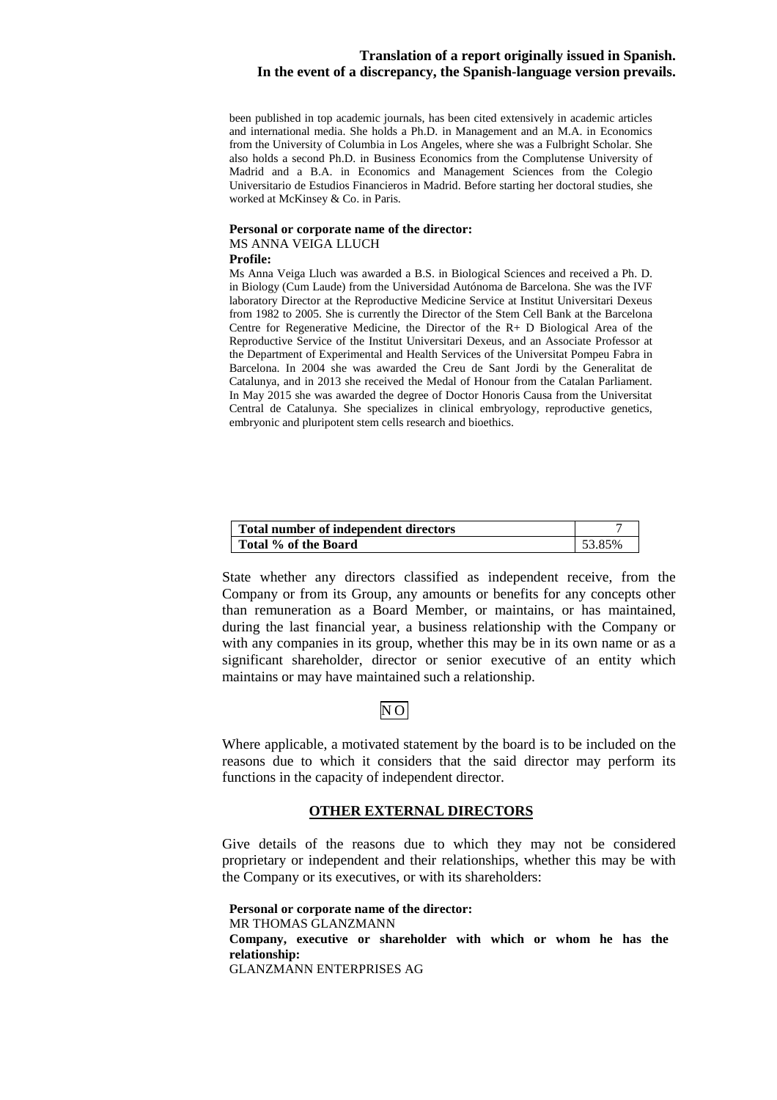been published in top academic journals, has been cited extensively in academic articles and international media. She holds a Ph.D. in Management and an M.A. in Economics from the University of Columbia in Los Angeles, where she was a Fulbright Scholar. She also holds a second Ph.D. in Business Economics from the Complutense University of Madrid and a B.A. in Economics and Management Sciences from the Colegio Universitario de Estudios Financieros in Madrid. Before starting her doctoral studies, she worked at McKinsey & Co. in Paris.

#### **Personal or corporate name of the director:**  MS ANNA VEIGA LLUCH **Profile:**

Ms Anna Veiga Lluch was awarded a B.S. in Biological Sciences and received a Ph. D. in Biology (Cum Laude) from the Universidad Autónoma de Barcelona. She was the IVF laboratory Director at the Reproductive Medicine Service at Institut Universitari Dexeus from 1982 to 2005. She is currently the Director of the Stem Cell Bank at the Barcelona Centre for Regenerative Medicine, the Director of the R+ D Biological Area of the Reproductive Service of the Institut Universitari Dexeus, and an Associate Professor at the Department of Experimental and Health Services of the Universitat Pompeu Fabra in Barcelona. In 2004 she was awarded the Creu de Sant Jordi by the Generalitat de Catalunya, and in 2013 she received the Medal of Honour from the Catalan Parliament. In May 2015 she was awarded the degree of Doctor Honoris Causa from the Universitat Central de Catalunya. She specializes in clinical embryology, reproductive genetics, embryonic and pluripotent stem cells research and bioethics.

| Total number of independent directors |        |
|---------------------------------------|--------|
| Total % of the Board                  | 53.85% |

State whether any directors classified as independent receive, from the Company or from its Group, any amounts or benefits for any concepts other than remuneration as a Board Member, or maintains, or has maintained, during the last financial year, a business relationship with the Company or with any companies in its group, whether this may be in its own name or as a significant shareholder, director or senior executive of an entity which maintains or may have maintained such a relationship.

# NO

Where applicable, a motivated statement by the board is to be included on the reasons due to which it considers that the said director may perform its functions in the capacity of independent director.

# **OTHER EXTERNAL DIRECTORS**

Give details of the reasons due to which they may not be considered proprietary or independent and their relationships, whether this may be with the Company or its executives, or with its shareholders:

**Personal or corporate name of the director:**  MR THOMAS GLANZMANN **Company, executive or shareholder with which or whom he has the relationship:**  GLANZMANN ENTERPRISES AG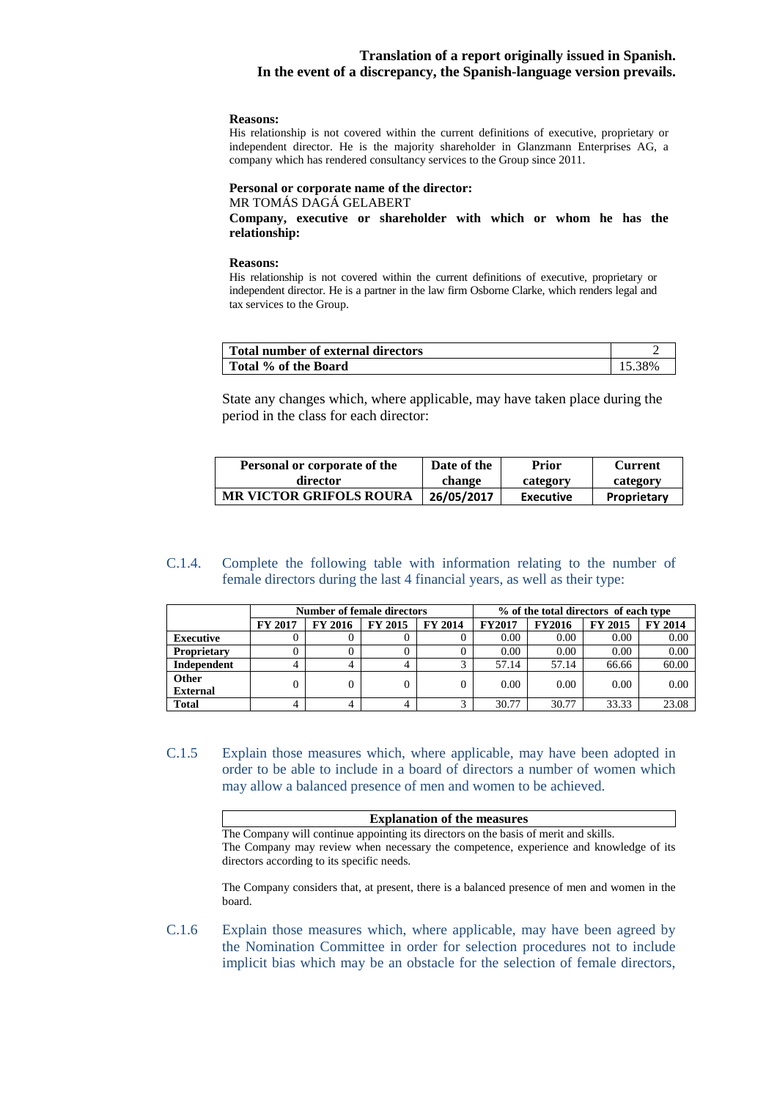#### **Reasons:**

His relationship is not covered within the current definitions of executive, proprietary or independent director. He is the majority shareholder in Glanzmann Enterprises AG, a company which has rendered consultancy services to the Group since 2011.

#### **Personal or corporate name of the director:**  MR TOMÁS DAGÁ GELABERT

**Company, executive or shareholder with which or whom he has the relationship:** 

#### **Reasons:**

His relationship is not covered within the current definitions of executive, proprietary or independent director. He is a partner in the law firm Osborne Clarke, which renders legal and tax services to the Group.

| Total number of external directors |       |
|------------------------------------|-------|
| Total % of the Board               | . 38% |

State any changes which, where applicable, may have taken place during the period in the class for each director:

| Personal or corporate of the   | Date of the | Prior            | Current     |
|--------------------------------|-------------|------------------|-------------|
| director                       | change      | category         | category    |
| <b>MR VICTOR GRIFOLS ROURA</b> | 26/05/2017  | <b>Executive</b> | Proprietary |

#### C.1.4. Complete the following table with information relating to the number of female directors during the last 4 financial years, as well as their type:

|                    | <b>Number of female directors</b> |                |                |         | % of the total directors of each type |               |         |         |
|--------------------|-----------------------------------|----------------|----------------|---------|---------------------------------------|---------------|---------|---------|
|                    | <b>FY 2017</b>                    | <b>FY 2016</b> | <b>FY 2015</b> | FY 2014 | <b>FY2017</b>                         | <b>FY2016</b> | FY 2015 | FY 2014 |
| <b>Executive</b>   |                                   |                |                |         | 0.00                                  | 0.00          | 0.00    | 0.00    |
| <b>Proprietary</b> |                                   |                |                | 0       | 0.00                                  | 0.00          | 0.00    | 0.00    |
| Independent        | 4                                 |                |                | ⌒       | 57.14                                 | 57.14         | 66.66   | 60.00   |
| Other              |                                   | 0              | 0              | 0       | 0.00                                  | 0.00          | 0.00    | 0.00    |
| <b>External</b>    |                                   |                |                |         |                                       |               |         |         |
| <b>Total</b>       |                                   | 4              |                | ◠       | 30.77                                 | 30.77         | 33.33   | 23.08   |

C.1.5 Explain those measures which, where applicable, may have been adopted in order to be able to include in a board of directors a number of women which may allow a balanced presence of men and women to be achieved.

| <b>Explanation of the measures</b>                                                    |
|---------------------------------------------------------------------------------------|
| The Company will continue appointing its directors on the basis of merit and skills.  |
| The Company may review when necessary the competence, experience and knowledge of its |
| directors according to its specific needs.                                            |

The Company considers that, at present, there is a balanced presence of men and women in the board.

C.1.6 Explain those measures which, where applicable, may have been agreed by the Nomination Committee in order for selection procedures not to include implicit bias which may be an obstacle for the selection of female directors,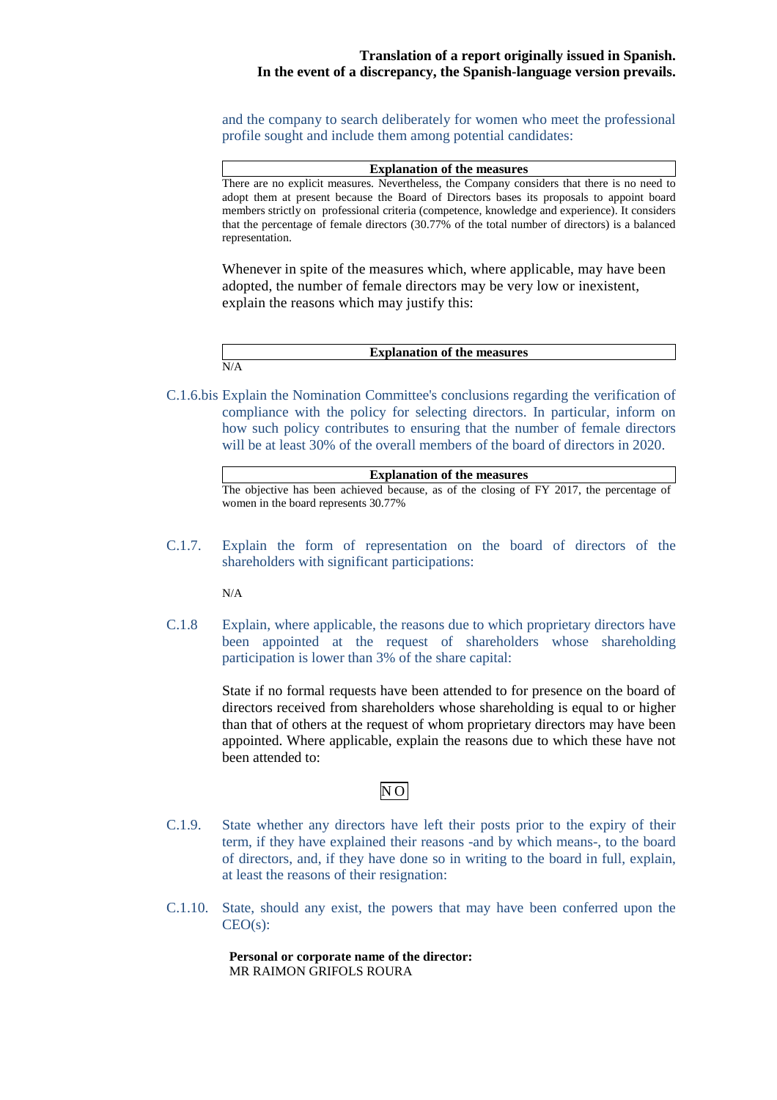and the company to search deliberately for women who meet the professional profile sought and include them among potential candidates:

| <b>Explanation of the measures</b>                                                              |
|-------------------------------------------------------------------------------------------------|
| There are no explicit measures. Nevertheless, the Company considers that there is no need to    |
| adopt them at present because the Board of Directors bases its proposals to appoint board       |
| members strictly on professional criteria (competence, knowledge and experience). It considers  |
| that the percentage of female directors (30.77% of the total number of directors) is a balanced |
| representation.                                                                                 |

Whenever in spite of the measures which, where applicable, may have been adopted, the number of female directors may be very low or inexistent, explain the reasons which may justify this:

**Explanation of the measures**  N/A

C.1.6.bis Explain the Nomination Committee's conclusions regarding the verification of compliance with the policy for selecting directors. In particular, inform on how such policy contributes to ensuring that the number of female directors will be at least 30% of the overall members of the board of directors in 2020.

| <b>Explanation of the measures</b>                                                       |  |  |  |  |  |
|------------------------------------------------------------------------------------------|--|--|--|--|--|
| The objective has been achieved because, as of the closing of FY 2017, the percentage of |  |  |  |  |  |
| women in the board represents 30.77%                                                     |  |  |  |  |  |

C.1.7. Explain the form of representation on the board of directors of the shareholders with significant participations:

N/A

C.1.8 Explain, where applicable, the reasons due to which proprietary directors have been appointed at the request of shareholders whose shareholding participation is lower than 3% of the share capital:

> State if no formal requests have been attended to for presence on the board of directors received from shareholders whose shareholding is equal to or higher than that of others at the request of whom proprietary directors may have been appointed. Where applicable, explain the reasons due to which these have not been attended to:

# NO

- C.1.9. State whether any directors have left their posts prior to the expiry of their term, if they have explained their reasons -and by which means-, to the board of directors, and, if they have done so in writing to the board in full, explain, at least the reasons of their resignation:
- C.1.10. State, should any exist, the powers that may have been conferred upon the  $CEO(s)$ :

**Personal or corporate name of the director:**  MR RAIMON GRIFOLS ROURA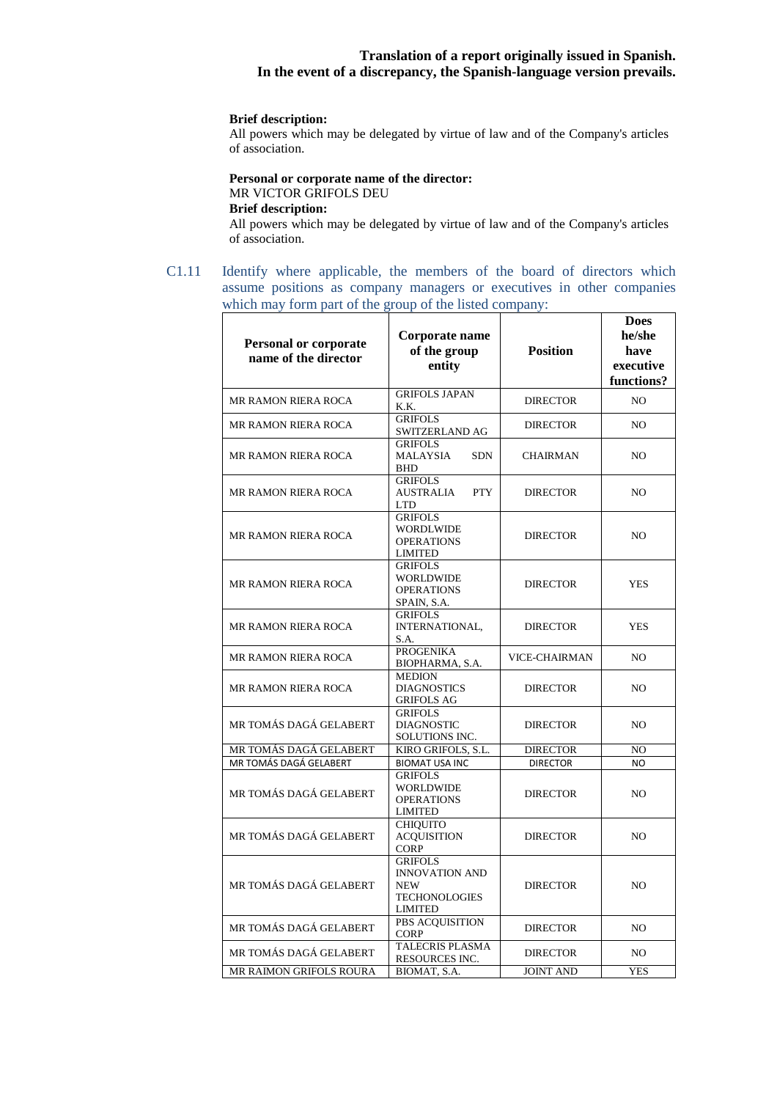#### **Brief description:**

All powers which may be delegated by virtue of law and of the Company's articles of association.

#### **Personal or corporate name of the director:** MR VICTOR GRIFOLS DEU

# **Brief description:**

All powers which may be delegated by virtue of law and of the Company's articles of association.

C1.11 Identify where applicable, the members of the board of directors which assume positions as company managers or executives in other companies which may form part of the group of the listed company:

| <b>Personal or corporate</b><br>name of the director | Corporate name<br>of the group<br>entity                                                        | <b>Position</b>      | <b>Does</b><br>he/she<br>have<br>executive<br>functions? |
|------------------------------------------------------|-------------------------------------------------------------------------------------------------|----------------------|----------------------------------------------------------|
| <b>MR RAMON RIERA ROCA</b>                           | <b>GRIFOLS JAPAN</b><br>K.K.                                                                    | <b>DIRECTOR</b>      | NO.                                                      |
| <b>MR RAMON RIERA ROCA</b>                           | <b>GRIFOLS</b><br>SWITZERLAND AG                                                                | <b>DIRECTOR</b>      | NO.                                                      |
| <b>MR RAMON RIERA ROCA</b>                           | <b>GRIFOLS</b><br><b>MALAYSIA</b><br><b>SDN</b><br><b>BHD</b>                                   | <b>CHAIRMAN</b>      | NO.                                                      |
| <b>MR RAMON RIERA ROCA</b>                           | <b>GRIFOLS</b><br><b>AUSTRALIA</b><br><b>PTY</b><br><b>LTD</b>                                  | <b>DIRECTOR</b>      | NO.                                                      |
| <b>MR RAMON RIERA ROCA</b>                           | <b>GRIFOLS</b><br><b>WORDLWIDE</b><br><b>OPERATIONS</b><br><b>LIMITED</b>                       | <b>DIRECTOR</b>      | NO                                                       |
| <b>MR RAMON RIERA ROCA</b>                           | <b>GRIFOLS</b><br><b>WORLDWIDE</b><br><b>OPERATIONS</b><br>SPAIN, S.A.                          | <b>DIRECTOR</b>      | <b>YES</b>                                               |
| <b>MR RAMON RIERA ROCA</b>                           | <b>GRIFOLS</b><br>INTERNATIONAL,<br>S.A.                                                        | <b>DIRECTOR</b>      | <b>YES</b>                                               |
| <b>MR RAMON RIERA ROCA</b>                           | <b>PROGENIKA</b><br>BIOPHARMA, S.A.                                                             | <b>VICE-CHAIRMAN</b> | NO.                                                      |
| <b>MR RAMON RIERA ROCA</b>                           | <b>MEDION</b><br><b>DIAGNOSTICS</b><br><b>GRIFOLS AG</b>                                        | <b>DIRECTOR</b>      | NO                                                       |
| MR TOMÁS DAGÁ GELABERT                               | <b>GRIFOLS</b><br><b>DIAGNOSTIC</b><br>SOLUTIONS INC.                                           | <b>DIRECTOR</b>      | NO.                                                      |
| MR TOMÁS DAGÁ GELABERT                               | KIRO GRIFOLS, S.L.                                                                              | <b>DIRECTOR</b>      | NO                                                       |
| MR TOMÁS DAGÁ GELABERT                               | <b>BIOMAT USA INC</b>                                                                           | <b>DIRECTOR</b>      | NO.                                                      |
| MR TOMÁS DAGÁ GELABERT                               | <b>GRIFOLS</b><br><b>WORLDWIDE</b><br><b>OPERATIONS</b><br><b>LIMITED</b>                       | <b>DIRECTOR</b>      | NO                                                       |
| MR TOMÁS DAGÁ GELABERT                               | <b>CHIQUITO</b><br><b>ACQUISITION</b><br><b>CORP</b>                                            | <b>DIRECTOR</b>      | NO                                                       |
| MR TOMÁS DAGÁ GELABERT                               | <b>GRIFOLS</b><br><b>INNOVATION AND</b><br><b>NEW</b><br><b>TECHONOLOGIES</b><br><b>LIMITED</b> | <b>DIRECTOR</b>      | NO.                                                      |
| MR TOMÁS DAGÁ GELABERT                               | PBS ACQUISITION<br><b>CORP</b>                                                                  | <b>DIRECTOR</b>      | NO.                                                      |
| MR TOMÁS DAGÁ GELABERT                               | <b>TALECRIS PLASMA</b><br>RESOURCES INC.                                                        | <b>DIRECTOR</b>      | NO.                                                      |
| MR RAIMON GRIFOLS ROURA                              | BIOMAT, S.A.                                                                                    | <b>JOINT AND</b>     | <b>YES</b>                                               |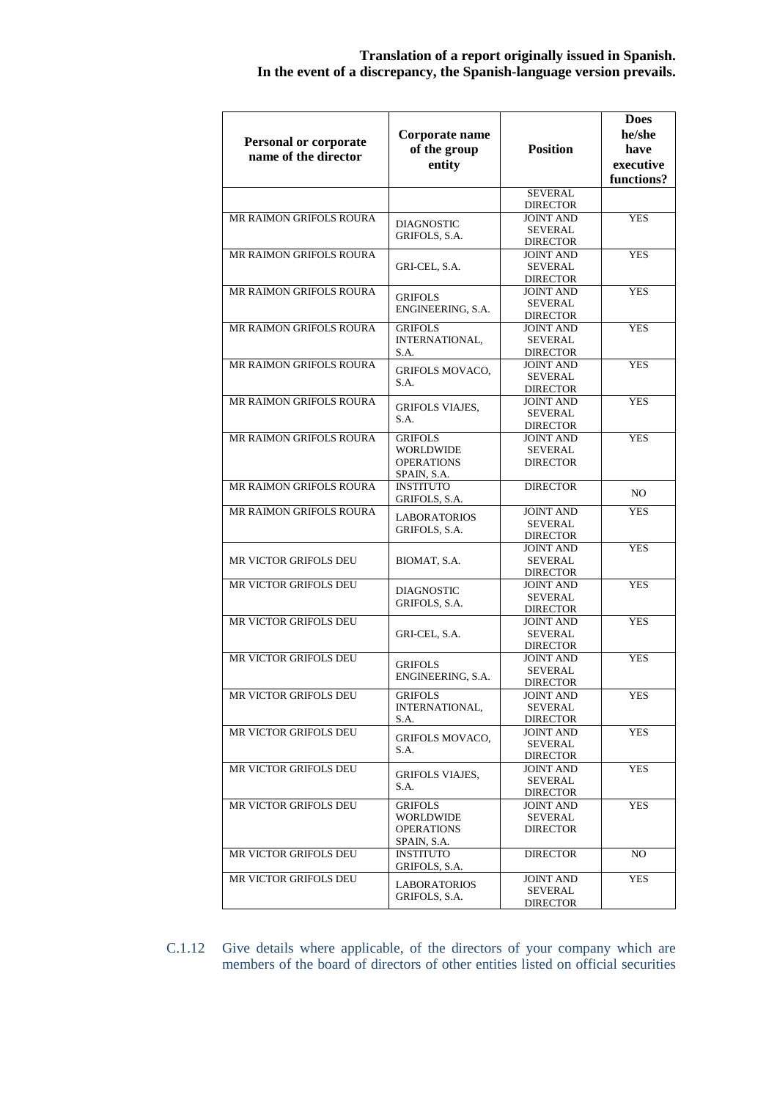| <b>Personal or corporate</b><br>name of the director | Corporate name<br>of the group<br>entity                               | <b>Position</b>                                       | <b>Does</b><br>he/she<br>have<br>executive<br>functions? |
|------------------------------------------------------|------------------------------------------------------------------------|-------------------------------------------------------|----------------------------------------------------------|
|                                                      |                                                                        | <b>SEVERAL</b>                                        |                                                          |
|                                                      |                                                                        | <b>DIRECTOR</b>                                       |                                                          |
| <b>MR RAIMON GRIFOLS ROURA</b>                       | <b>DIAGNOSTIC</b><br>GRIFOLS, S.A.                                     | <b>JOINT AND</b><br>SEVERAL<br><b>DIRECTOR</b>        | <b>YES</b>                                               |
| MR RAIMON GRIFOLS ROURA                              | GRI-CEL, S.A.                                                          | <b>JOINT AND</b><br><b>SEVERAL</b><br><b>DIRECTOR</b> | <b>YES</b>                                               |
| <b>MR RAIMON GRIFOLS ROURA</b>                       | <b>GRIFOLS</b><br>ENGINEERING, S.A.                                    | <b>JOINT AND</b><br><b>SEVERAL</b><br><b>DIRECTOR</b> | <b>YES</b>                                               |
| <b>MR RAIMON GRIFOLS ROURA</b>                       | <b>GRIFOLS</b><br>INTERNATIONAL,<br>S.A.                               | <b>JOINT AND</b><br>SEVERAL<br><b>DIRECTOR</b>        | <b>YES</b>                                               |
| MR RAIMON GRIFOLS ROURA                              | <b>GRIFOLS MOVACO,</b><br>S.A.                                         | <b>JOINT AND</b><br><b>SEVERAL</b><br><b>DIRECTOR</b> | <b>YES</b>                                               |
| <b>MR RAIMON GRIFOLS ROURA</b>                       | <b>GRIFOLS VIAJES,</b><br>S.A.                                         | <b>JOINT AND</b><br><b>SEVERAL</b><br><b>DIRECTOR</b> | <b>YES</b>                                               |
| MR RAIMON GRIFOLS ROURA                              | <b>GRIFOLS</b><br><b>WORLDWIDE</b><br><b>OPERATIONS</b><br>SPAIN, S.A. | <b>JOINT AND</b><br><b>SEVERAL</b><br><b>DIRECTOR</b> | <b>YES</b>                                               |
| MR RAIMON GRIFOLS ROURA                              | <b>INSTITUTO</b><br>GRIFOLS, S.A.                                      | <b>DIRECTOR</b>                                       | NO.                                                      |
| MR RAIMON GRIFOLS ROURA                              | <b>LABORATORIOS</b><br>GRIFOLS, S.A.                                   | <b>JOINT AND</b><br>SEVERAL<br><b>DIRECTOR</b>        | <b>YES</b>                                               |
| MR VICTOR GRIFOLS DEU                                | BIOMAT, S.A.                                                           | <b>JOINT AND</b><br><b>SEVERAL</b><br><b>DIRECTOR</b> | <b>YES</b>                                               |
| MR VICTOR GRIFOLS DEU                                | <b>DIAGNOSTIC</b><br>GRIFOLS, S.A.                                     | <b>JOINT AND</b><br><b>SEVERAL</b><br><b>DIRECTOR</b> | <b>YES</b>                                               |
| <b>MR VICTOR GRIFOLS DEU</b>                         | GRI-CEL, S.A.                                                          | <b>JOINT AND</b><br>SEVERAL<br><b>DIRECTOR</b>        | <b>YES</b>                                               |
| MR VICTOR GRIFOLS DEU                                | <b>GRIFOLS</b><br>ENGINEERING, S.A.                                    | <b>JOINT AND</b><br><b>SEVERAL</b><br><b>DIRECTOR</b> | <b>YES</b>                                               |
| MR VICTOR GRIFOLS DEU                                | <b>GRIFOLS</b><br>INTERNATIONAL,<br>S.A.                               | JOINT AND<br><b>SEVERAL</b><br><b>DIRECTOR</b>        | YES                                                      |
| MR VICTOR GRIFOLS DEU                                | <b>GRIFOLS MOVACO,</b><br>S.A.                                         | <b>JOINT AND</b><br>SEVERAL<br><b>DIRECTOR</b>        | <b>YES</b>                                               |
| MR VICTOR GRIFOLS DEU                                | <b>GRIFOLS VIAJES,</b><br>S.A.                                         | <b>JOINT AND</b><br>SEVERAL<br><b>DIRECTOR</b>        | <b>YES</b>                                               |
| MR VICTOR GRIFOLS DEU                                | <b>GRIFOLS</b><br><b>WORLDWIDE</b><br><b>OPERATIONS</b><br>SPAIN, S.A. | <b>JOINT AND</b><br>SEVERAL<br><b>DIRECTOR</b>        | <b>YES</b>                                               |
| <b>MR VICTOR GRIFOLS DEU</b>                         | <b>INSTITUTO</b><br>GRIFOLS, S.A.                                      | <b>DIRECTOR</b>                                       | NO.                                                      |
| MR VICTOR GRIFOLS DEU                                | <b>LABORATORIOS</b><br>GRIFOLS, S.A.                                   | <b>JOINT AND</b><br>SEVERAL<br><b>DIRECTOR</b>        | <b>YES</b>                                               |

C.1.12 Give details where applicable, of the directors of your company which are members of the board of directors of other entities listed on official securities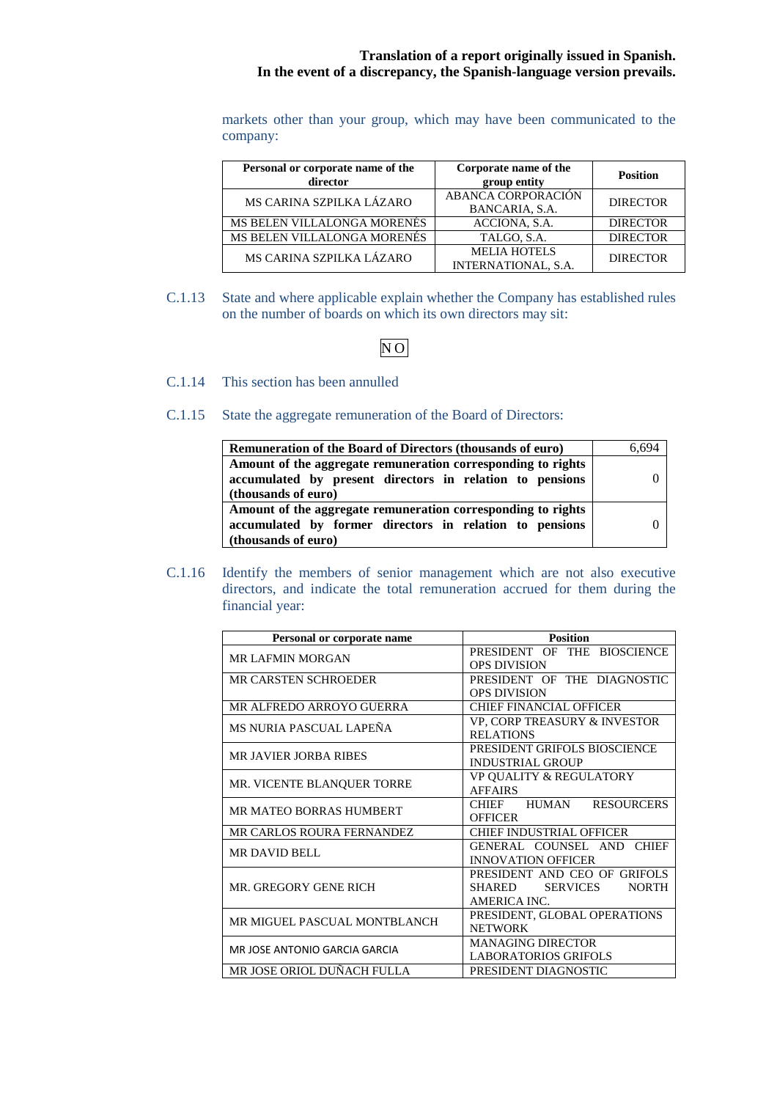markets other than your group, which may have been communicated to the company:

| Personal or corporate name of the<br>director | Corporate name of the<br>group entity             | <b>Position</b> |
|-----------------------------------------------|---------------------------------------------------|-----------------|
| MS CARINA SZPILKA LÁZARO                      | ABANCA CORPORACIÓN<br>BANCARIA, S.A.              | <b>DIRECTOR</b> |
| MS BELEN VILLALONGA MORENÉS                   | ACCIONA, S.A.                                     | <b>DIRECTOR</b> |
| MS BELEN VILLALONGA MORENÉS                   | TALGO, S.A.                                       | <b>DIRECTOR</b> |
| MS CARINA SZPILKA LÁZARO                      | <b>MELIA HOTELS</b><br><b>INTERNATIONAL, S.A.</b> | <b>DIRECTOR</b> |

C.1.13 State and where applicable explain whether the Company has established rules on the number of boards on which its own directors may sit:

# $\overline{NO}$

- C.1.14 This section has been annulled
- C.1.15 State the aggregate remuneration of the Board of Directors:

| Remuneration of the Board of Directors (thousands of euro)   | 6.694    |
|--------------------------------------------------------------|----------|
| Amount of the aggregate remuneration corresponding to rights |          |
| accumulated by present directors in relation to pensions     | $\theta$ |
| (thousands of euro)                                          |          |
| Amount of the aggregate remuneration corresponding to rights |          |
| accumulated by former directors in relation to pensions      | 0        |
| (thousands of euro)                                          |          |

C.1.16 Identify the members of senior management which are not also executive directors, and indicate the total remuneration accrued for them during the financial year:

| Personal or corporate name     | <b>Position</b>                           |  |  |  |
|--------------------------------|-------------------------------------------|--|--|--|
| <b>MR LAFMIN MORGAN</b>        | PRESIDENT OF THE BIOSCIENCE               |  |  |  |
|                                | <b>OPS DIVISION</b>                       |  |  |  |
| <b>MR CARSTEN SCHROEDER</b>    | PRESIDENT OF THE DIAGNOSTIC               |  |  |  |
|                                | <b>OPS DIVISION</b>                       |  |  |  |
| MR ALFREDO ARROYO GUERRA       | <b>CHIEF FINANCIAL OFFICER</b>            |  |  |  |
| MS NURIA PASCUAL LAPEÑA        | <b>VP, CORP TREASURY &amp; INVESTOR</b>   |  |  |  |
|                                | <b>RELATIONS</b>                          |  |  |  |
| <b>MR JAVIER JORBA RIBES</b>   | PRESIDENT GRIFOLS BIOSCIENCE              |  |  |  |
|                                | <b>INDUSTRIAL GROUP</b>                   |  |  |  |
| MR. VICENTE BLANQUER TORRE     | <b>VP QUALITY &amp; REGULATORY</b>        |  |  |  |
|                                | <b>AFFAIRS</b>                            |  |  |  |
| <b>MR MATEO BORRAS HUMBERT</b> | CHIEF HUMAN RESOURCERS                    |  |  |  |
|                                | <b>OFFICER</b>                            |  |  |  |
| MR CARLOS ROURA FERNANDEZ      | <b>CHIEF INDUSTRIAL OFFICER</b>           |  |  |  |
| <b>MR DAVID BELL</b>           | GENERAL COUNSEL AND<br><b>CHIEF</b>       |  |  |  |
|                                | <b>INNOVATION OFFICER</b>                 |  |  |  |
|                                | PRESIDENT AND CEO OF GRIFOLS              |  |  |  |
| MR. GREGORY GENE RICH          | <b>SERVICES</b><br><b>NORTH</b><br>SHARED |  |  |  |
|                                | AMERICA INC.                              |  |  |  |
| MR MIGUEL PASCUAL MONTBLANCH   | PRESIDENT, GLOBAL OPERATIONS              |  |  |  |
|                                | <b>NETWORK</b>                            |  |  |  |
| MR JOSE ANTONIO GARCIA GARCIA  | <b>MANAGING DIRECTOR</b>                  |  |  |  |
|                                | LABORATORIOS GRIFOLS                      |  |  |  |
| MR JOSE ORIOL DUÑACH FULLA     | PRESIDENT DIAGNOSTIC                      |  |  |  |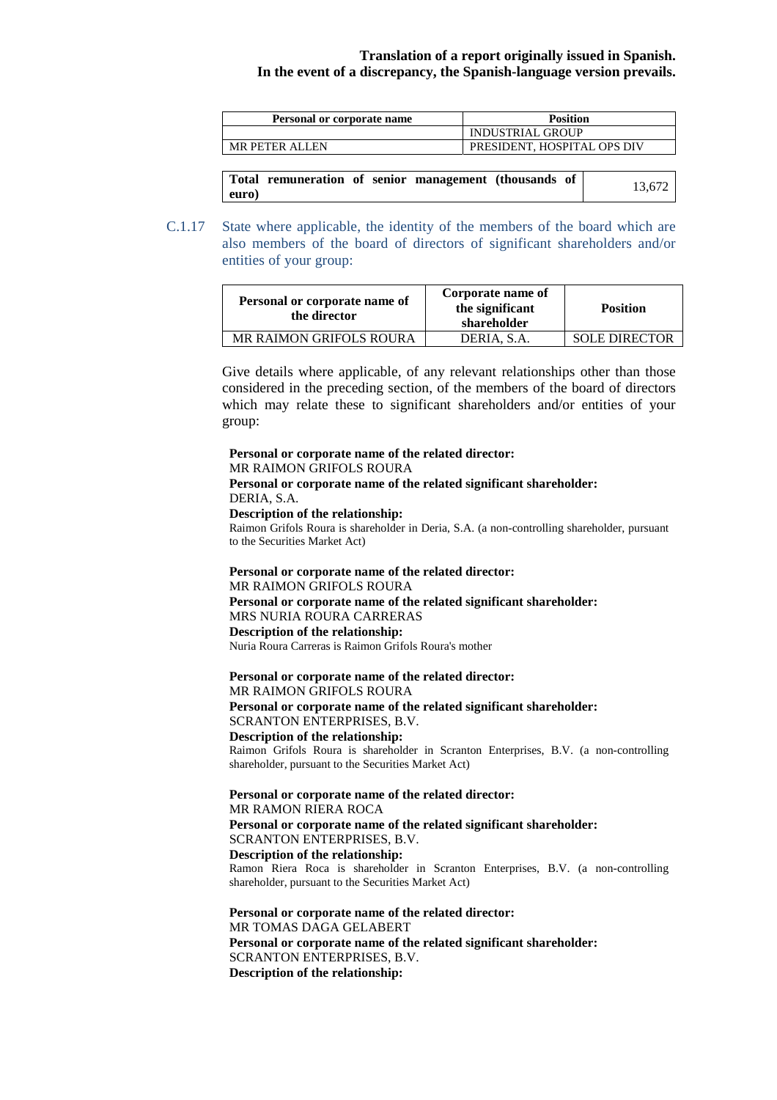| Personal or corporate name | <b>Position</b>             |
|----------------------------|-----------------------------|
|                            | INDUSTRIAL GROUP            |
| MR PETER ALLEN             | PRESIDENT, HOSPITAL OPS DIV |

|       | Total remuneration of senior management (thousands of |  |  | 13.672 |
|-------|-------------------------------------------------------|--|--|--------|
| euro) |                                                       |  |  |        |

C.1.17 State where applicable, the identity of the members of the board which are also members of the board of directors of significant shareholders and/or entities of your group:

| Personal or corporate name of<br>the director | Corporate name of<br>the significant<br>shareholder | <b>Position</b>      |
|-----------------------------------------------|-----------------------------------------------------|----------------------|
| <b>MR RAIMON GRIFOLS ROURA</b>                | DERIA, S.A.                                         | <b>SOLE DIRECTOR</b> |

Give details where applicable, of any relevant relationships other than those considered in the preceding section, of the members of the board of directors which may relate these to significant shareholders and/or entities of your group:

**Personal or corporate name of the related director:**

#### MR RAIMON GRIFOLS ROURA

#### **Personal or corporate name of the related significant shareholder:** DERIA, S.A.

#### **Description of the relationship:**

Raimon Grifols Roura is shareholder in Deria, S.A. (a non-controlling shareholder, pursuant to the Securities Market Act)

**Personal or corporate name of the related director:** MR RAIMON GRIFOLS ROURA **Personal or corporate name of the related significant shareholder:** MRS NURIA ROURA CARRERAS **Description of the relationship:** Nuria Roura Carreras is Raimon Grifols Roura's mother

**Personal or corporate name of the related director:** MR RAIMON GRIFOLS ROURA **Personal or corporate name of the related significant shareholder:** SCRANTON ENTERPRISES, B.V. **Description of the relationship:** Raimon Grifols Roura is shareholder in Scranton Enterprises, B.V. (a non-controlling shareholder, pursuant to the Securities Market Act)

**Personal or corporate name of the related director:** MR RAMON RIERA ROCA **Personal or corporate name of the related significant shareholder:** SCRANTON ENTERPRISES, B.V. **Description of the relationship:** Ramon Riera Roca is shareholder in Scranton Enterprises, B.V. (a non-controlling shareholder, pursuant to the Securities Market Act)

**Personal or corporate name of the related director:**  MR TOMAS DAGA GELABERT **Personal or corporate name of the related significant shareholder:**  SCRANTON ENTERPRISES, B.V. **Description of the relationship:**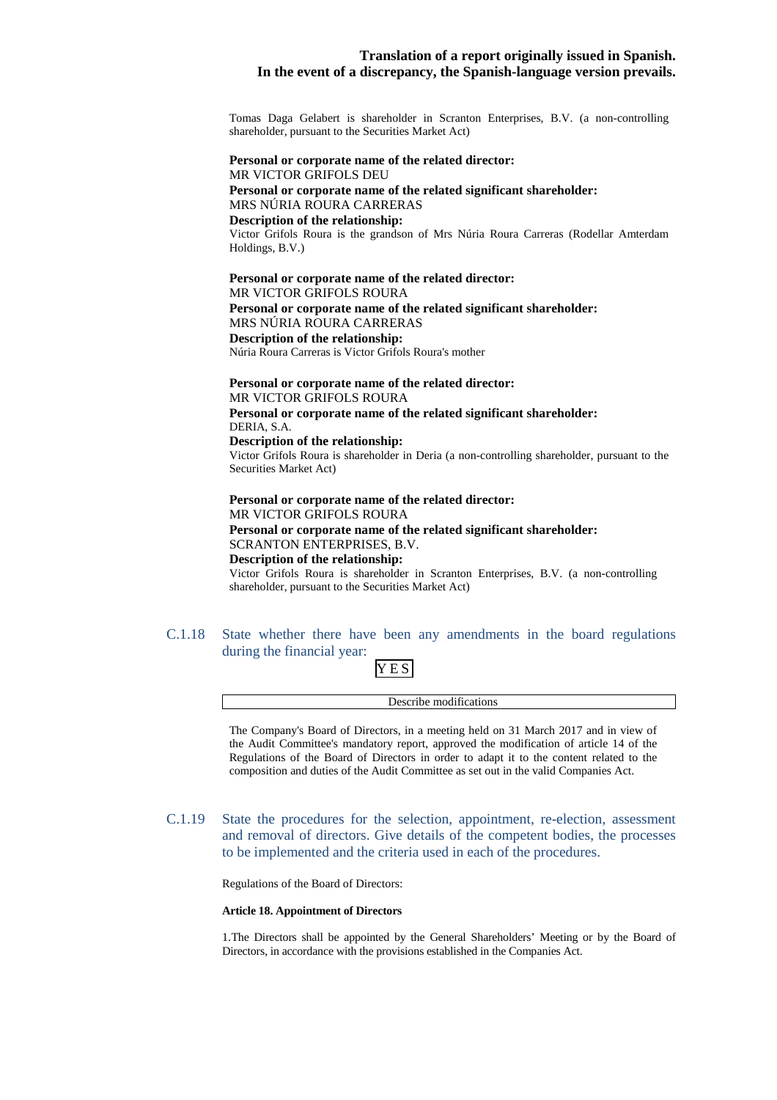Tomas Daga Gelabert is shareholder in Scranton Enterprises, B.V. (a non-controlling shareholder, pursuant to the Securities Market Act)

#### **Personal or corporate name of the related director:** MR VICTOR GRIFOLS DEU **Personal or corporate name of the related significant shareholder:** MRS NÚRIA ROURA CARRERAS **Description of the relationship:** Victor Grifols Roura is the grandson of Mrs Núria Roura Carreras (Rodellar Amterdam Holdings, B.V.)

#### **Personal or corporate name of the related director:**  MR VICTOR GRIFOLS ROURA

**Personal or corporate name of the related significant shareholder:** 

#### MRS NÚRIA ROURA CARRERAS

#### **Description of the relationship:**

Núria Roura Carreras is Victor Grifols Roura's mother

#### **Personal or corporate name of the related director:**  MR VICTOR GRIFOLS ROURA

**Personal or corporate name of the related significant shareholder:** DERIA, S.A.

#### **Description of the relationship:**

Victor Grifols Roura is shareholder in Deria (a non-controlling shareholder, pursuant to the Securities Market Act)

#### **Personal or corporate name of the related director:**  MR VICTOR GRIFOLS ROURA **Personal or corporate name of the related significant shareholder:**  SCRANTON ENTERPRISES, B.V. **Description of the relationship:** Victor Grifols Roura is shareholder in Scranton Enterprises, B.V. (a non-controlling shareholder, pursuant to the Securities Market Act)

C.1.18 State whether there have been any amendments in the board regulations during the financial year:

# YES

Describe modifications

The Company's Board of Directors, in a meeting held on 31 March 2017 and in view of the Audit Committee's mandatory report, approved the modification of article 14 of the Regulations of the Board of Directors in order to adapt it to the content related to the composition and duties of the Audit Committee as set out in the valid Companies Act.

C.1.19 State the procedures for the selection, appointment, re-election, assessment and removal of directors. Give details of the competent bodies, the processes to be implemented and the criteria used in each of the procedures.

Regulations of the Board of Directors:

#### **Article 18. Appointment of Directors**

1. The Directors shall be appointed by the General Shareholders' Meeting or by the Board of Directors, in accordance with the provisions established in the Companies Act.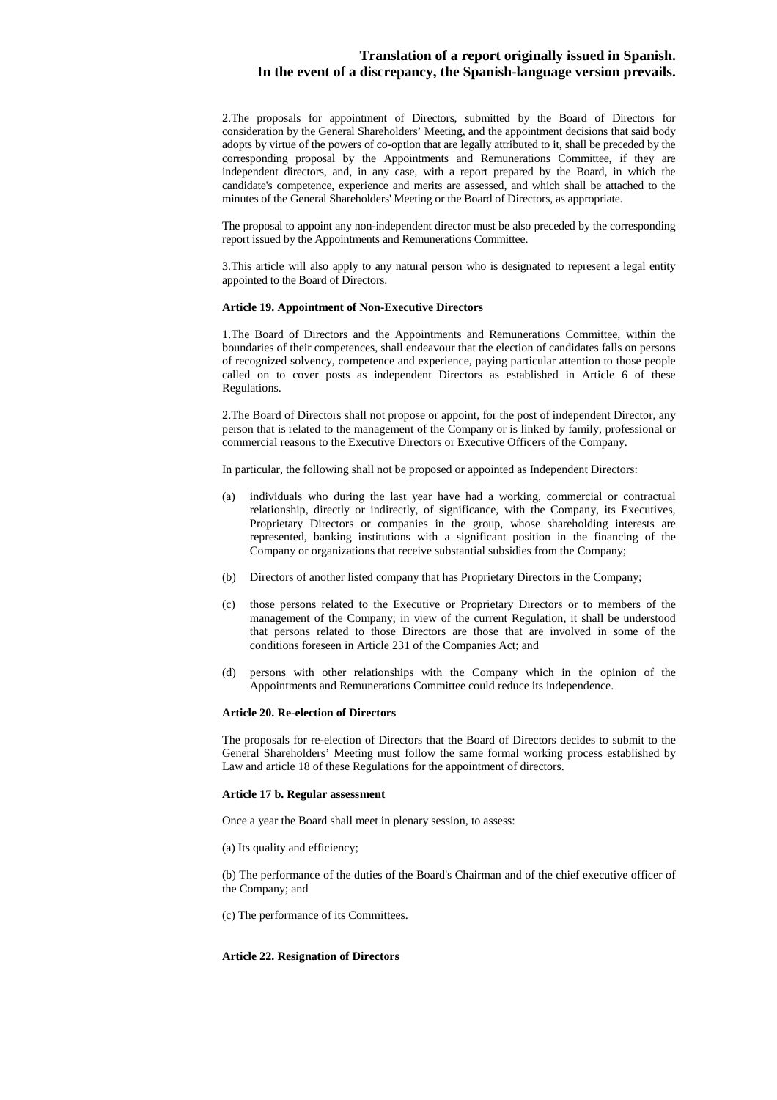2. The proposals for appointment of Directors, submitted by the Board of Directors for consideration by the General Shareholders' Meeting, and the appointment decisions that said body adopts by virtue of the powers of co-option that are legally attributed to it, shall be preceded by the corresponding proposal by the Appointments and Remunerations Committee, if they are independent directors, and, in any case, with a report prepared by the Board, in which the candidate's competence, experience and merits are assessed, and which shall be attached to the minutes of the General Shareholders' Meeting or the Board of Directors, as appropriate.

The proposal to appoint any non-independent director must be also preceded by the corresponding report issued by the Appointments and Remunerations Committee.

3. This article will also apply to any natural person who is designated to represent a legal entity appointed to the Board of Directors.

#### **Article 19. Appointment of Non-Executive Directors**

1. The Board of Directors and the Appointments and Remunerations Committee, within the boundaries of their competences, shall endeavour that the election of candidates falls on persons of recognized solvency, competence and experience, paying particular attention to those people called on to cover posts as independent Directors as established in Article 6 of these Regulations.

2. The Board of Directors shall not propose or appoint, for the post of independent Director, any person that is related to the management of the Company or is linked by family, professional or commercial reasons to the Executive Directors or Executive Officers of the Company.

In particular, the following shall not be proposed or appointed as Independent Directors:

- (a) individuals who during the last year have had a working, commercial or contractual relationship, directly or indirectly, of significance, with the Company, its Executives, Proprietary Directors or companies in the group, whose shareholding interests are represented, banking institutions with a significant position in the financing of the Company or organizations that receive substantial subsidies from the Company;
- (b) Directors of another listed company that has Proprietary Directors in the Company;
- (c) those persons related to the Executive or Proprietary Directors or to members of the management of the Company; in view of the current Regulation, it shall be understood that persons related to those Directors are those that are involved in some of the conditions foreseen in Article 231 of the Companies Act; and
- (d) persons with other relationships with the Company which in the opinion of the Appointments and Remunerations Committee could reduce its independence.

#### **Article 20. Re-election of Directors**

The proposals for re-election of Directors that the Board of Directors decides to submit to the General Shareholders' Meeting must follow the same formal working process established by Law and article 18 of these Regulations for the appointment of directors.

#### **Article 17 b. Regular assessment**

Once a year the Board shall meet in plenary session, to assess:

(a) Its quality and efficiency;

(b) The performance of the duties of the Board's Chairman and of the chief executive officer of the Company; and

(c) The performance of its Committees.

#### **Article 22. Resignation of Directors**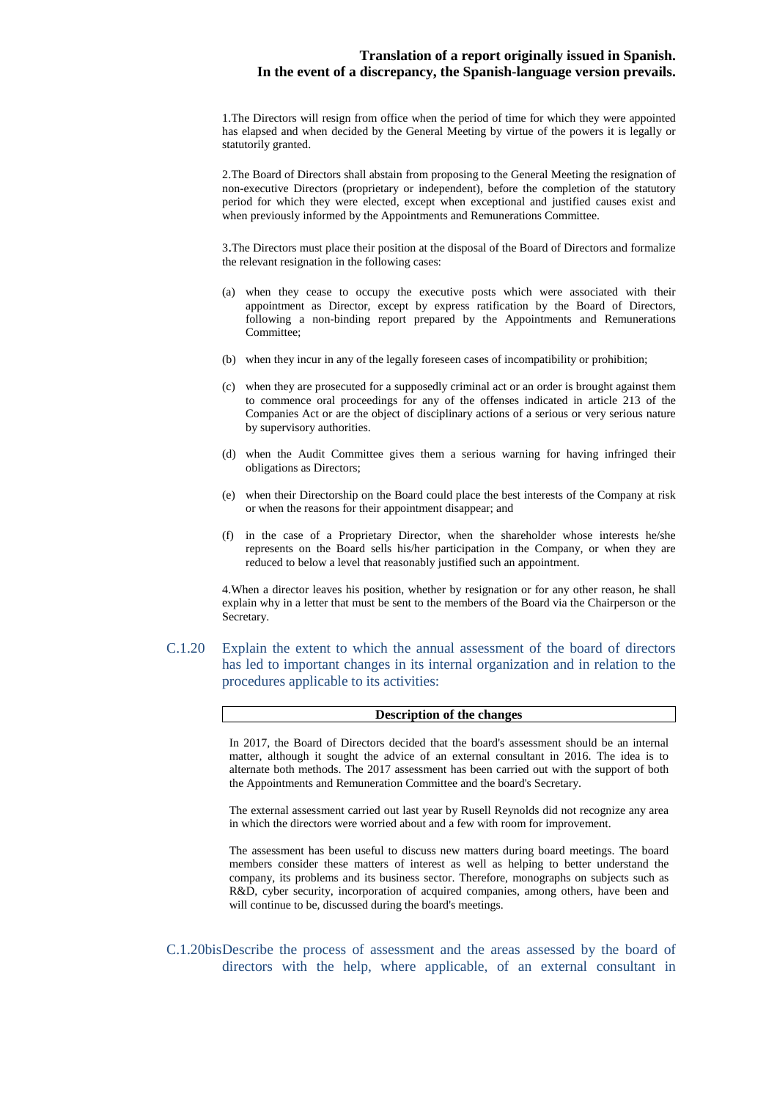1. The Directors will resign from office when the period of time for which they were appointed has elapsed and when decided by the General Meeting by virtue of the powers it is legally or statutorily granted.

2. The Board of Directors shall abstain from proposing to the General Meeting the resignation of non-executive Directors (proprietary or independent), before the completion of the statutory period for which they were elected, except when exceptional and justified causes exist and when previously informed by the Appointments and Remunerations Committee.

3.The Directors must place their position at the disposal of the Board of Directors and formalize the relevant resignation in the following cases:

- (a) when they cease to occupy the executive posts which were associated with their appointment as Director, except by express ratification by the Board of Directors, following a non-binding report prepared by the Appointments and Remunerations Committee;
- (b) when they incur in any of the legally foreseen cases of incompatibility or prohibition;
- (c) when they are prosecuted for a supposedly criminal act or an order is brought against them to commence oral proceedings for any of the offenses indicated in article 213 of the Companies Act or are the object of disciplinary actions of a serious or very serious nature by supervisory authorities.
- (d) when the Audit Committee gives them a serious warning for having infringed their obligations as Directors;
- (e) when their Directorship on the Board could place the best interests of the Company at risk or when the reasons for their appointment disappear; and
- (f) in the case of a Proprietary Director, when the shareholder whose interests he/she represents on the Board sells his/her participation in the Company, or when they are reduced to below a level that reasonably justified such an appointment.

4. When a director leaves his position, whether by resignation or for any other reason, he shall explain why in a letter that must be sent to the members of the Board via the Chairperson or the Secretary.

C.1.20 Explain the extent to which the annual assessment of the board of directors has led to important changes in its internal organization and in relation to the procedures applicable to its activities:

| <b>Description of the changes</b> |
|-----------------------------------|
|                                   |

In 2017, the Board of Directors decided that the board's assessment should be an internal matter, although it sought the advice of an external consultant in 2016. The idea is to alternate both methods. The 2017 assessment has been carried out with the support of both the Appointments and Remuneration Committee and the board's Secretary.

The external assessment carried out last year by Rusell Reynolds did not recognize any area in which the directors were worried about and a few with room for improvement.

The assessment has been useful to discuss new matters during board meetings. The board members consider these matters of interest as well as helping to better understand the company, its problems and its business sector. Therefore, monographs on subjects such as R&D, cyber security, incorporation of acquired companies, among others, have been and will continue to be, discussed during the board's meetings.

C.1.20bis Describe the process of assessment and the areas assessed by the board of directors with the help, where applicable, of an external consultant in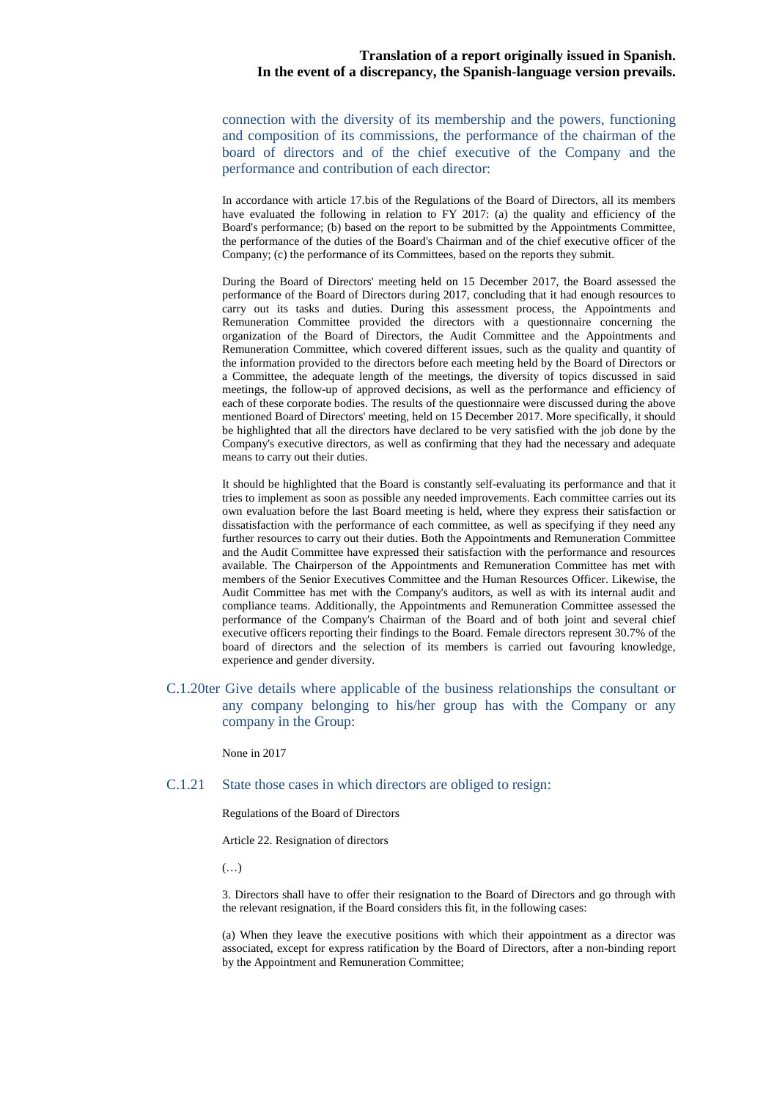connection with the diversity of its membership and the powers, functioning and composition of its commissions, the performance of the chairman of the board of directors and of the chief executive of the Company and the performance and contribution of each director:

In accordance with article 17.bis of the Regulations of the Board of Directors, all its members have evaluated the following in relation to FY 2017: (a) the quality and efficiency of the Board's performance; (b) based on the report to be submitted by the Appointments Committee, the performance of the duties of the Board's Chairman and of the chief executive officer of the Company; (c) the performance of its Committees, based on the reports they submit.

During the Board of Directors' meeting held on 15 December 2017, the Board assessed the performance of the Board of Directors during 2017, concluding that it had enough resources to carry out its tasks and duties. During this assessment process, the Appointments and Remuneration Committee provided the directors with a questionnaire concerning the organization of the Board of Directors, the Audit Committee and the Appointments and Remuneration Committee, which covered different issues, such as the quality and quantity of the information provided to the directors before each meeting held by the Board of Directors or a Committee, the adequate length of the meetings, the diversity of topics discussed in said meetings, the follow-up of approved decisions, as well as the performance and efficiency of each of these corporate bodies. The results of the questionnaire were discussed during the above mentioned Board of Directors' meeting, held on 15 December 2017. More specifically, it should be highlighted that all the directors have declared to be very satisfied with the job done by the Company's executive directors, as well as confirming that they had the necessary and adequate means to carry out their duties.

It should be highlighted that the Board is constantly self-evaluating its performance and that it tries to implement as soon as possible any needed improvements. Each committee carries out its own evaluation before the last Board meeting is held, where they express their satisfaction or dissatisfaction with the performance of each committee, as well as specifying if they need any further resources to carry out their duties. Both the Appointments and Remuneration Committee and the Audit Committee have expressed their satisfaction with the performance and resources available. The Chairperson of the Appointments and Remuneration Committee has met with members of the Senior Executives Committee and the Human Resources Officer. Likewise, the Audit Committee has met with the Company's auditors, as well as with its internal audit and compliance teams. Additionally, the Appointments and Remuneration Committee assessed the performance of the Company's Chairman of the Board and of both joint and several chief executive officers reporting their findings to the Board. Female directors represent 30.7% of the board of directors and the selection of its members is carried out favouring knowledge, experience and gender diversity.

C.1.20ter Give details where applicable of the business relationships the consultant or any company belonging to his/her group has with the Company or any company in the Group:

None in 2017

#### C.1.21 State those cases in which directors are obliged to resign:

Regulations of the Board of Directors

Article 22. Resignation of directors

(…)

3. Directors shall have to offer their resignation to the Board of Directors and go through with the relevant resignation, if the Board considers this fit, in the following cases:

(a) When they leave the executive positions with which their appointment as a director was associated, except for express ratification by the Board of Directors, after a non-binding report by the Appointment and Remuneration Committee;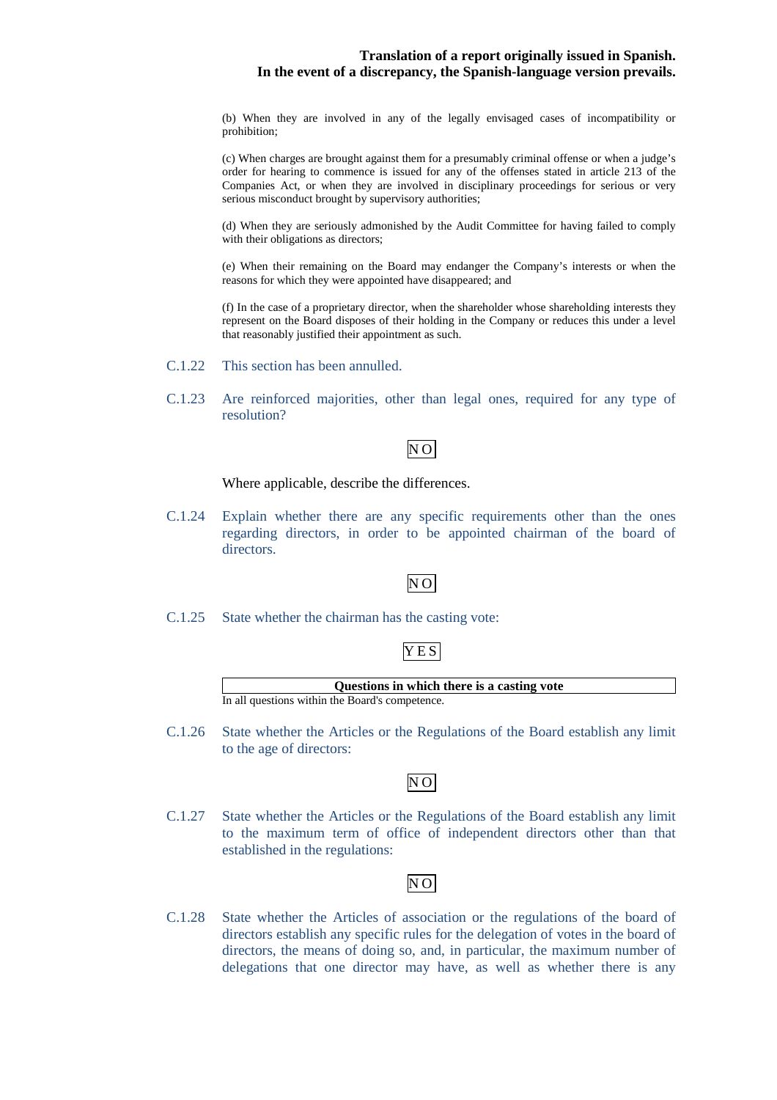(b) When they are involved in any of the legally envisaged cases of incompatibility or prohibition;

(c) When charges are brought against them for a presumably criminal offense or when a judge's order for hearing to commence is issued for any of the offenses stated in article 213 of the Companies Act, or when they are involved in disciplinary proceedings for serious or very serious misconduct brought by supervisory authorities;

(d) When they are seriously admonished by the Audit Committee for having failed to comply with their obligations as directors;

(e) When their remaining on the Board may endanger the Company's interests or when the reasons for which they were appointed have disappeared; and

(f) In the case of a proprietary director, when the shareholder whose shareholding interests they represent on the Board disposes of their holding in the Company or reduces this under a level that reasonably justified their appointment as such.

- C.1.22 This section has been annulled.
- C.1.23 Are reinforced majorities, other than legal ones, required for any type of resolution?

NO

Where applicable, describe the differences.

C.1.24 Explain whether there are any specific requirements other than the ones regarding directors, in order to be appointed chairman of the board of directors.

## NO

C.1.25 State whether the chairman has the casting vote:

## YES

**Questions in which there is a casting vote**  In all questions within the Board's competence.

C.1.26 State whether the Articles or the Regulations of the Board establish any limit to the age of directors:

## $\overline{N}$ O

C.1.27 State whether the Articles or the Regulations of the Board establish any limit to the maximum term of office of independent directors other than that established in the regulations:

# NO

C.1.28 State whether the Articles of association or the regulations of the board of directors establish any specific rules for the delegation of votes in the board of directors, the means of doing so, and, in particular, the maximum number of delegations that one director may have, as well as whether there is any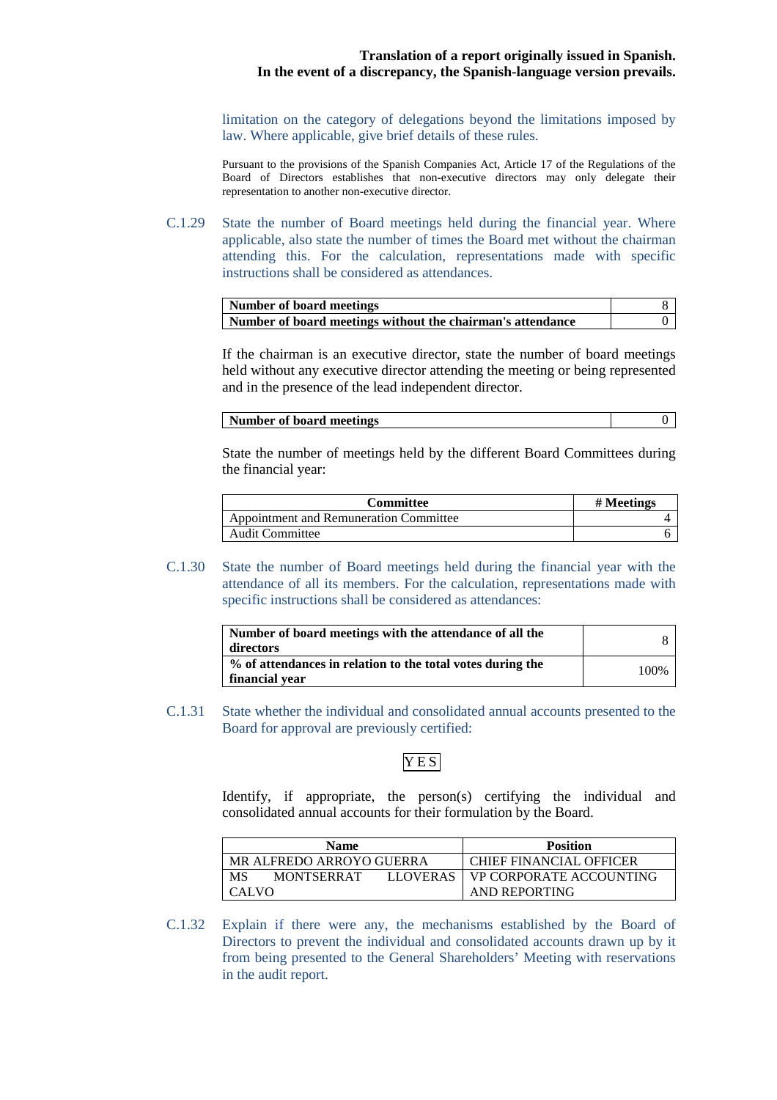limitation on the category of delegations beyond the limitations imposed by law. Where applicable, give brief details of these rules.

Pursuant to the provisions of the Spanish Companies Act, Article 17 of the Regulations of the Board of Directors establishes that non-executive directors may only delegate their representation to another non-executive director.

C.1.29 State the number of Board meetings held during the financial year. Where applicable, also state the number of times the Board met without the chairman attending this. For the calculation, representations made with specific instructions shall be considered as attendances.

| Number of board meetings                                   |  |
|------------------------------------------------------------|--|
| Number of board meetings without the chairman's attendance |  |

If the chairman is an executive director, state the number of board meetings held without any executive director attending the meeting or being represented and in the presence of the lead independent director.

#### **Number of board meetings** 0

State the number of meetings held by the different Board Committees during the financial year:

| <b>Committee</b>                              | # Meetings |
|-----------------------------------------------|------------|
| <b>Appointment and Remuneration Committee</b> |            |
| Audit Committee                               |            |

C.1.30 State the number of Board meetings held during the financial year with the attendance of all its members. For the calculation, representations made with specific instructions shall be considered as attendances:

| Number of board meetings with the attendance of all the<br>directors         |       |
|------------------------------------------------------------------------------|-------|
| % of attendances in relation to the total votes during the<br>financial year | 100\% |

C.1.31 State whether the individual and consolidated annual accounts presented to the Board for approval are previously certified:

## **YES**

Identify, if appropriate, the person(s) certifying the individual and consolidated annual accounts for their formulation by the Board.

| <b>Name</b>                                | <b>Position</b>         |
|--------------------------------------------|-------------------------|
| MR ALFREDO ARROYO GUERRA                   | CHIEF FINANCIAL OFFICER |
| MS<br><b>MONTSERRAT</b><br><b>LLOVERAS</b> | VP CORPORATE ACCOUNTING |
| <b>CALVO</b>                               | AND REPORTING           |

C.1.32 Explain if there were any, the mechanisms established by the Board of Directors to prevent the individual and consolidated accounts drawn up by it from being presented to the General Shareholders' Meeting with reservations in the audit report.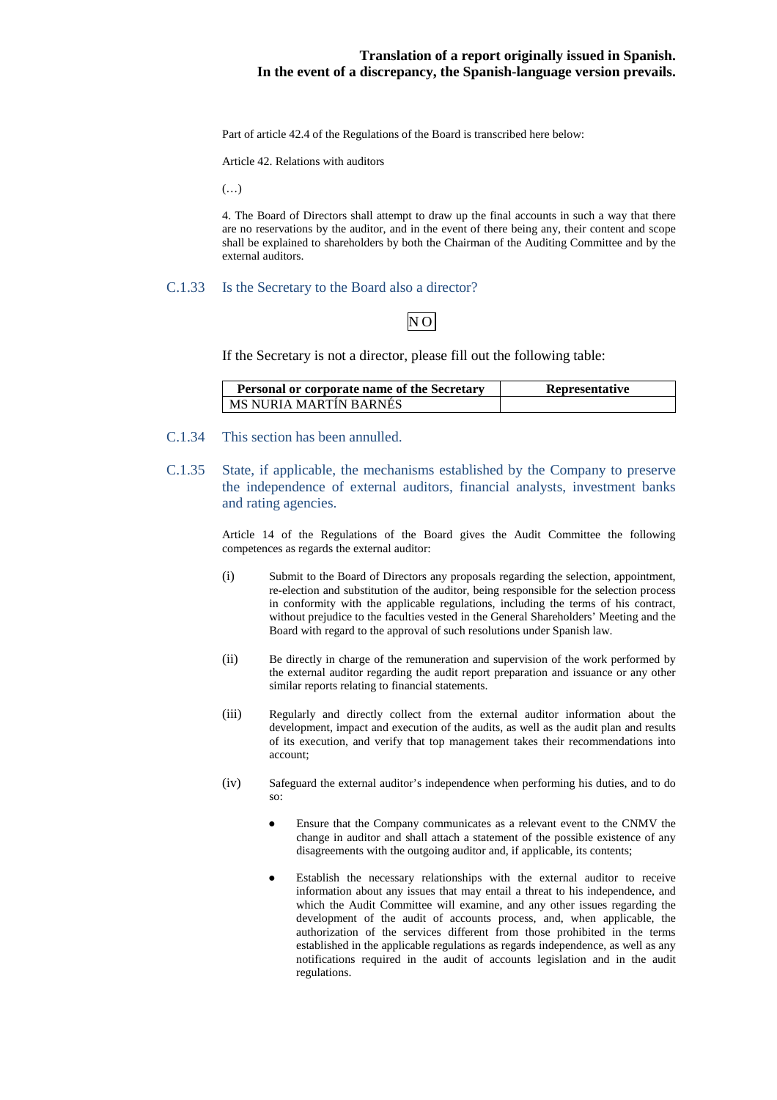Part of article 42.4 of the Regulations of the Board is transcribed here below:

Article 42. Relations with auditors

(…)

4. The Board of Directors shall attempt to draw up the final accounts in such a way that there are no reservations by the auditor, and in the event of there being any, their content and scope shall be explained to shareholders by both the Chairman of the Auditing Committee and by the external auditors.

#### C.1.33 Is the Secretary to the Board also a director?

# NO

If the Secretary is not a director, please fill out the following table:

| <b>Personal or corporate name of the Secretary</b> | <b>Representative</b> |
|----------------------------------------------------|-----------------------|
| LMS NURIA MARTIN BARNES                            |                       |

- C.1.34 This section has been annulled.
- C.1.35 State, if applicable, the mechanisms established by the Company to preserve the independence of external auditors, financial analysts, investment banks and rating agencies.

Article 14 of the Regulations of the Board gives the Audit Committee the following competences as regards the external auditor:

- (i) Submit to the Board of Directors any proposals regarding the selection, appointment, re-election and substitution of the auditor, being responsible for the selection process in conformity with the applicable regulations, including the terms of his contract, without prejudice to the faculties vested in the General Shareholders' Meeting and the Board with regard to the approval of such resolutions under Spanish law.
- (ii) Be directly in charge of the remuneration and supervision of the work performed by the external auditor regarding the audit report preparation and issuance or any other similar reports relating to financial statements.
- (iii) Regularly and directly collect from the external auditor information about the development, impact and execution of the audits, as well as the audit plan and results of its execution, and verify that top management takes their recommendations into account;
- (iv) Safeguard the external auditor's independence when performing his duties, and to do so:
	- Ensure that the Company communicates as a relevant event to the CNMV the change in auditor and shall attach a statement of the possible existence of any disagreements with the outgoing auditor and, if applicable, its contents;
	- Establish the necessary relationships with the external auditor to receive information about any issues that may entail a threat to his independence, and which the Audit Committee will examine, and any other issues regarding the development of the audit of accounts process, and, when applicable, the authorization of the services different from those prohibited in the terms established in the applicable regulations as regards independence, as well as any notifications required in the audit of accounts legislation and in the audit regulations.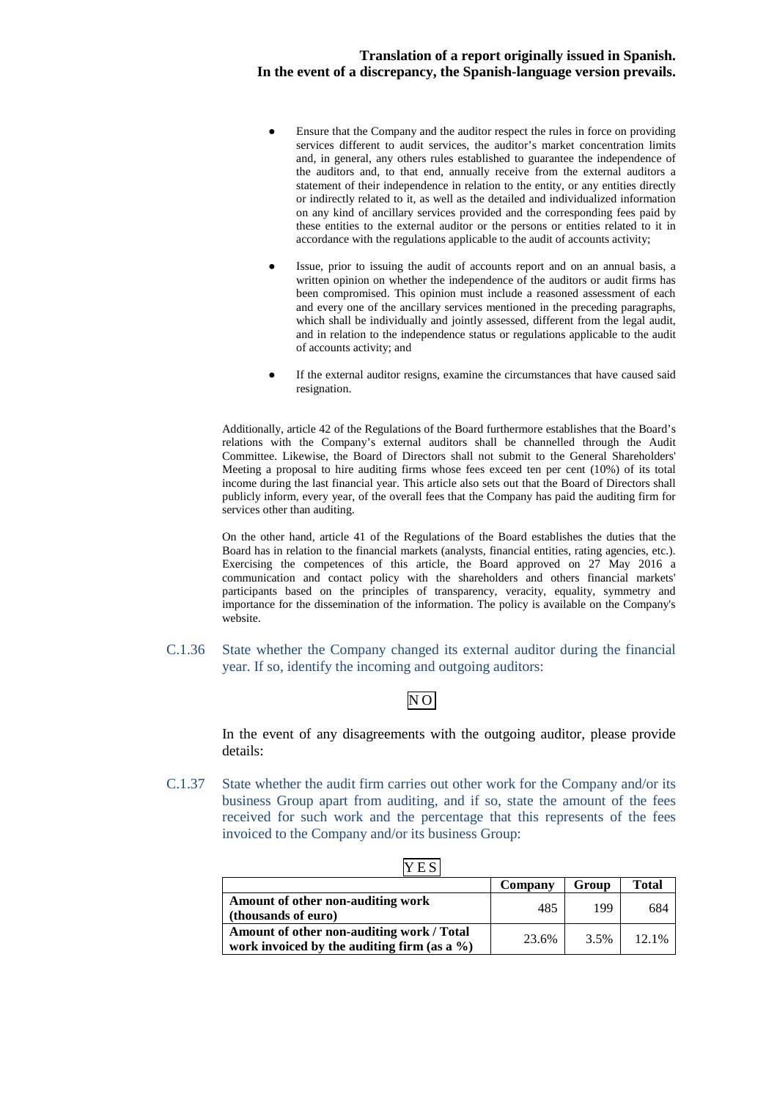- Ensure that the Company and the auditor respect the rules in force on providing services different to audit services, the auditor's market concentration limits and, in general, any others rules established to guarantee the independence of the auditors and, to that end, annually receive from the external auditors a statement of their independence in relation to the entity, or any entities directly or indirectly related to it, as well as the detailed and individualized information on any kind of ancillary services provided and the corresponding fees paid by these entities to the external auditor or the persons or entities related to it in accordance with the regulations applicable to the audit of accounts activity;
- Issue, prior to issuing the audit of accounts report and on an annual basis, a written opinion on whether the independence of the auditors or audit firms has been compromised. This opinion must include a reasoned assessment of each and every one of the ancillary services mentioned in the preceding paragraphs, which shall be individually and jointly assessed, different from the legal audit, and in relation to the independence status or regulations applicable to the audit of accounts activity; and
- If the external auditor resigns, examine the circumstances that have caused said resignation.

Additionally, article 42 of the Regulations of the Board furthermore establishes that the Board's relations with the Company's external auditors shall be channelled through the Audit Committee. Likewise, the Board of Directors shall not submit to the General Shareholders' Meeting a proposal to hire auditing firms whose fees exceed ten per cent (10%) of its total income during the last financial year. This article also sets out that the Board of Directors shall publicly inform, every year, of the overall fees that the Company has paid the auditing firm for services other than auditing.

On the other hand, article 41 of the Regulations of the Board establishes the duties that the Board has in relation to the financial markets (analysts, financial entities, rating agencies, etc.). Exercising the competences of this article, the Board approved on 27 May 2016 a communication and contact policy with the shareholders and others financial markets' participants based on the principles of transparency, veracity, equality, symmetry and importance for the dissemination of the information. The policy is available on the Company's website.

C.1.36 State whether the Company changed its external auditor during the financial year. If so, identify the incoming and outgoing auditors:

# $N<sub>O</sub>$

In the event of any disagreements with the outgoing auditor, please provide details:

C.1.37 State whether the audit firm carries out other work for the Company and/or its business Group apart from auditing, and if so, state the amount of the fees received for such work and the percentage that this represents of the fees invoiced to the Company and/or its business Group:

| .                                                                                            |         |       |       |
|----------------------------------------------------------------------------------------------|---------|-------|-------|
|                                                                                              | Company | Group | Total |
| Amount of other non-auditing work<br>(thousands of euro)                                     | 485     | 199   | 684   |
| Amount of other non-auditing work / Total<br>work invoiced by the auditing firm (as a $\%$ ) | 23.6%   | 3.5%  | 12.1% |

|--|--|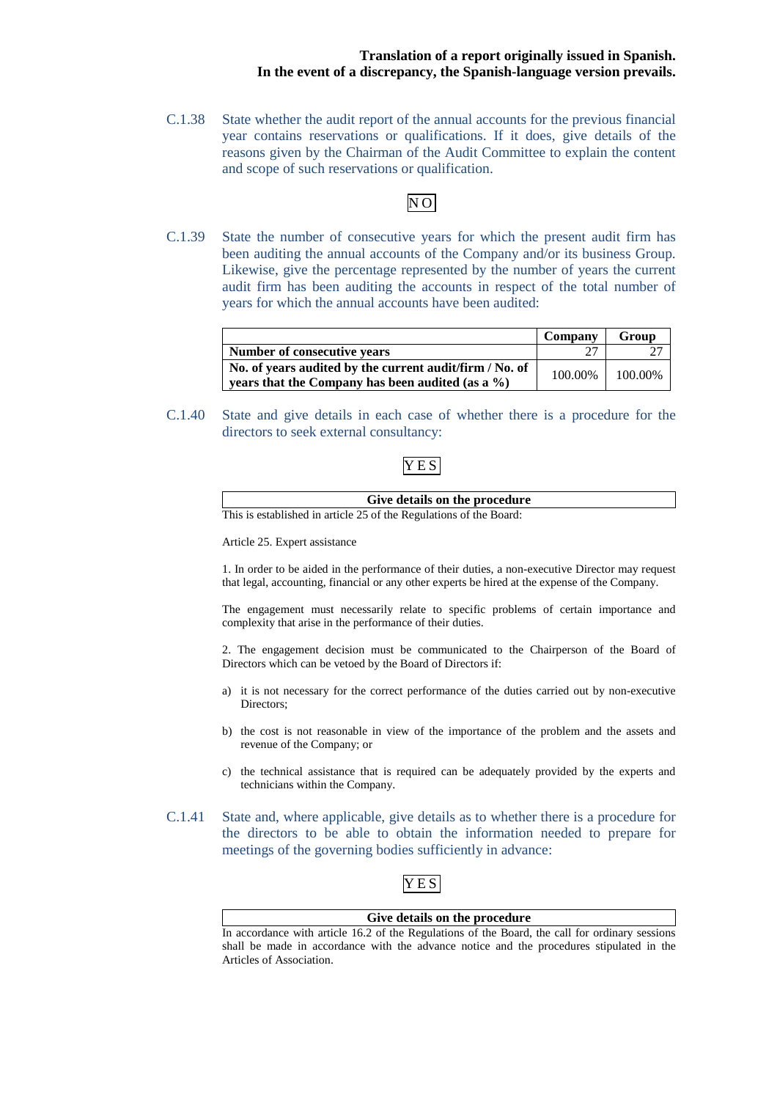C.1.38 State whether the audit report of the annual accounts for the previous financial year contains reservations or qualifications. If it does, give details of the reasons given by the Chairman of the Audit Committee to explain the content and scope of such reservations or qualification.

# NO

C.1.39 State the number of consecutive years for which the present audit firm has been auditing the annual accounts of the Company and/or its business Group. Likewise, give the percentage represented by the number of years the current audit firm has been auditing the accounts in respect of the total number of years for which the annual accounts have been audited:

|                                                                                                             | Company | Group           |
|-------------------------------------------------------------------------------------------------------------|---------|-----------------|
| Number of consecutive vears                                                                                 |         |                 |
| No. of years audited by the current audit/firm / No. of<br>years that the Company has been audited (as a %) |         | 100.00% 100.00% |

C.1.40 State and give details in each case of whether there is a procedure for the directors to seek external consultancy:

# YES

| Give details on the procedure                                 |
|---------------------------------------------------------------|
| is established in article 25 of the Regulations of the Board: |

Article 25. Expert assistance

1. In order to be aided in the performance of their duties, a non-executive Director may request that legal, accounting, financial or any other experts be hired at the expense of the Company.

The engagement must necessarily relate to specific problems of certain importance and complexity that arise in the performance of their duties.

2. The engagement decision must be communicated to the Chairperson of the Board of Directors which can be vetoed by the Board of Directors if:

- a) it is not necessary for the correct performance of the duties carried out by non-executive Directors;
- b) the cost is not reasonable in view of the importance of the problem and the assets and revenue of the Company; or
- c) the technical assistance that is required can be adequately provided by the experts and technicians within the Company.
- C.1.41 State and, where applicable, give details as to whether there is a procedure for the directors to be able to obtain the information needed to prepare for meetings of the governing bodies sufficiently in advance:

# YES

#### **Give details on the procedure**

In accordance with article 16.2 of the Regulations of the Board, the call for ordinary sessions shall be made in accordance with the advance notice and the procedures stipulated in the Articles of Association.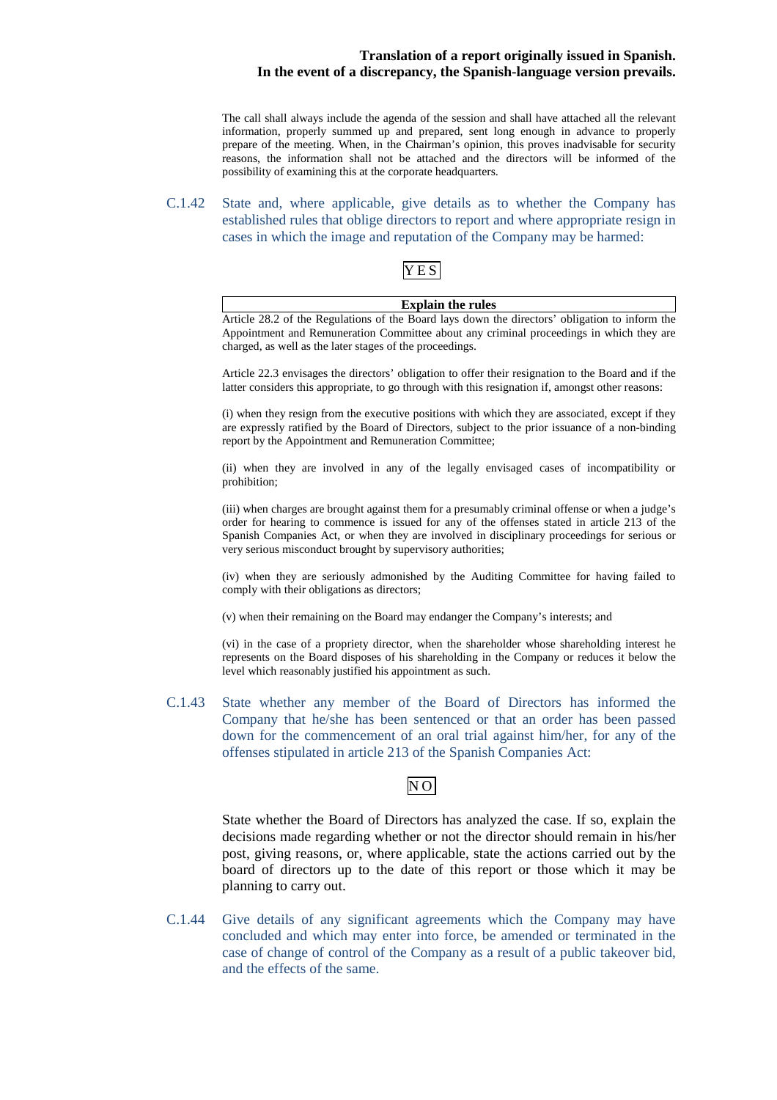The call shall always include the agenda of the session and shall have attached all the relevant information, properly summed up and prepared, sent long enough in advance to properly prepare of the meeting. When, in the Chairman's opinion, this proves inadvisable for security reasons, the information shall not be attached and the directors will be informed of the possibility of examining this at the corporate headquarters.

C.1.42 State and, where applicable, give details as to whether the Company has established rules that oblige directors to report and where appropriate resign in cases in which the image and reputation of the Company may be harmed:

# YES

charged, as well as the later stages of the proceedings.

| <b>Explain the rules</b>                                                                       |
|------------------------------------------------------------------------------------------------|
| Article 28.2 of the Regulations of the Board lays down the directors' obligation to inform the |
| Appointment and Remuneration Committee about any criminal proceedings in which they are        |

Article 22.3 envisages the directors' obligation to offer their resignation to the Board and if the latter considers this appropriate, to go through with this resignation if, amongst other reasons:

(i) when they resign from the executive positions with which they are associated, except if they are expressly ratified by the Board of Directors, subject to the prior issuance of a non-binding report by the Appointment and Remuneration Committee;

(ii) when they are involved in any of the legally envisaged cases of incompatibility or prohibition;

(iii) when charges are brought against them for a presumably criminal offense or when a judge's order for hearing to commence is issued for any of the offenses stated in article 213 of the Spanish Companies Act, or when they are involved in disciplinary proceedings for serious or very serious misconduct brought by supervisory authorities;

(iv) when they are seriously admonished by the Auditing Committee for having failed to comply with their obligations as directors;

(v) when their remaining on the Board may endanger the Company's interests; and

(vi) in the case of a propriety director, when the shareholder whose shareholding interest he represents on the Board disposes of his shareholding in the Company or reduces it below the level which reasonably justified his appointment as such.

C.1.43 State whether any member of the Board of Directors has informed the Company that he/she has been sentenced or that an order has been passed down for the commencement of an oral trial against him/her, for any of the offenses stipulated in article 213 of the Spanish Companies Act:

# $N$ O

State whether the Board of Directors has analyzed the case. If so, explain the decisions made regarding whether or not the director should remain in his/her post, giving reasons, or, where applicable, state the actions carried out by the board of directors up to the date of this report or those which it may be planning to carry out.

C.1.44 Give details of any significant agreements which the Company may have concluded and which may enter into force, be amended or terminated in the case of change of control of the Company as a result of a public takeover bid, and the effects of the same.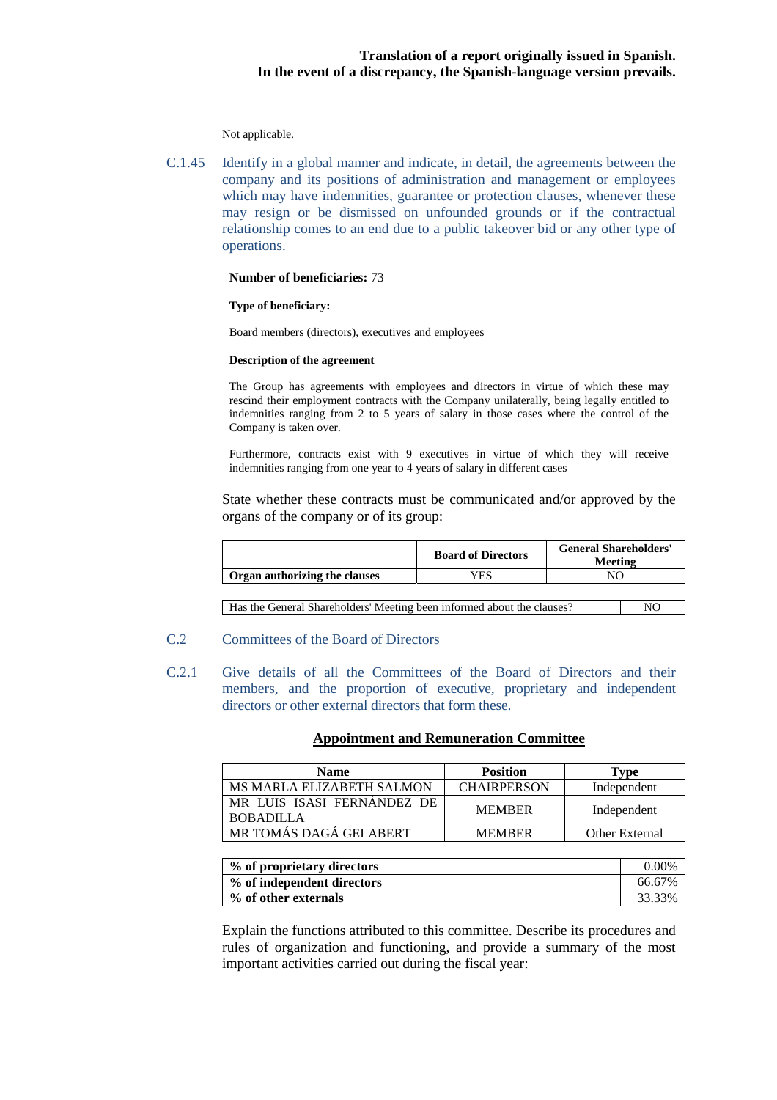Not applicable.

C.1.45 Identify in a global manner and indicate, in detail, the agreements between the company and its positions of administration and management or employees which may have indemnities, guarantee or protection clauses, whenever these may resign or be dismissed on unfounded grounds or if the contractual relationship comes to an end due to a public takeover bid or any other type of operations.

#### **Number of beneficiaries:** 73

#### **Type of beneficiary:**

Board members (directors), executives and employees

#### **Description of the agreement**

The Group has agreements with employees and directors in virtue of which these may rescind their employment contracts with the Company unilaterally, being legally entitled to indemnities ranging from 2 to 5 years of salary in those cases where the control of the Company is taken over.

Furthermore, contracts exist with 9 executives in virtue of which they will receive indemnities ranging from one year to 4 years of salary in different cases

State whether these contracts must be communicated and/or approved by the organs of the company or of its group:

|                               | <b>Board of Directors</b> | <b>General Shareholders'</b><br>Meeting |
|-------------------------------|---------------------------|-----------------------------------------|
| Organ authorizing the clauses | YES                       |                                         |
|                               |                           |                                         |

Has the General Shareholders' Meeting been informed about the clauses? NO

- C.2 Committees of the Board of Directors
- C.2.1 Give details of all the Committees of the Board of Directors and their members, and the proportion of executive, proprietary and independent directors or other external directors that form these.

#### **Appointment and Remuneration Committee**

| <b>Name</b>                                    | <b>Position</b>    | Type                  |
|------------------------------------------------|--------------------|-----------------------|
| <b>MS MARLA ELIZABETH SALMON</b>               | <b>CHAIRPERSON</b> | Independent           |
| MR LUIS ISASI FERNANDEZ DE<br><b>BOBADILLA</b> | <b>MEMBER</b>      | Independent           |
| MR TOMÁS DAGÁ GELABERT                         | <b>MEMBER</b>      | <b>Other External</b> |

| % of proprietary directors | $0.00\%$ |
|----------------------------|----------|
| % of independent directors | 66.67%   |
| % of other externals       | 33.33%   |

Explain the functions attributed to this committee. Describe its procedures and rules of organization and functioning, and provide a summary of the most important activities carried out during the fiscal year: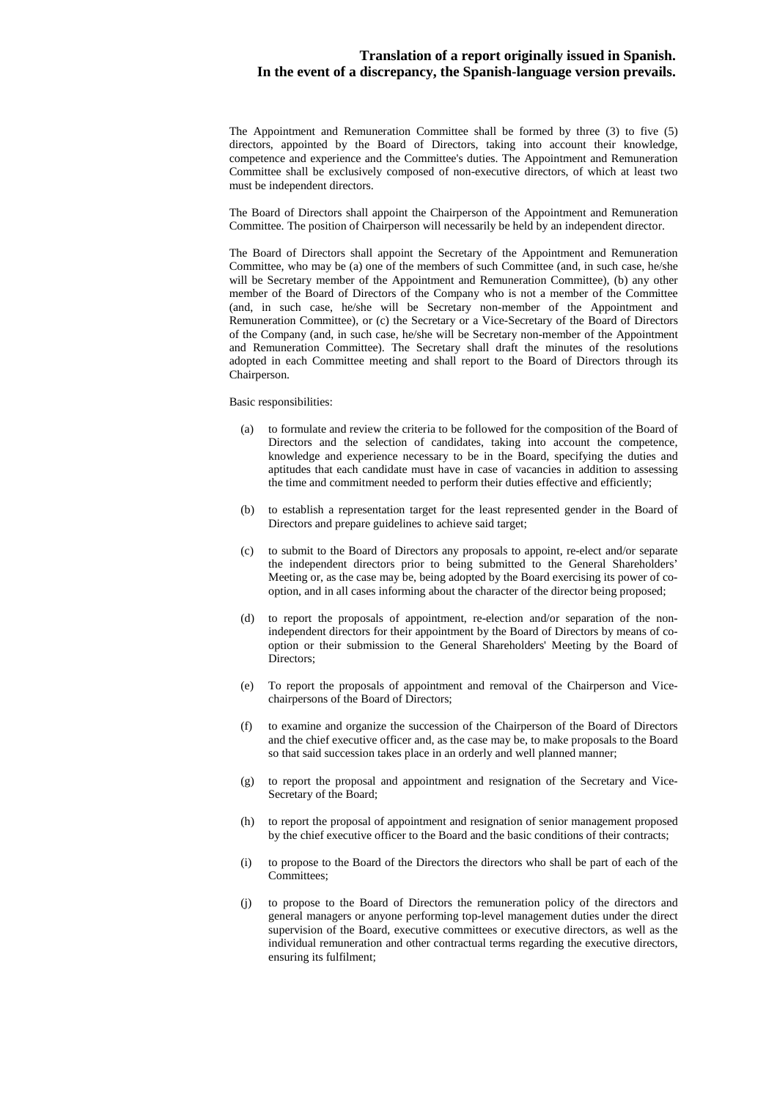The Appointment and Remuneration Committee shall be formed by three (3) to five (5) directors, appointed by the Board of Directors, taking into account their knowledge, competence and experience and the Committee's duties. The Appointment and Remuneration Committee shall be exclusively composed of non-executive directors, of which at least two must be independent directors.

The Board of Directors shall appoint the Chairperson of the Appointment and Remuneration Committee. The position of Chairperson will necessarily be held by an independent director.

The Board of Directors shall appoint the Secretary of the Appointment and Remuneration Committee, who may be (a) one of the members of such Committee (and, in such case, he/she will be Secretary member of the Appointment and Remuneration Committee), (b) any other member of the Board of Directors of the Company who is not a member of the Committee (and, in such case, he/she will be Secretary non-member of the Appointment and Remuneration Committee), or (c) the Secretary or a Vice-Secretary of the Board of Directors of the Company (and, in such case, he/she will be Secretary non-member of the Appointment and Remuneration Committee). The Secretary shall draft the minutes of the resolutions adopted in each Committee meeting and shall report to the Board of Directors through its Chairperson.

#### Basic responsibilities:

- (a) to formulate and review the criteria to be followed for the composition of the Board of Directors and the selection of candidates, taking into account the competence, knowledge and experience necessary to be in the Board, specifying the duties and aptitudes that each candidate must have in case of vacancies in addition to assessing the time and commitment needed to perform their duties effective and efficiently;
- (b) to establish a representation target for the least represented gender in the Board of Directors and prepare guidelines to achieve said target;
- (c) to submit to the Board of Directors any proposals to appoint, re-elect and/or separate the independent directors prior to being submitted to the General Shareholders' Meeting or, as the case may be, being adopted by the Board exercising its power of cooption, and in all cases informing about the character of the director being proposed;
- (d) to report the proposals of appointment, re-election and/or separation of the nonindependent directors for their appointment by the Board of Directors by means of cooption or their submission to the General Shareholders' Meeting by the Board of Directors;
- (e) To report the proposals of appointment and removal of the Chairperson and Vicechairpersons of the Board of Directors;
- (f) to examine and organize the succession of the Chairperson of the Board of Directors and the chief executive officer and, as the case may be, to make proposals to the Board so that said succession takes place in an orderly and well planned manner;
- (g) to report the proposal and appointment and resignation of the Secretary and Vice-Secretary of the Board;
- (h) to report the proposal of appointment and resignation of senior management proposed by the chief executive officer to the Board and the basic conditions of their contracts;
- (i) to propose to the Board of the Directors the directors who shall be part of each of the Committees;
- (j) to propose to the Board of Directors the remuneration policy of the directors and general managers or anyone performing top-level management duties under the direct supervision of the Board, executive committees or executive directors, as well as the individual remuneration and other contractual terms regarding the executive directors, ensuring its fulfilment;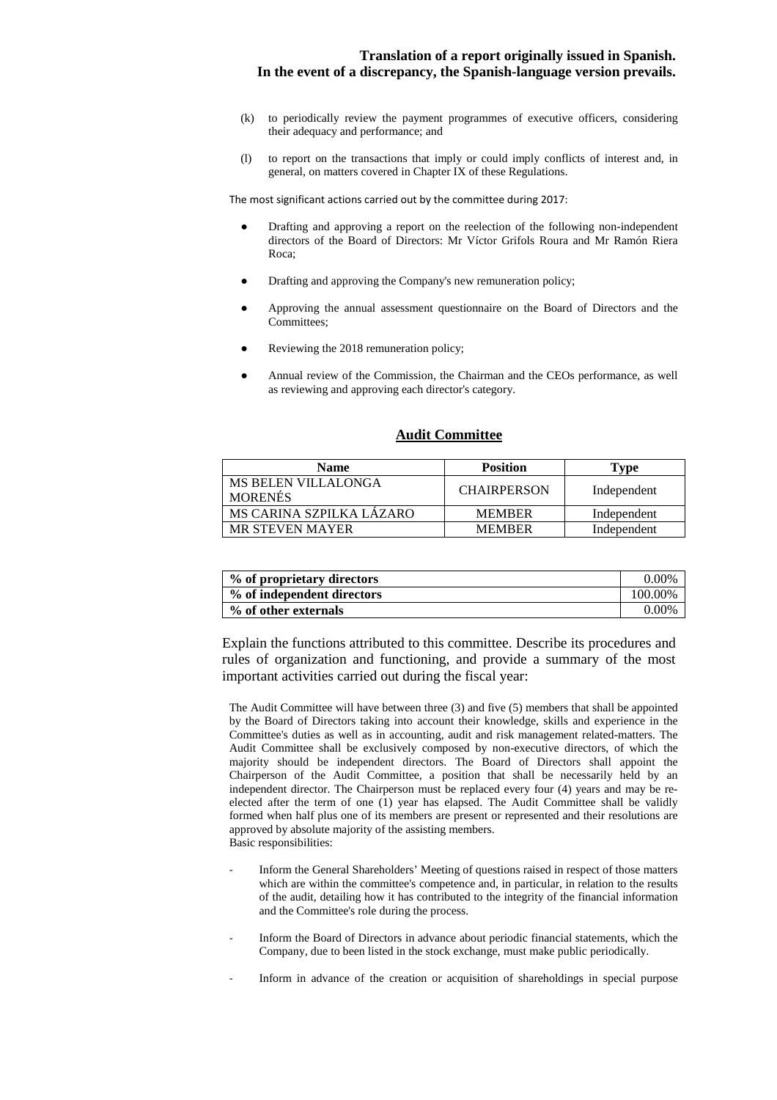- (k) to periodically review the payment programmes of executive officers, considering their adequacy and performance; and
- (l) to report on the transactions that imply or could imply conflicts of interest and, in general, on matters covered in Chapter IX of these Regulations.

The most significant actions carried out by the committee during 2017:

- Drafting and approving a report on the reelection of the following non-independent directors of the Board of Directors: Mr Víctor Grifols Roura and Mr Ramón Riera Roca;
- Drafting and approving the Company's new remuneration policy;
- Approving the annual assessment questionnaire on the Board of Directors and the Committees;
- Reviewing the 2018 remuneration policy;
- Annual review of the Commission, the Chairman and the CEOs performance, as well as reviewing and approving each director's category.

#### **Audit Committee**

| <b>Name</b>                           | <b>Position</b>    | Type        |
|---------------------------------------|--------------------|-------------|
| MS BELEN VILLALONGA<br><b>MORENÉS</b> | <b>CHAIRPERSON</b> | Independent |
| MS CARINA SZPILKA LÁZARO              | <b>MEMBER</b>      | Independent |
| <b>MR STEVEN MAYER</b>                | <b>MEMBER</b>      | Independent |

| % of proprietary directors | $0.00\%$ |
|----------------------------|----------|
| % of independent directors | 100.00%  |
| % of other externals       | $0.00\%$ |

Explain the functions attributed to this committee. Describe its procedures and rules of organization and functioning, and provide a summary of the most important activities carried out during the fiscal year:

The Audit Committee will have between three (3) and five (5) members that shall be appointed by the Board of Directors taking into account their knowledge, skills and experience in the Committee's duties as well as in accounting, audit and risk management related-matters. The Audit Committee shall be exclusively composed by non-executive directors, of which the majority should be independent directors. The Board of Directors shall appoint the Chairperson of the Audit Committee, a position that shall be necessarily held by an independent director. The Chairperson must be replaced every four (4) years and may be reelected after the term of one (1) year has elapsed. The Audit Committee shall be validly formed when half plus one of its members are present or represented and their resolutions are approved by absolute majority of the assisting members. Basic responsibilities:

- Inform the General Shareholders' Meeting of questions raised in respect of those matters which are within the committee's competence and, in particular, in relation to the results of the audit, detailing how it has contributed to the integrity of the financial information and the Committee's role during the process.
- Inform the Board of Directors in advance about periodic financial statements, which the Company, due to been listed in the stock exchange, must make public periodically.
- Inform in advance of the creation or acquisition of shareholdings in special purpose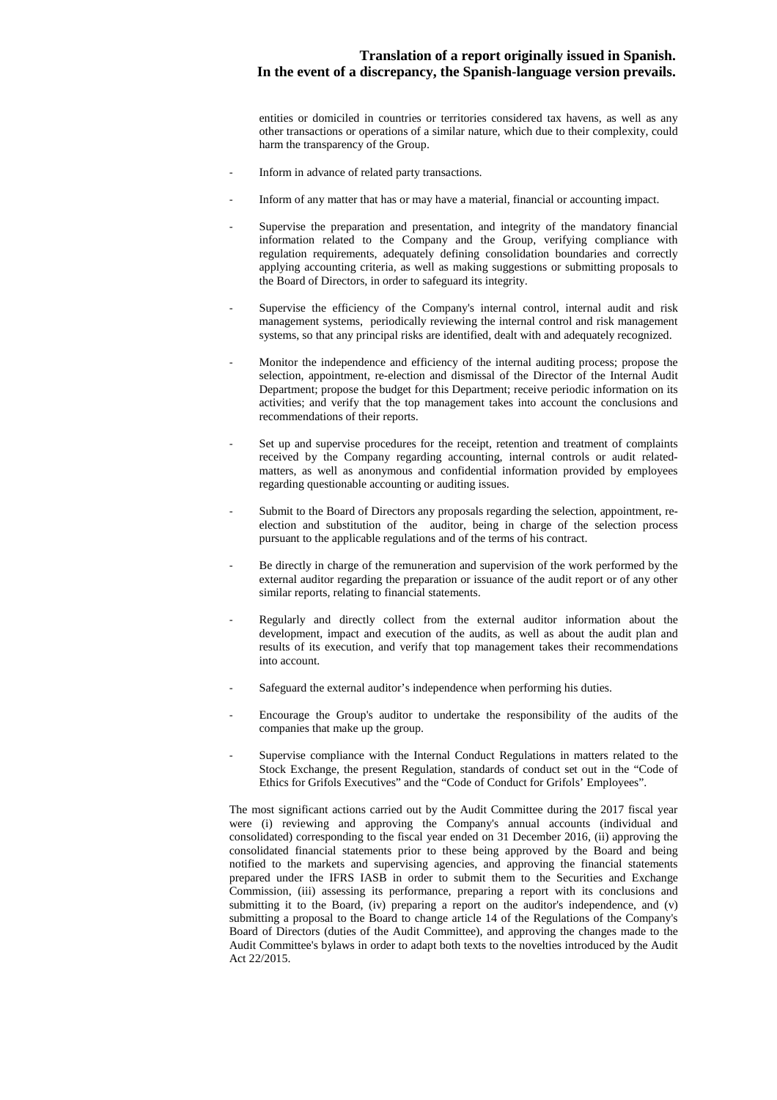entities or domiciled in countries or territories considered tax havens, as well as any other transactions or operations of a similar nature, which due to their complexity, could harm the transparency of the Group.

- Inform in advance of related party transactions.
- Inform of any matter that has or may have a material, financial or accounting impact.
- Supervise the preparation and presentation, and integrity of the mandatory financial information related to the Company and the Group, verifying compliance with regulation requirements, adequately defining consolidation boundaries and correctly applying accounting criteria, as well as making suggestions or submitting proposals to the Board of Directors, in order to safeguard its integrity.
- Supervise the efficiency of the Company's internal control, internal audit and risk management systems, periodically reviewing the internal control and risk management systems, so that any principal risks are identified, dealt with and adequately recognized.
- Monitor the independence and efficiency of the internal auditing process; propose the selection, appointment, re-election and dismissal of the Director of the Internal Audit Department; propose the budget for this Department; receive periodic information on its activities; and verify that the top management takes into account the conclusions and recommendations of their reports.
- Set up and supervise procedures for the receipt, retention and treatment of complaints received by the Company regarding accounting, internal controls or audit relatedmatters, as well as anonymous and confidential information provided by employees regarding questionable accounting or auditing issues.
- Submit to the Board of Directors any proposals regarding the selection, appointment, reelection and substitution of the auditor, being in charge of the selection process pursuant to the applicable regulations and of the terms of his contract.
- Be directly in charge of the remuneration and supervision of the work performed by the external auditor regarding the preparation or issuance of the audit report or of any other similar reports, relating to financial statements.
- Regularly and directly collect from the external auditor information about the development, impact and execution of the audits, as well as about the audit plan and results of its execution, and verify that top management takes their recommendations into account.
- Safeguard the external auditor's independence when performing his duties.
- Encourage the Group's auditor to undertake the responsibility of the audits of the companies that make up the group.
- Supervise compliance with the Internal Conduct Regulations in matters related to the Stock Exchange, the present Regulation, standards of conduct set out in the "Code of Ethics for Grifols Executives" and the "Code of Conduct for Grifols' Employees".

The most significant actions carried out by the Audit Committee during the 2017 fiscal year were (i) reviewing and approving the Company's annual accounts (individual and consolidated) corresponding to the fiscal year ended on 31 December 2016, (ii) approving the consolidated financial statements prior to these being approved by the Board and being notified to the markets and supervising agencies, and approving the financial statements prepared under the IFRS IASB in order to submit them to the Securities and Exchange Commission, (iii) assessing its performance, preparing a report with its conclusions and submitting it to the Board, (iv) preparing a report on the auditor's independence, and (v) submitting a proposal to the Board to change article 14 of the Regulations of the Company's Board of Directors (duties of the Audit Committee), and approving the changes made to the Audit Committee's bylaws in order to adapt both texts to the novelties introduced by the Audit Act 22/2015.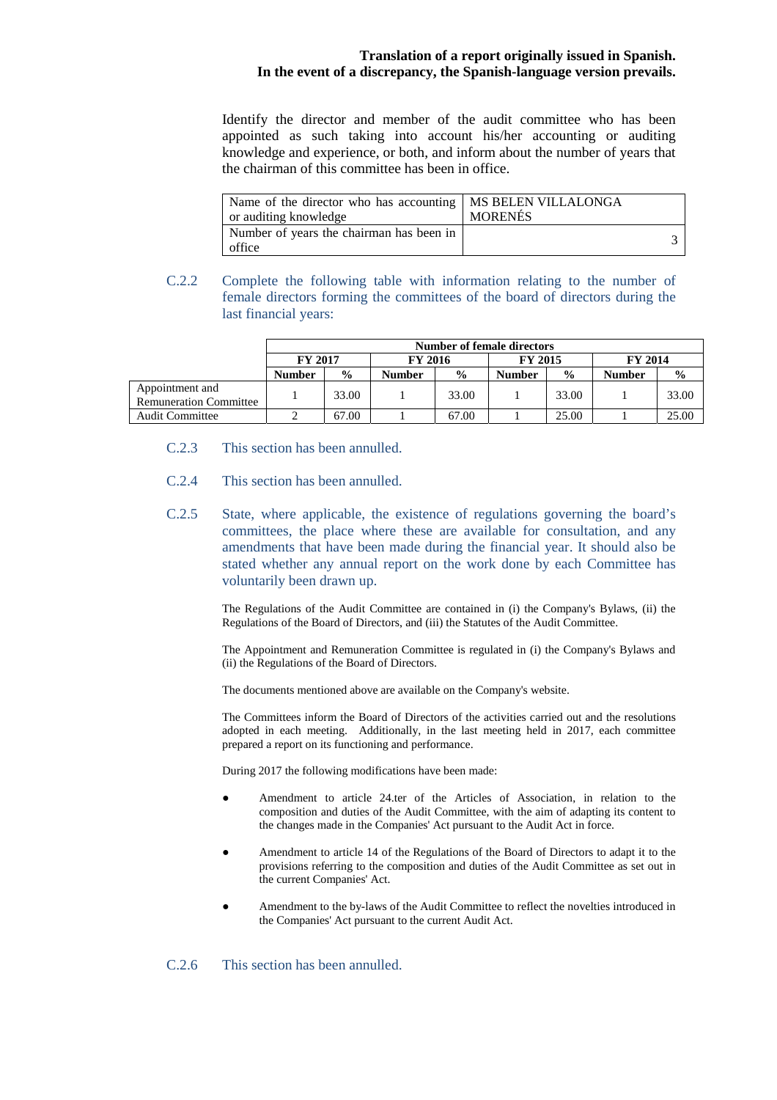Identify the director and member of the audit committee who has been appointed as such taking into account his/her accounting or auditing knowledge and experience, or both, and inform about the number of years that the chairman of this committee has been in office.

| Name of the director who has accounting   MS BELEN VILLALONGA<br>or auditing knowledge | <b>MORENÉS</b> |  |
|----------------------------------------------------------------------------------------|----------------|--|
| Number of years the chairman has been in<br>office                                     |                |  |

C.2.2 Complete the following table with information relating to the number of female directors forming the committees of the board of directors during the last financial years:

|                                                  | <b>Number of female directors</b> |               |                |               |                |               |        |               |
|--------------------------------------------------|-----------------------------------|---------------|----------------|---------------|----------------|---------------|--------|---------------|
|                                                  | <b>FY 2017</b><br><b>FY 2016</b>  |               | <b>FY 2015</b> |               | <b>FY 2014</b> |               |        |               |
|                                                  | <b>Number</b>                     | $\frac{0}{0}$ | <b>Number</b>  | $\frac{0}{0}$ | <b>Number</b>  | $\frac{0}{0}$ | Number | $\frac{0}{0}$ |
| Appointment and<br><b>Remuneration Committee</b> |                                   | 33.00         |                | 33.00         |                | 33.00         |        | 33.00         |
| <b>Audit Committee</b>                           |                                   | 67.00         |                | 67.00         |                | 25.00         |        | 25.00         |

- C.2.3 This section has been annulled.
- C.2.4 This section has been annulled.
- C.2.5 State, where applicable, the existence of regulations governing the board's committees, the place where these are available for consultation, and any amendments that have been made during the financial year. It should also be stated whether any annual report on the work done by each Committee has voluntarily been drawn up.

The Regulations of the Audit Committee are contained in (i) the Company's Bylaws, (ii) the Regulations of the Board of Directors, and (iii) the Statutes of the Audit Committee.

The Appointment and Remuneration Committee is regulated in (i) the Company's Bylaws and (ii) the Regulations of the Board of Directors.

The documents mentioned above are available on the Company's website.

The Committees inform the Board of Directors of the activities carried out and the resolutions adopted in each meeting. Additionally, in the last meeting held in 2017, each committee prepared a report on its functioning and performance.

During 2017 the following modifications have been made:

- Amendment to article 24.ter of the Articles of Association, in relation to the composition and duties of the Audit Committee, with the aim of adapting its content to the changes made in the Companies' Act pursuant to the Audit Act in force.
- Amendment to article 14 of the Regulations of the Board of Directors to adapt it to the provisions referring to the composition and duties of the Audit Committee as set out in the current Companies' Act.
- Amendment to the by-laws of the Audit Committee to reflect the novelties introduced in the Companies' Act pursuant to the current Audit Act.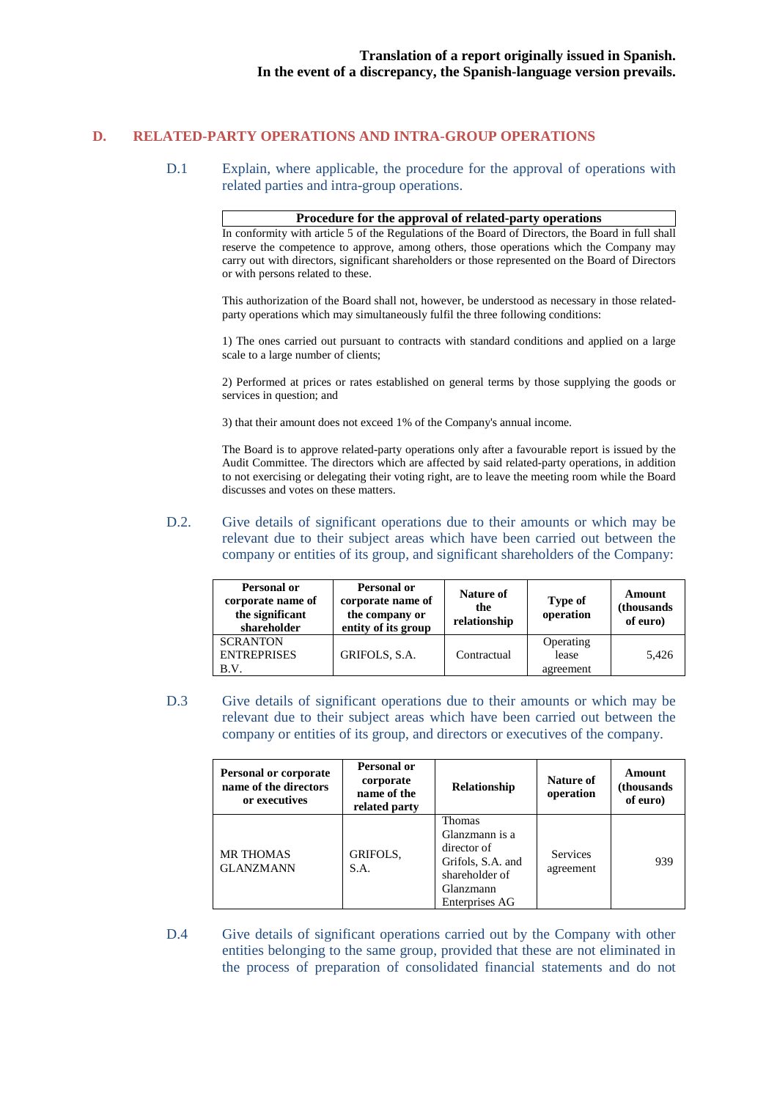# **D. RELATED-PARTY OPERATIONS AND INTRA-GROUP OPERATIONS**

D.1 Explain, where applicable, the procedure for the approval of operations with related parties and intra-group operations.

#### **Procedure for the approval of related-party operations**

In conformity with article 5 of the Regulations of the Board of Directors, the Board in full shall reserve the competence to approve, among others, those operations which the Company may carry out with directors, significant shareholders or those represented on the Board of Directors or with persons related to these.

This authorization of the Board shall not, however, be understood as necessary in those relatedparty operations which may simultaneously fulfil the three following conditions:

1) The ones carried out pursuant to contracts with standard conditions and applied on a large scale to a large number of clients;

2) Performed at prices or rates established on general terms by those supplying the goods or services in question; and

3) that their amount does not exceed 1% of the Company's annual income.

The Board is to approve related-party operations only after a favourable report is issued by the Audit Committee. The directors which are affected by said related-party operations, in addition to not exercising or delegating their voting right, are to leave the meeting room while the Board discusses and votes on these matters.

D.2. Give details of significant operations due to their amounts or which may be relevant due to their subject areas which have been carried out between the company or entities of its group, and significant shareholders of the Company:

| Personal or<br>corporate name of<br>the significant<br>shareholder | Personal or<br>corporate name of<br>the company or<br>entity of its group | Nature of<br>the<br>relationship | Type of<br>operation            | Amount<br>(thousands)<br>of euro) |
|--------------------------------------------------------------------|---------------------------------------------------------------------------|----------------------------------|---------------------------------|-----------------------------------|
| <b>SCRANTON</b><br><b>ENTREPRISES</b><br>B.V.                      | GRIFOLS, S.A.                                                             | Contractual                      | Operating<br>lease<br>agreement | 5.426                             |

D.3 Give details of significant operations due to their amounts or which may be relevant due to their subject areas which have been carried out between the company or entities of its group, and directors or executives of the company.

| Personal or corporate<br>name of the directors<br>or executives | Personal or<br>corporate<br>name of the<br>related party | <b>Relationship</b>                                                                                           | Nature of<br>operation       | Amount<br>(thousands)<br>of euro) |
|-----------------------------------------------------------------|----------------------------------------------------------|---------------------------------------------------------------------------------------------------------------|------------------------------|-----------------------------------|
| <b>MR THOMAS</b><br><b>GLANZMANN</b>                            | GRIFOLS,<br>S.A.                                         | Thomas<br>Glanzmann is a<br>director of<br>Grifols, S.A. and<br>shareholder of<br>Glanzmann<br>Enterprises AG | <b>Services</b><br>agreement | 939                               |

D.4 Give details of significant operations carried out by the Company with other entities belonging to the same group, provided that these are not eliminated in the process of preparation of consolidated financial statements and do not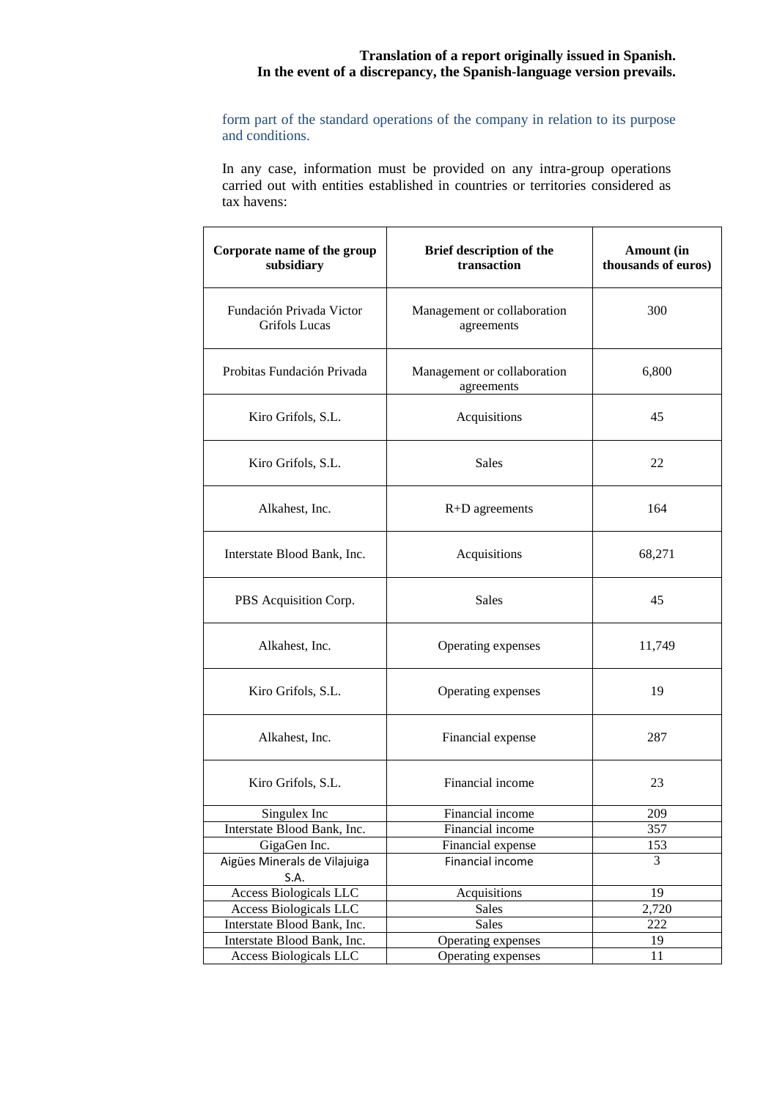form part of the standard operations of the company in relation to its purpose and conditions.

In any case, information must be provided on any intra-group operations carried out with entities established in countries or territories considered as tax havens:

| Corporate name of the group<br>subsidiary | Brief description of the<br>transaction   | Amount (in<br>thousands of euros) |
|-------------------------------------------|-------------------------------------------|-----------------------------------|
| Fundación Privada Victor<br>Grifols Lucas | Management or collaboration<br>agreements | 300                               |
| Probitas Fundación Privada                | Management or collaboration<br>agreements | 6,800                             |
| Kiro Grifols, S.L.                        | Acquisitions                              | 45                                |
| Kiro Grifols, S.L.                        | <b>Sales</b>                              | 22                                |
| Alkahest, Inc.                            | $R+D$ agreements                          | 164                               |
| Interstate Blood Bank, Inc.               | Acquisitions                              | 68,271                            |
| PBS Acquisition Corp.                     | <b>Sales</b>                              | 45                                |
| Alkahest, Inc.                            | Operating expenses                        | 11,749                            |
| Kiro Grifols, S.L.                        | Operating expenses                        | 19                                |
| Alkahest, Inc.                            | Financial expense                         | 287                               |
| Kiro Grifols, S.L.                        | Financial income                          | 23                                |
| Singulex Inc                              | Financial income                          | 209                               |
| Interstate Blood Bank, Inc.               | Financial income                          | 357                               |
| GigaGen Inc.                              | Financial expense                         | 153                               |
| Aigües Minerals de Vilajuiga<br>S.A.      | Financial income                          | 3                                 |
| Access Biologicals LLC                    | Acquisitions                              | 19                                |
| Access Biologicals LLC                    | Sales                                     | 2,720                             |
| Interstate Blood Bank, Inc.               | Sales                                     | 222                               |
| Interstate Blood Bank, Inc.               | Operating expenses                        | 19                                |
| <b>Access Biologicals LLC</b>             | Operating expenses                        | 11                                |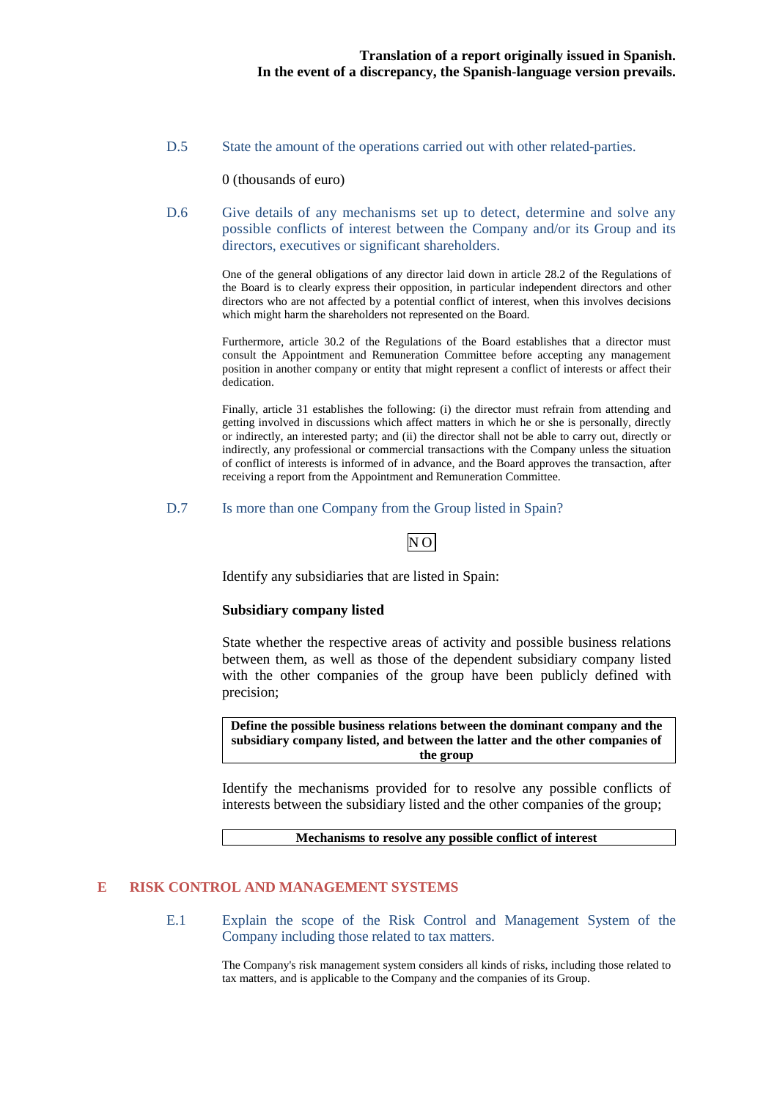D.5 State the amount of the operations carried out with other related-parties.

0 (thousands of euro)

D.6 Give details of any mechanisms set up to detect, determine and solve any possible conflicts of interest between the Company and/or its Group and its directors, executives or significant shareholders.

> One of the general obligations of any director laid down in article 28.2 of the Regulations of the Board is to clearly express their opposition, in particular independent directors and other directors who are not affected by a potential conflict of interest, when this involves decisions which might harm the shareholders not represented on the Board.

> Furthermore, article 30.2 of the Regulations of the Board establishes that a director must consult the Appointment and Remuneration Committee before accepting any management position in another company or entity that might represent a conflict of interests or affect their dedication.

> Finally, article 31 establishes the following: (i) the director must refrain from attending and getting involved in discussions which affect matters in which he or she is personally, directly or indirectly, an interested party; and (ii) the director shall not be able to carry out, directly or indirectly, any professional or commercial transactions with the Company unless the situation of conflict of interests is informed of in advance, and the Board approves the transaction, after receiving a report from the Appointment and Remuneration Committee.

#### D.7 Is more than one Company from the Group listed in Spain?

# NO

Identify any subsidiaries that are listed in Spain:

#### **Subsidiary company listed**

State whether the respective areas of activity and possible business relations between them, as well as those of the dependent subsidiary company listed with the other companies of the group have been publicly defined with precision;

**Define the possible business relations between the dominant company and the subsidiary company listed, and between the latter and the other companies of the group** 

Identify the mechanisms provided for to resolve any possible conflicts of interests between the subsidiary listed and the other companies of the group;

**Mechanisms to resolve any possible conflict of interest** 

#### **E RISK CONTROL AND MANAGEMENT SYSTEMS**

E.1 Explain the scope of the Risk Control and Management System of the Company including those related to tax matters.

> The Company's risk management system considers all kinds of risks, including those related to tax matters, and is applicable to the Company and the companies of its Group.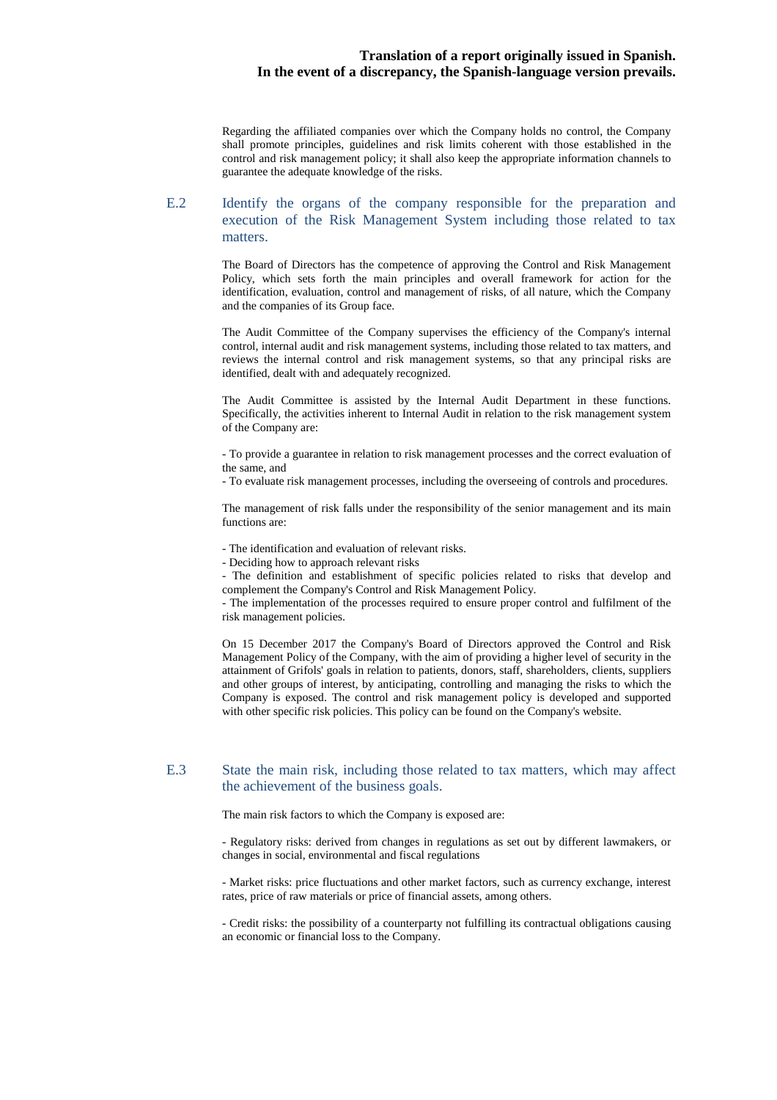Regarding the affiliated companies over which the Company holds no control, the Company shall promote principles, guidelines and risk limits coherent with those established in the control and risk management policy; it shall also keep the appropriate information channels to guarantee the adequate knowledge of the risks.

#### E.2 Identify the organs of the company responsible for the preparation and execution of the Risk Management System including those related to tax matters.

The Board of Directors has the competence of approving the Control and Risk Management Policy, which sets forth the main principles and overall framework for action for the identification, evaluation, control and management of risks, of all nature, which the Company and the companies of its Group face.

The Audit Committee of the Company supervises the efficiency of the Company's internal control, internal audit and risk management systems, including those related to tax matters, and reviews the internal control and risk management systems, so that any principal risks are identified, dealt with and adequately recognized.

The Audit Committee is assisted by the Internal Audit Department in these functions. Specifically, the activities inherent to Internal Audit in relation to the risk management system of the Company are:

- To provide a guarantee in relation to risk management processes and the correct evaluation of the same, and

- To evaluate risk management processes, including the overseeing of controls and procedures.

The management of risk falls under the responsibility of the senior management and its main functions are:

- The identification and evaluation of relevant risks.

- Deciding how to approach relevant risks

- The definition and establishment of specific policies related to risks that develop and complement the Company's Control and Risk Management Policy.

- The implementation of the processes required to ensure proper control and fulfilment of the risk management policies.

On 15 December 2017 the Company's Board of Directors approved the Control and Risk Management Policy of the Company, with the aim of providing a higher level of security in the attainment of Grifols' goals in relation to patients, donors, staff, shareholders, clients, suppliers and other groups of interest, by anticipating, controlling and managing the risks to which the Company is exposed. The control and risk management policy is developed and supported with other specific risk policies. This policy can be found on the Company's website.

#### E.3 State the main risk, including those related to tax matters, which may affect the achievement of the business goals.

The main risk factors to which the Company is exposed are:

- Regulatory risks: derived from changes in regulations as set out by different lawmakers, or changes in social, environmental and fiscal regulations

- Market risks: price fluctuations and other market factors, such as currency exchange, interest rates, price of raw materials or price of financial assets, among others.

- Credit risks: the possibility of a counterparty not fulfilling its contractual obligations causing an economic or financial loss to the Company.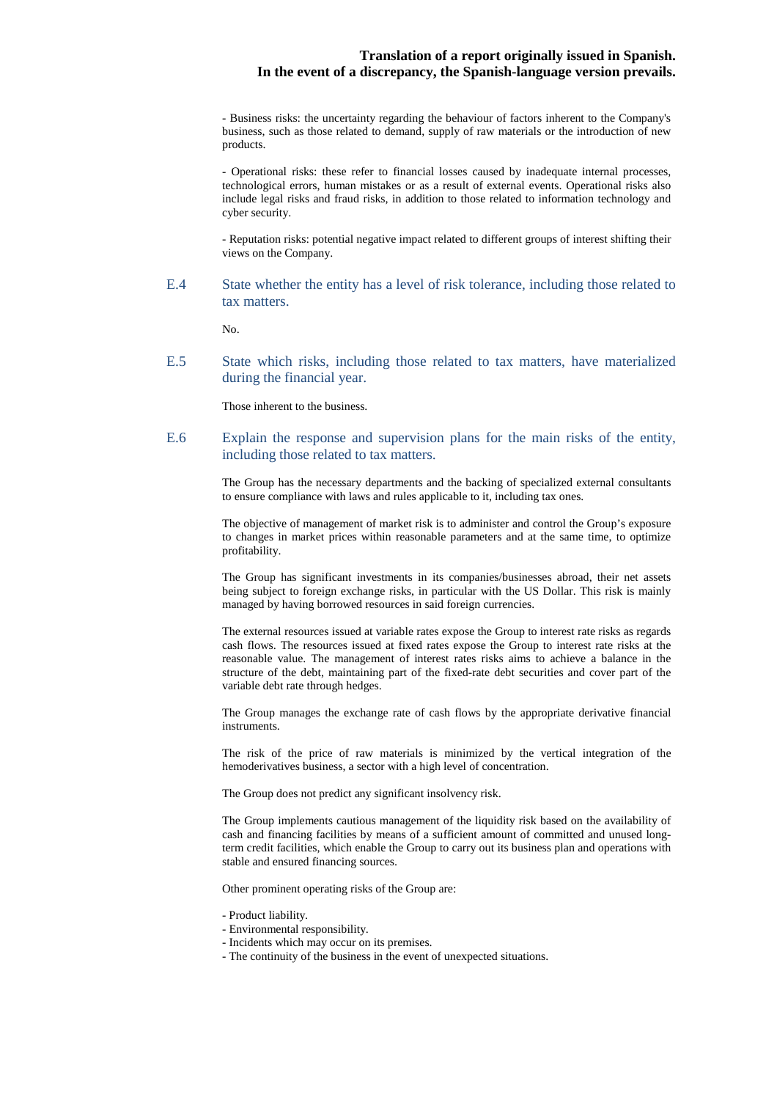- Business risks: the uncertainty regarding the behaviour of factors inherent to the Company's business, such as those related to demand, supply of raw materials or the introduction of new products.

- Operational risks: these refer to financial losses caused by inadequate internal processes, technological errors, human mistakes or as a result of external events. Operational risks also include legal risks and fraud risks, in addition to those related to information technology and cyber security.

- Reputation risks: potential negative impact related to different groups of interest shifting their views on the Company.

E.4 State whether the entity has a level of risk tolerance, including those related to tax matters.

No.

E.5 State which risks, including those related to tax matters, have materialized during the financial year.

Those inherent to the business.

E.6 Explain the response and supervision plans for the main risks of the entity, including those related to tax matters.

> The Group has the necessary departments and the backing of specialized external consultants to ensure compliance with laws and rules applicable to it, including tax ones.

> The objective of management of market risk is to administer and control the Group's exposure to changes in market prices within reasonable parameters and at the same time, to optimize profitability.

> The Group has significant investments in its companies/businesses abroad, their net assets being subject to foreign exchange risks, in particular with the US Dollar. This risk is mainly managed by having borrowed resources in said foreign currencies.

> The external resources issued at variable rates expose the Group to interest rate risks as regards cash flows. The resources issued at fixed rates expose the Group to interest rate risks at the reasonable value. The management of interest rates risks aims to achieve a balance in the structure of the debt, maintaining part of the fixed-rate debt securities and cover part of the variable debt rate through hedges.

> The Group manages the exchange rate of cash flows by the appropriate derivative financial instruments.

> The risk of the price of raw materials is minimized by the vertical integration of the hemoderivatives business, a sector with a high level of concentration.

The Group does not predict any significant insolvency risk.

The Group implements cautious management of the liquidity risk based on the availability of cash and financing facilities by means of a sufficient amount of committed and unused longterm credit facilities, which enable the Group to carry out its business plan and operations with stable and ensured financing sources.

Other prominent operating risks of the Group are:

- Product liability.
- Environmental responsibility.
- Incidents which may occur on its premises.
- The continuity of the business in the event of unexpected situations.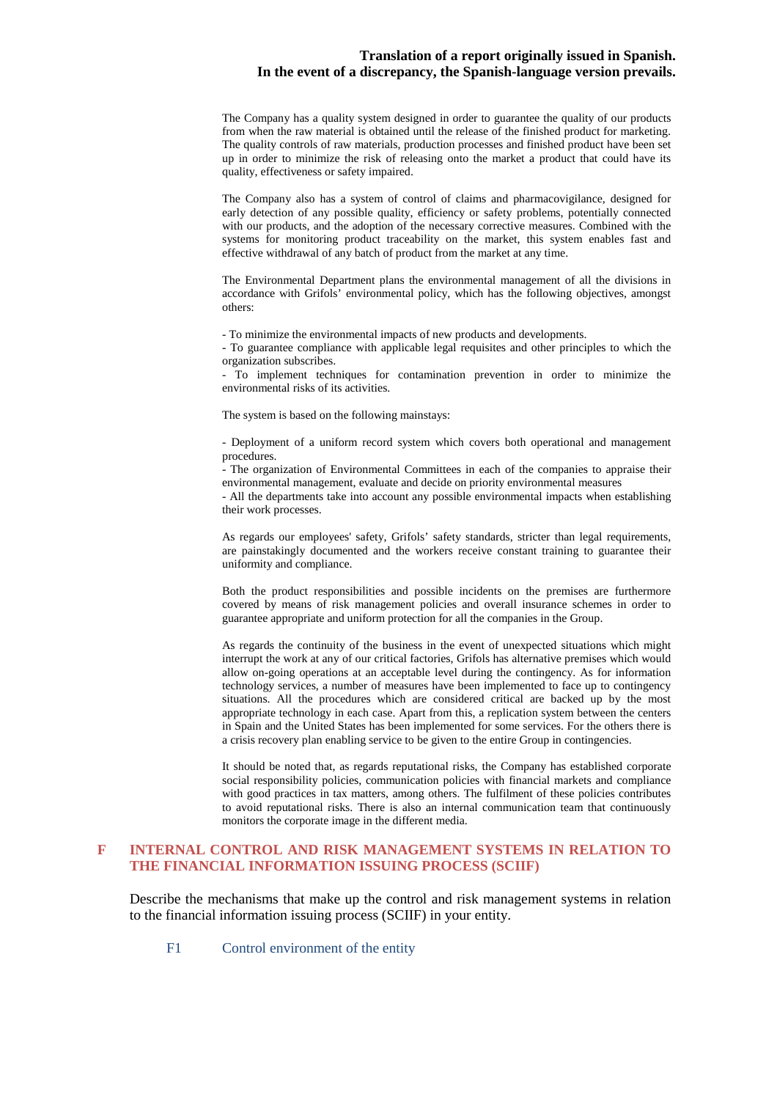The Company has a quality system designed in order to guarantee the quality of our products from when the raw material is obtained until the release of the finished product for marketing. The quality controls of raw materials, production processes and finished product have been set up in order to minimize the risk of releasing onto the market a product that could have its quality, effectiveness or safety impaired.

The Company also has a system of control of claims and pharmacovigilance, designed for early detection of any possible quality, efficiency or safety problems, potentially connected with our products, and the adoption of the necessary corrective measures. Combined with the systems for monitoring product traceability on the market, this system enables fast and effective withdrawal of any batch of product from the market at any time.

The Environmental Department plans the environmental management of all the divisions in accordance with Grifols' environmental policy, which has the following objectives, amongst others:

- To minimize the environmental impacts of new products and developments.

- To guarantee compliance with applicable legal requisites and other principles to which the organization subscribes.

- To implement techniques for contamination prevention in order to minimize the environmental risks of its activities.

The system is based on the following mainstays:

- Deployment of a uniform record system which covers both operational and management procedures.

- The organization of Environmental Committees in each of the companies to appraise their environmental management, evaluate and decide on priority environmental measures

- All the departments take into account any possible environmental impacts when establishing their work processes.

As regards our employees' safety, Grifols' safety standards, stricter than legal requirements, are painstakingly documented and the workers receive constant training to guarantee their uniformity and compliance.

Both the product responsibilities and possible incidents on the premises are furthermore covered by means of risk management policies and overall insurance schemes in order to guarantee appropriate and uniform protection for all the companies in the Group.

As regards the continuity of the business in the event of unexpected situations which might interrupt the work at any of our critical factories, Grifols has alternative premises which would allow on-going operations at an acceptable level during the contingency. As for information technology services, a number of measures have been implemented to face up to contingency situations. All the procedures which are considered critical are backed up by the most appropriate technology in each case. Apart from this, a replication system between the centers in Spain and the United States has been implemented for some services. For the others there is a crisis recovery plan enabling service to be given to the entire Group in contingencies.

It should be noted that, as regards reputational risks, the Company has established corporate social responsibility policies, communication policies with financial markets and compliance with good practices in tax matters, among others. The fulfilment of these policies contributes to avoid reputational risks. There is also an internal communication team that continuously monitors the corporate image in the different media.

#### **F INTERNAL CONTROL AND RISK MANAGEMENT SYSTEMS IN RELATION TO THE FINANCIAL INFORMATION ISSUING PROCESS (SCIIF)**

Describe the mechanisms that make up the control and risk management systems in relation to the financial information issuing process (SCIIF) in your entity.

F1 Control environment of the entity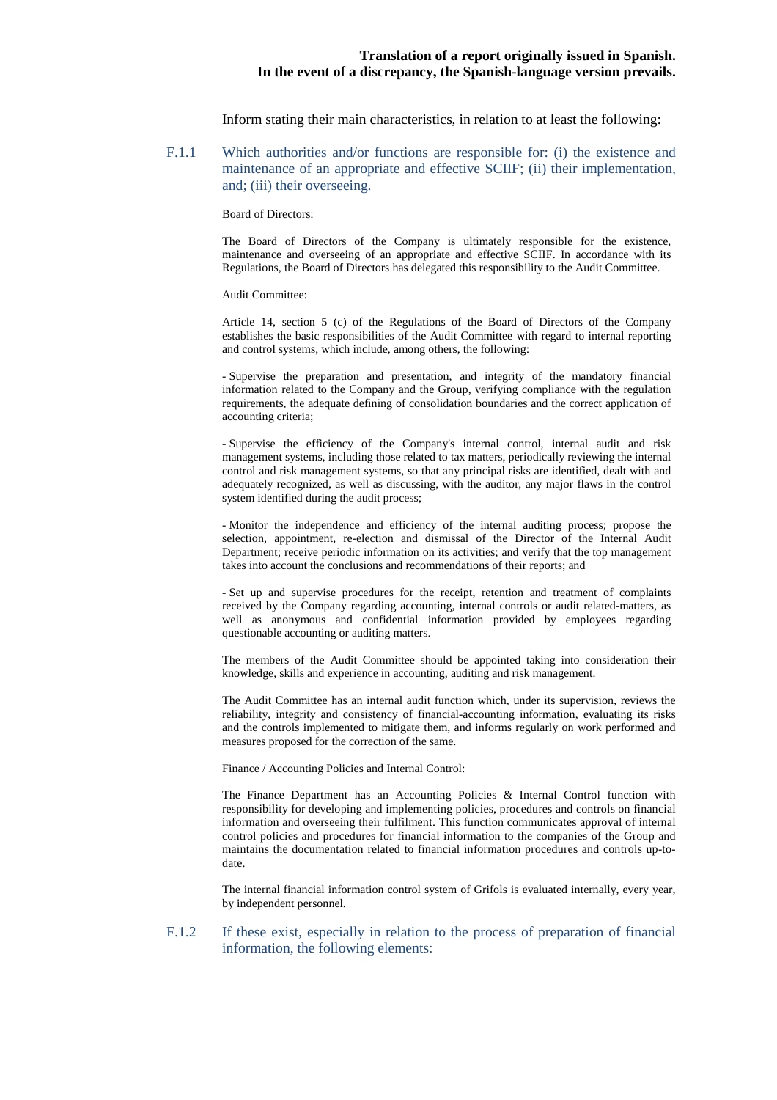Inform stating their main characteristics, in relation to at least the following:

F.1.1 Which authorities and/or functions are responsible for: (i) the existence and maintenance of an appropriate and effective SCIIF; (ii) their implementation, and; (iii) their overseeing.

Board of Directors:

The Board of Directors of the Company is ultimately responsible for the existence, maintenance and overseeing of an appropriate and effective SCIIF. In accordance with its Regulations, the Board of Directors has delegated this responsibility to the Audit Committee.

Audit Committee:

Article 14, section 5 (c) of the Regulations of the Board of Directors of the Company establishes the basic responsibilities of the Audit Committee with regard to internal reporting and control systems, which include, among others, the following:

- Supervise the preparation and presentation, and integrity of the mandatory financial information related to the Company and the Group, verifying compliance with the regulation requirements, the adequate defining of consolidation boundaries and the correct application of accounting criteria;

- Supervise the efficiency of the Company's internal control, internal audit and risk management systems, including those related to tax matters, periodically reviewing the internal control and risk management systems, so that any principal risks are identified, dealt with and adequately recognized, as well as discussing, with the auditor, any major flaws in the control system identified during the audit process;

- Monitor the independence and efficiency of the internal auditing process; propose the selection, appointment, re-election and dismissal of the Director of the Internal Audit Department; receive periodic information on its activities; and verify that the top management takes into account the conclusions and recommendations of their reports; and

- Set up and supervise procedures for the receipt, retention and treatment of complaints received by the Company regarding accounting, internal controls or audit related-matters, as well as anonymous and confidential information provided by employees regarding questionable accounting or auditing matters.

The members of the Audit Committee should be appointed taking into consideration their knowledge, skills and experience in accounting, auditing and risk management.

The Audit Committee has an internal audit function which, under its supervision, reviews the reliability, integrity and consistency of financial-accounting information, evaluating its risks and the controls implemented to mitigate them, and informs regularly on work performed and measures proposed for the correction of the same.

Finance / Accounting Policies and Internal Control:

The Finance Department has an Accounting Policies & Internal Control function with responsibility for developing and implementing policies, procedures and controls on financial information and overseeing their fulfilment. This function communicates approval of internal control policies and procedures for financial information to the companies of the Group and maintains the documentation related to financial information procedures and controls up-todate.

The internal financial information control system of Grifols is evaluated internally, every year, by independent personnel.

#### F.1.2 If these exist, especially in relation to the process of preparation of financial information, the following elements: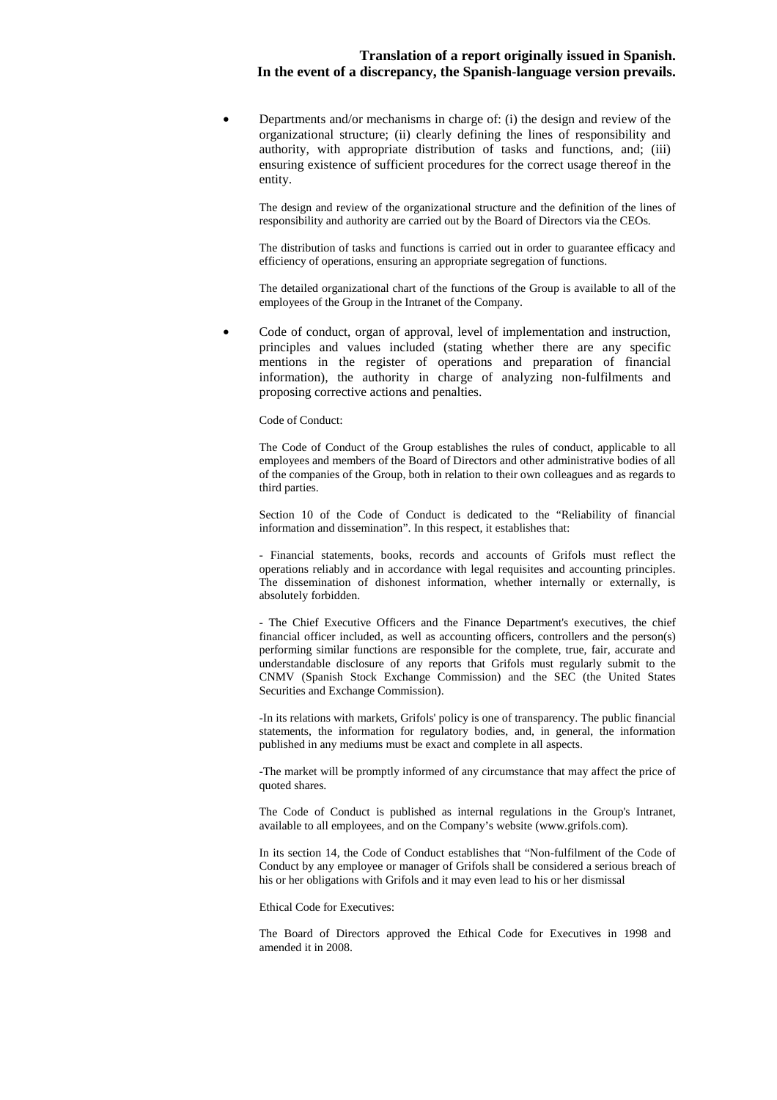• Departments and/or mechanisms in charge of: (i) the design and review of the organizational structure; (ii) clearly defining the lines of responsibility and authority, with appropriate distribution of tasks and functions, and; (iii) ensuring existence of sufficient procedures for the correct usage thereof in the entity.

The design and review of the organizational structure and the definition of the lines of responsibility and authority are carried out by the Board of Directors via the CEOs.

The distribution of tasks and functions is carried out in order to guarantee efficacy and efficiency of operations, ensuring an appropriate segregation of functions.

The detailed organizational chart of the functions of the Group is available to all of the employees of the Group in the Intranet of the Company.

• Code of conduct, organ of approval, level of implementation and instruction, principles and values included (stating whether there are any specific mentions in the register of operations and preparation of financial information), the authority in charge of analyzing non-fulfilments and proposing corrective actions and penalties.

Code of Conduct:

The Code of Conduct of the Group establishes the rules of conduct, applicable to all employees and members of the Board of Directors and other administrative bodies of all of the companies of the Group, both in relation to their own colleagues and as regards to third parties.

Section 10 of the Code of Conduct is dedicated to the "Reliability of financial information and dissemination". In this respect, it establishes that:

- Financial statements, books, records and accounts of Grifols must reflect the operations reliably and in accordance with legal requisites and accounting principles. The dissemination of dishonest information, whether internally or externally, is absolutely forbidden.

- The Chief Executive Officers and the Finance Department's executives, the chief financial officer included, as well as accounting officers, controllers and the person(s) performing similar functions are responsible for the complete, true, fair, accurate and understandable disclosure of any reports that Grifols must regularly submit to the CNMV (Spanish Stock Exchange Commission) and the SEC (the United States Securities and Exchange Commission).

-In its relations with markets, Grifols' policy is one of transparency. The public financial statements, the information for regulatory bodies, and, in general, the information published in any mediums must be exact and complete in all aspects.

-The market will be promptly informed of any circumstance that may affect the price of quoted shares.

The Code of Conduct is published as internal regulations in the Group's Intranet, available to all employees, and on the Company's website (www.grifols.com).

In its section 14, the Code of Conduct establishes that "Non-fulfilment of the Code of Conduct by any employee or manager of Grifols shall be considered a serious breach of his or her obligations with Grifols and it may even lead to his or her dismissal

Ethical Code for Executives:

The Board of Directors approved the Ethical Code for Executives in 1998 and amended it in 2008.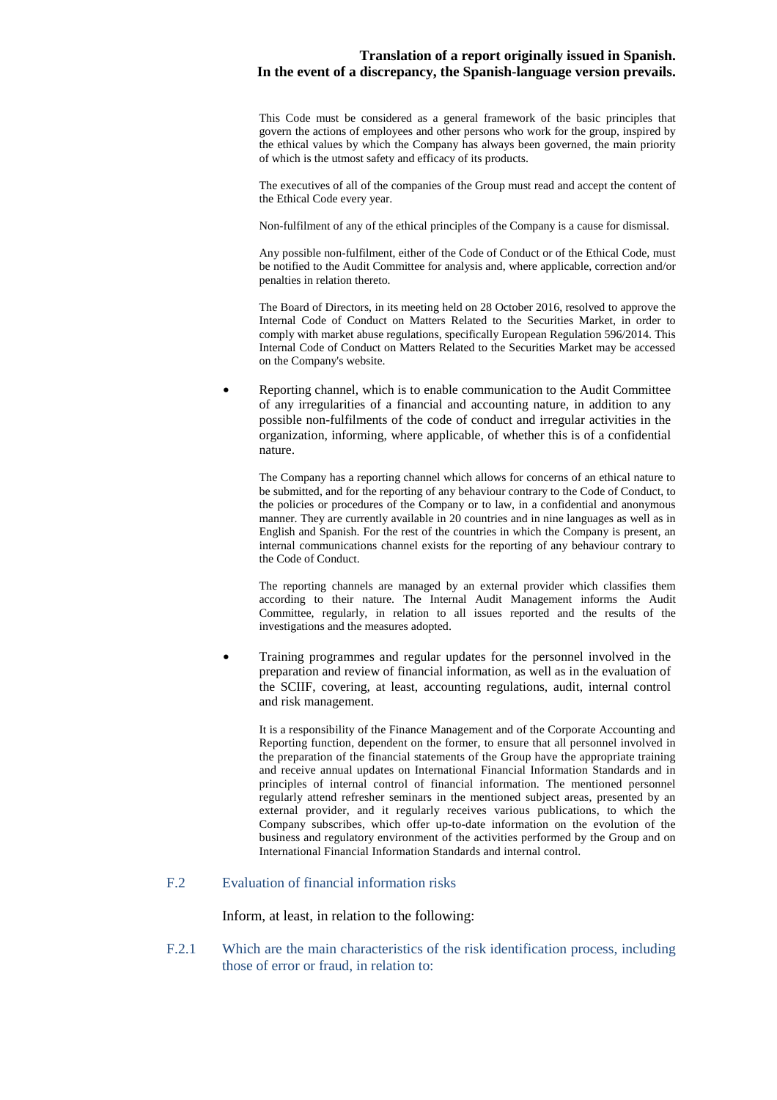This Code must be considered as a general framework of the basic principles that govern the actions of employees and other persons who work for the group, inspired by the ethical values by which the Company has always been governed, the main priority of which is the utmost safety and efficacy of its products.

The executives of all of the companies of the Group must read and accept the content of the Ethical Code every year.

Non-fulfilment of any of the ethical principles of the Company is a cause for dismissal.

Any possible non-fulfilment, either of the Code of Conduct or of the Ethical Code, must be notified to the Audit Committee for analysis and, where applicable, correction and/or penalties in relation thereto.

The Board of Directors, in its meeting held on 28 October 2016, resolved to approve the Internal Code of Conduct on Matters Related to the Securities Market, in order to comply with market abuse regulations, specifically European Regulation 596/2014. This Internal Code of Conduct on Matters Related to the Securities Market may be accessed on the Company's website.

• Reporting channel, which is to enable communication to the Audit Committee of any irregularities of a financial and accounting nature, in addition to any possible non-fulfilments of the code of conduct and irregular activities in the organization, informing, where applicable, of whether this is of a confidential nature.

The Company has a reporting channel which allows for concerns of an ethical nature to be submitted, and for the reporting of any behaviour contrary to the Code of Conduct, to the policies or procedures of the Company or to law, in a confidential and anonymous manner. They are currently available in 20 countries and in nine languages as well as in English and Spanish. For the rest of the countries in which the Company is present, an internal communications channel exists for the reporting of any behaviour contrary to the Code of Conduct.

The reporting channels are managed by an external provider which classifies them according to their nature. The Internal Audit Management informs the Audit Committee, regularly, in relation to all issues reported and the results of the investigations and the measures adopted.

• Training programmes and regular updates for the personnel involved in the preparation and review of financial information, as well as in the evaluation of the SCIIF, covering, at least, accounting regulations, audit, internal control and risk management.

It is a responsibility of the Finance Management and of the Corporate Accounting and Reporting function, dependent on the former, to ensure that all personnel involved in the preparation of the financial statements of the Group have the appropriate training and receive annual updates on International Financial Information Standards and in principles of internal control of financial information. The mentioned personnel regularly attend refresher seminars in the mentioned subject areas, presented by an external provider, and it regularly receives various publications, to which the Company subscribes, which offer up-to-date information on the evolution of the business and regulatory environment of the activities performed by the Group and on International Financial Information Standards and internal control.

# F.2 Evaluation of financial information risks

Inform, at least, in relation to the following:

F.2.1 Which are the main characteristics of the risk identification process, including those of error or fraud, in relation to: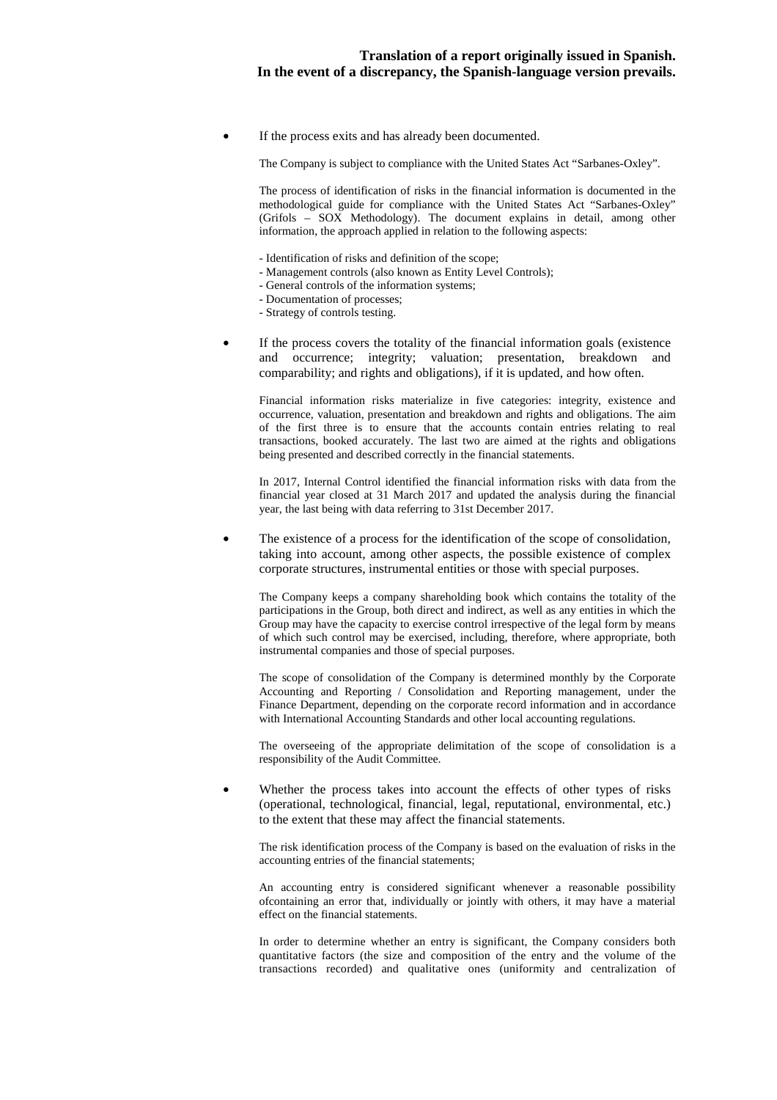If the process exits and has already been documented.

The Company is subject to compliance with the United States Act "Sarbanes-Oxley".

The process of identification of risks in the financial information is documented in the methodological guide for compliance with the United States Act "Sarbanes-Oxley" (Grifols – SOX Methodology). The document explains in detail, among other information, the approach applied in relation to the following aspects:

- Identification of risks and definition of the scope;
- Management controls (also known as Entity Level Controls);
	- General controls of the information systems;
- Documentation of processes;
- Strategy of controls testing.
- If the process covers the totality of the financial information goals (existence and occurrence; integrity; valuation; presentation, breakdown and comparability; and rights and obligations), if it is updated, and how often.

Financial information risks materialize in five categories: integrity, existence and occurrence, valuation, presentation and breakdown and rights and obligations. The aim of the first three is to ensure that the accounts contain entries relating to real transactions, booked accurately. The last two are aimed at the rights and obligations being presented and described correctly in the financial statements.

In 2017, Internal Control identified the financial information risks with data from the financial year closed at 31 March 2017 and updated the analysis during the financial year, the last being with data referring to 31st December 2017.

The existence of a process for the identification of the scope of consolidation, taking into account, among other aspects, the possible existence of complex corporate structures, instrumental entities or those with special purposes.

The Company keeps a company shareholding book which contains the totality of the participations in the Group, both direct and indirect, as well as any entities in which the Group may have the capacity to exercise control irrespective of the legal form by means of which such control may be exercised, including, therefore, where appropriate, both instrumental companies and those of special purposes.

The scope of consolidation of the Company is determined monthly by the Corporate Accounting and Reporting / Consolidation and Reporting management, under the Finance Department, depending on the corporate record information and in accordance with International Accounting Standards and other local accounting regulations.

The overseeing of the appropriate delimitation of the scope of consolidation is a responsibility of the Audit Committee.

Whether the process takes into account the effects of other types of risks (operational, technological, financial, legal, reputational, environmental, etc.) to the extent that these may affect the financial statements.

The risk identification process of the Company is based on the evaluation of risks in the accounting entries of the financial statements;

An accounting entry is considered significant whenever a reasonable possibility ofcontaining an error that, individually or jointly with others, it may have a material effect on the financial statements.

In order to determine whether an entry is significant, the Company considers both quantitative factors (the size and composition of the entry and the volume of the transactions recorded) and qualitative ones (uniformity and centralization of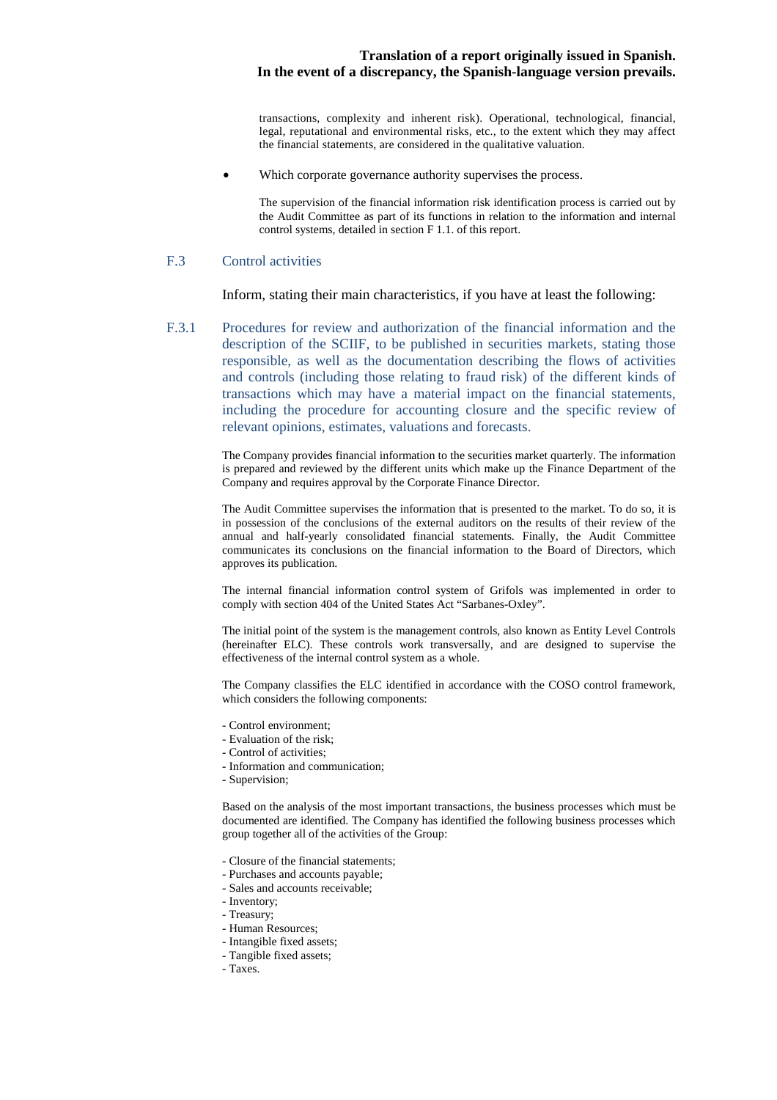transactions, complexity and inherent risk). Operational, technological, financial, legal, reputational and environmental risks, etc., to the extent which they may affect the financial statements, are considered in the qualitative valuation.

Which corporate governance authority supervises the process.

The supervision of the financial information risk identification process is carried out by the Audit Committee as part of its functions in relation to the information and internal control systems, detailed in section F 1.1. of this report.

#### F.3 Control activities

Inform, stating their main characteristics, if you have at least the following:

F.3.1 Procedures for review and authorization of the financial information and the description of the SCIIF, to be published in securities markets, stating those responsible, as well as the documentation describing the flows of activities and controls (including those relating to fraud risk) of the different kinds of transactions which may have a material impact on the financial statements, including the procedure for accounting closure and the specific review of relevant opinions, estimates, valuations and forecasts.

> The Company provides financial information to the securities market quarterly. The information is prepared and reviewed by the different units which make up the Finance Department of the Company and requires approval by the Corporate Finance Director.

> The Audit Committee supervises the information that is presented to the market. To do so, it is in possession of the conclusions of the external auditors on the results of their review of the annual and half-yearly consolidated financial statements. Finally, the Audit Committee communicates its conclusions on the financial information to the Board of Directors, which approves its publication.

> The internal financial information control system of Grifols was implemented in order to comply with section 404 of the United States Act "Sarbanes-Oxley".

> The initial point of the system is the management controls, also known as Entity Level Controls (hereinafter ELC). These controls work transversally, and are designed to supervise the effectiveness of the internal control system as a whole.

> The Company classifies the ELC identified in accordance with the COSO control framework, which considers the following components:

- Control environment;
- Evaluation of the risk;
- Control of activities;
- Information and communication;
- Supervision;

Based on the analysis of the most important transactions, the business processes which must be documented are identified. The Company has identified the following business processes which group together all of the activities of the Group:

- Closure of the financial statements;
- Purchases and accounts payable;
- Sales and accounts receivable;
- Inventory;
- Treasury;
- Human Resources;
- Intangible fixed assets;
- Tangible fixed assets;
- Taxes.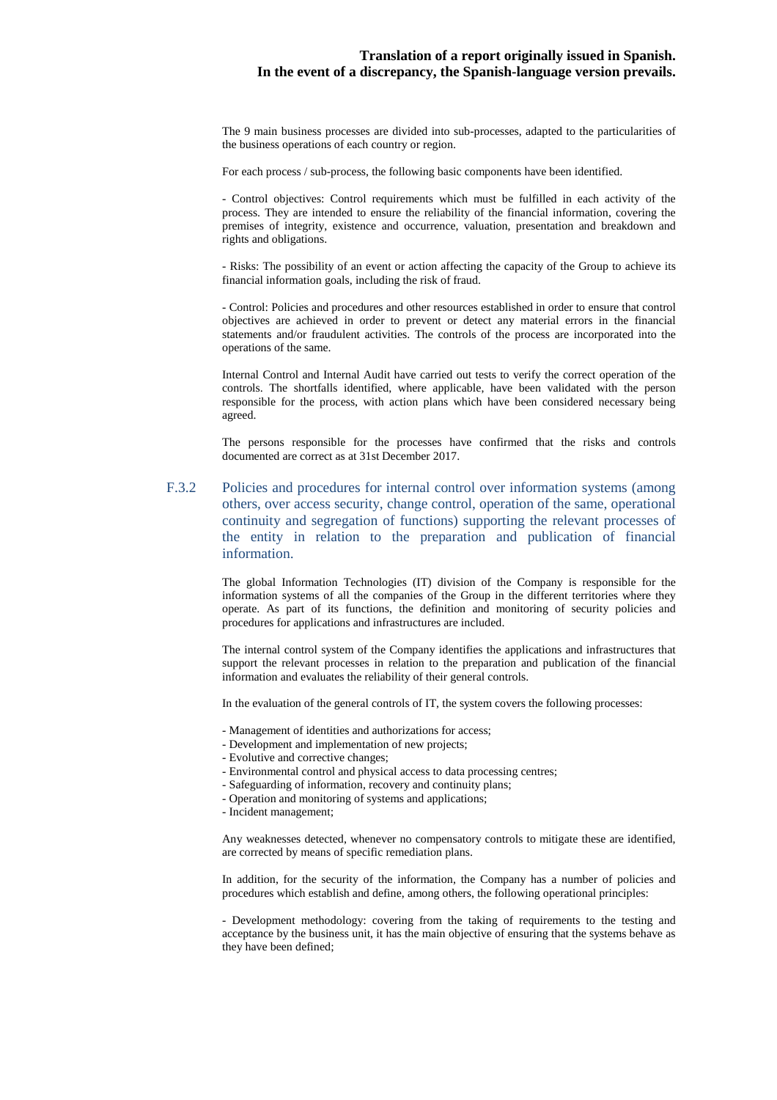The 9 main business processes are divided into sub-processes, adapted to the particularities of the business operations of each country or region.

For each process / sub-process, the following basic components have been identified.

- Control objectives: Control requirements which must be fulfilled in each activity of the process. They are intended to ensure the reliability of the financial information, covering the premises of integrity, existence and occurrence, valuation, presentation and breakdown and rights and obligations.

- Risks: The possibility of an event or action affecting the capacity of the Group to achieve its financial information goals, including the risk of fraud.

- Control: Policies and procedures and other resources established in order to ensure that control objectives are achieved in order to prevent or detect any material errors in the financial statements and/or fraudulent activities. The controls of the process are incorporated into the operations of the same.

Internal Control and Internal Audit have carried out tests to verify the correct operation of the controls. The shortfalls identified, where applicable, have been validated with the person responsible for the process, with action plans which have been considered necessary being agreed.

The persons responsible for the processes have confirmed that the risks and controls documented are correct as at 31st December 2017.

F.3.2 Policies and procedures for internal control over information systems (among others, over access security, change control, operation of the same, operational continuity and segregation of functions) supporting the relevant processes of the entity in relation to the preparation and publication of financial information.

> The global Information Technologies (IT) division of the Company is responsible for the information systems of all the companies of the Group in the different territories where they operate. As part of its functions, the definition and monitoring of security policies and procedures for applications and infrastructures are included.

> The internal control system of the Company identifies the applications and infrastructures that support the relevant processes in relation to the preparation and publication of the financial information and evaluates the reliability of their general controls.

In the evaluation of the general controls of IT, the system covers the following processes:

- Management of identities and authorizations for access;
- Development and implementation of new projects;
- Evolutive and corrective changes;
- Environmental control and physical access to data processing centres;
- Safeguarding of information, recovery and continuity plans;
- Operation and monitoring of systems and applications;
- Incident management;

Any weaknesses detected, whenever no compensatory controls to mitigate these are identified, are corrected by means of specific remediation plans.

In addition, for the security of the information, the Company has a number of policies and procedures which establish and define, among others, the following operational principles:

- Development methodology: covering from the taking of requirements to the testing and acceptance by the business unit, it has the main objective of ensuring that the systems behave as they have been defined;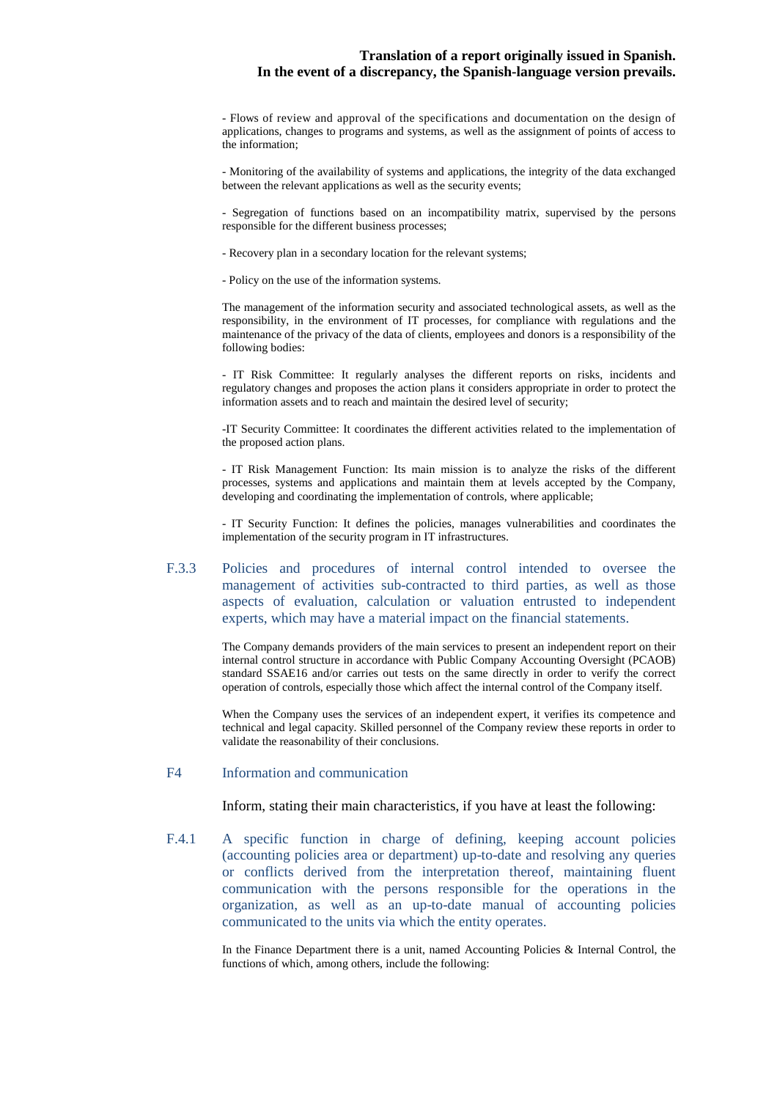- Flows of review and approval of the specifications and documentation on the design of applications, changes to programs and systems, as well as the assignment of points of access to the information;

- Monitoring of the availability of systems and applications, the integrity of the data exchanged between the relevant applications as well as the security events;

- Segregation of functions based on an incompatibility matrix, supervised by the persons responsible for the different business processes;

- Recovery plan in a secondary location for the relevant systems;
- Policy on the use of the information systems.

The management of the information security and associated technological assets, as well as the responsibility, in the environment of IT processes, for compliance with regulations and the maintenance of the privacy of the data of clients, employees and donors is a responsibility of the following bodies:

- IT Risk Committee: It regularly analyses the different reports on risks, incidents and regulatory changes and proposes the action plans it considers appropriate in order to protect the information assets and to reach and maintain the desired level of security;

-IT Security Committee: It coordinates the different activities related to the implementation of the proposed action plans.

- IT Risk Management Function: Its main mission is to analyze the risks of the different processes, systems and applications and maintain them at levels accepted by the Company, developing and coordinating the implementation of controls, where applicable;

- IT Security Function: It defines the policies, manages vulnerabilities and coordinates the implementation of the security program in IT infrastructures.

F.3.3 Policies and procedures of internal control intended to oversee the management of activities sub-contracted to third parties, as well as those aspects of evaluation, calculation or valuation entrusted to independent experts, which may have a material impact on the financial statements.

> The Company demands providers of the main services to present an independent report on their internal control structure in accordance with Public Company Accounting Oversight (PCAOB) standard SSAE16 and/or carries out tests on the same directly in order to verify the correct operation of controls, especially those which affect the internal control of the Company itself.

> When the Company uses the services of an independent expert, it verifies its competence and technical and legal capacity. Skilled personnel of the Company review these reports in order to validate the reasonability of their conclusions.

#### F4 Information and communication

Inform, stating their main characteristics, if you have at least the following:

F.4.1 A specific function in charge of defining, keeping account policies (accounting policies area or department) up-to-date and resolving any queries or conflicts derived from the interpretation thereof, maintaining fluent communication with the persons responsible for the operations in the organization, as well as an up-to-date manual of accounting policies communicated to the units via which the entity operates.

> In the Finance Department there is a unit, named Accounting Policies & Internal Control, the functions of which, among others, include the following: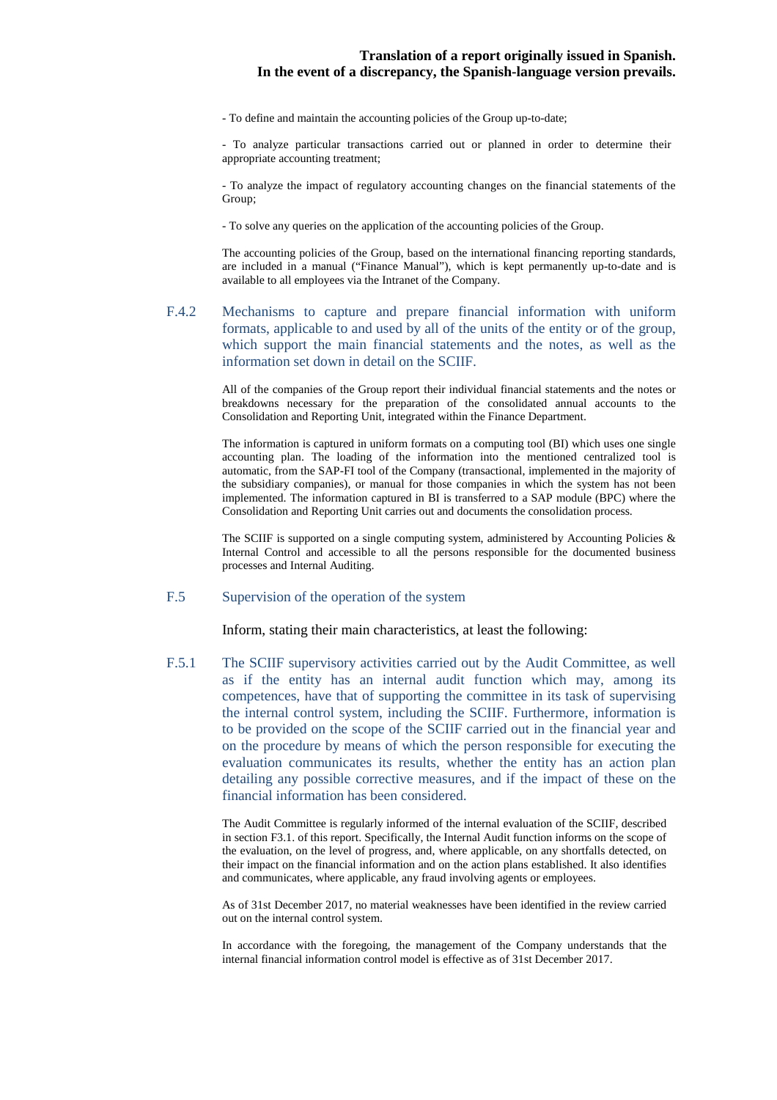- To define and maintain the accounting policies of the Group up-to-date;

- To analyze particular transactions carried out or planned in order to determine their appropriate accounting treatment;

- To analyze the impact of regulatory accounting changes on the financial statements of the Group;

- To solve any queries on the application of the accounting policies of the Group.

The accounting policies of the Group, based on the international financing reporting standards, are included in a manual ("Finance Manual"), which is kept permanently up-to-date and is available to all employees via the Intranet of the Company.

F.4.2 Mechanisms to capture and prepare financial information with uniform formats, applicable to and used by all of the units of the entity or of the group, which support the main financial statements and the notes, as well as the information set down in detail on the SCIIF.

> All of the companies of the Group report their individual financial statements and the notes or breakdowns necessary for the preparation of the consolidated annual accounts to the Consolidation and Reporting Unit, integrated within the Finance Department.

> The information is captured in uniform formats on a computing tool (BI) which uses one single accounting plan. The loading of the information into the mentioned centralized tool is automatic, from the SAP-FI tool of the Company (transactional, implemented in the majority of the subsidiary companies), or manual for those companies in which the system has not been implemented. The information captured in BI is transferred to a SAP module (BPC) where the Consolidation and Reporting Unit carries out and documents the consolidation process.

> The SCIIF is supported on a single computing system, administered by Accounting Policies  $\&$ Internal Control and accessible to all the persons responsible for the documented business processes and Internal Auditing.

#### F.5 Supervision of the operation of the system

Inform, stating their main characteristics, at least the following:

F.5.1 The SCIIF supervisory activities carried out by the Audit Committee, as well as if the entity has an internal audit function which may, among its competences, have that of supporting the committee in its task of supervising the internal control system, including the SCIIF. Furthermore, information is to be provided on the scope of the SCIIF carried out in the financial year and on the procedure by means of which the person responsible for executing the evaluation communicates its results, whether the entity has an action plan detailing any possible corrective measures, and if the impact of these on the financial information has been considered.

> The Audit Committee is regularly informed of the internal evaluation of the SCIIF, described in section F3.1. of this report. Specifically, the Internal Audit function informs on the scope of the evaluation, on the level of progress, and, where applicable, on any shortfalls detected, on their impact on the financial information and on the action plans established. It also identifies and communicates, where applicable, any fraud involving agents or employees.

> As of 31st December 2017, no material weaknesses have been identified in the review carried out on the internal control system.

> In accordance with the foregoing, the management of the Company understands that the internal financial information control model is effective as of 31st December 2017.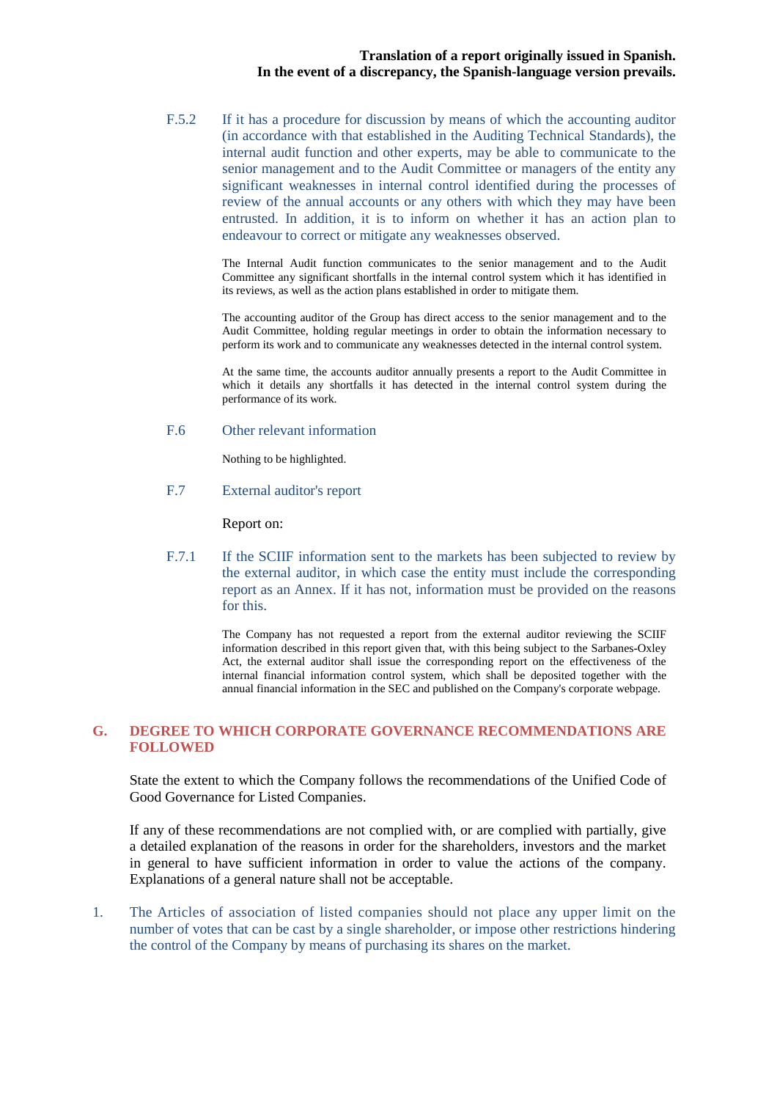F.5.2 If it has a procedure for discussion by means of which the accounting auditor (in accordance with that established in the Auditing Technical Standards), the internal audit function and other experts, may be able to communicate to the senior management and to the Audit Committee or managers of the entity any significant weaknesses in internal control identified during the processes of review of the annual accounts or any others with which they may have been entrusted. In addition, it is to inform on whether it has an action plan to endeavour to correct or mitigate any weaknesses observed.

> The Internal Audit function communicates to the senior management and to the Audit Committee any significant shortfalls in the internal control system which it has identified in its reviews, as well as the action plans established in order to mitigate them.

> The accounting auditor of the Group has direct access to the senior management and to the Audit Committee, holding regular meetings in order to obtain the information necessary to perform its work and to communicate any weaknesses detected in the internal control system.

> At the same time, the accounts auditor annually presents a report to the Audit Committee in which it details any shortfalls it has detected in the internal control system during the performance of its work.

#### F.6 Other relevant information

Nothing to be highlighted.

F.7 External auditor's report

Report on:

F.7.1 If the SCIIF information sent to the markets has been subjected to review by the external auditor, in which case the entity must include the corresponding report as an Annex. If it has not, information must be provided on the reasons for this.

> The Company has not requested a report from the external auditor reviewing the SCIIF information described in this report given that, with this being subject to the Sarbanes-Oxley Act, the external auditor shall issue the corresponding report on the effectiveness of the internal financial information control system, which shall be deposited together with the annual financial information in the SEC and published on the Company's corporate webpage.

# **G. DEGREE TO WHICH CORPORATE GOVERNANCE RECOMMENDATIONS ARE FOLLOWED**

State the extent to which the Company follows the recommendations of the Unified Code of Good Governance for Listed Companies.

If any of these recommendations are not complied with, or are complied with partially, give a detailed explanation of the reasons in order for the shareholders, investors and the market in general to have sufficient information in order to value the actions of the company. Explanations of a general nature shall not be acceptable.

1. The Articles of association of listed companies should not place any upper limit on the number of votes that can be cast by a single shareholder, or impose other restrictions hindering the control of the Company by means of purchasing its shares on the market.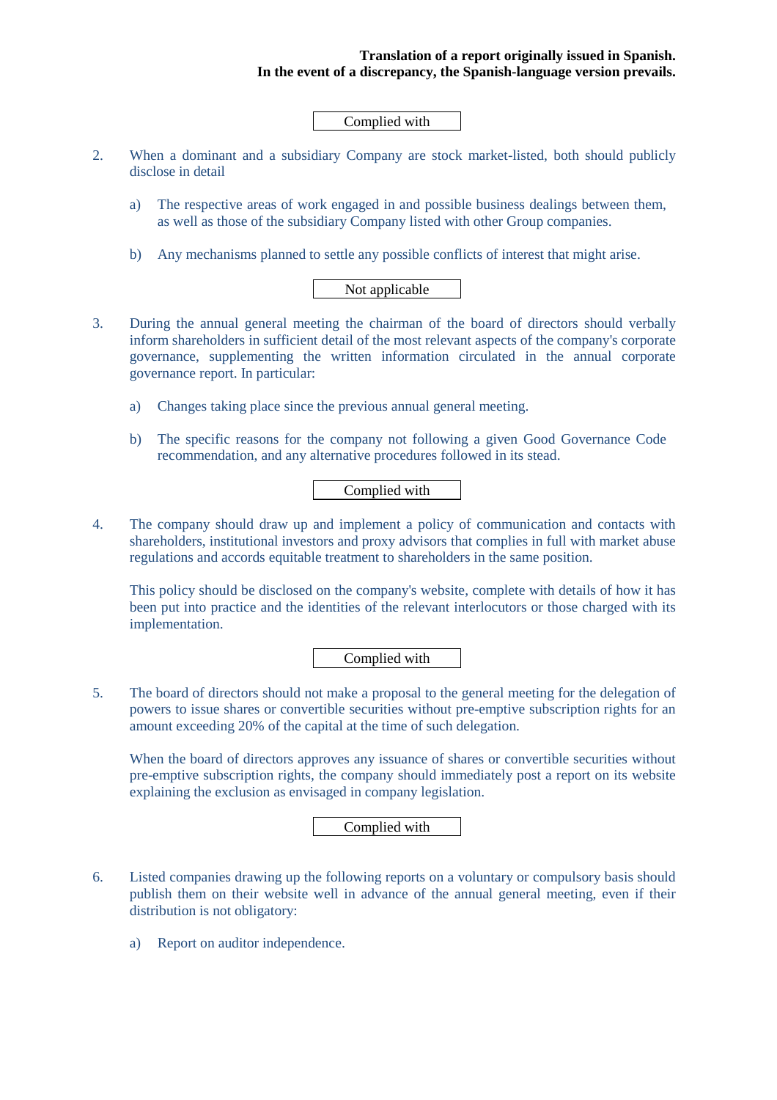# Complied with

- 2. When a dominant and a subsidiary Company are stock market-listed, both should publicly disclose in detail
	- a) The respective areas of work engaged in and possible business dealings between them, as well as those of the subsidiary Company listed with other Group companies.
	- b) Any mechanisms planned to settle any possible conflicts of interest that might arise.

# Not applicable

- 3. During the annual general meeting the chairman of the board of directors should verbally inform shareholders in sufficient detail of the most relevant aspects of the company's corporate governance, supplementing the written information circulated in the annual corporate governance report. In particular:
	- a) Changes taking place since the previous annual general meeting.
	- b) The specific reasons for the company not following a given Good Governance Code recommendation, and any alternative procedures followed in its stead.

# Complied with

4. The company should draw up and implement a policy of communication and contacts with shareholders, institutional investors and proxy advisors that complies in full with market abuse regulations and accords equitable treatment to shareholders in the same position.

This policy should be disclosed on the company's website, complete with details of how it has been put into practice and the identities of the relevant interlocutors or those charged with its implementation.

Complied with

5. The board of directors should not make a proposal to the general meeting for the delegation of powers to issue shares or convertible securities without pre-emptive subscription rights for an amount exceeding 20% of the capital at the time of such delegation.

When the board of directors approves any issuance of shares or convertible securities without pre-emptive subscription rights, the company should immediately post a report on its website explaining the exclusion as envisaged in company legislation.

Complied with

- 6. Listed companies drawing up the following reports on a voluntary or compulsory basis should publish them on their website well in advance of the annual general meeting, even if their distribution is not obligatory:
	- a) Report on auditor independence.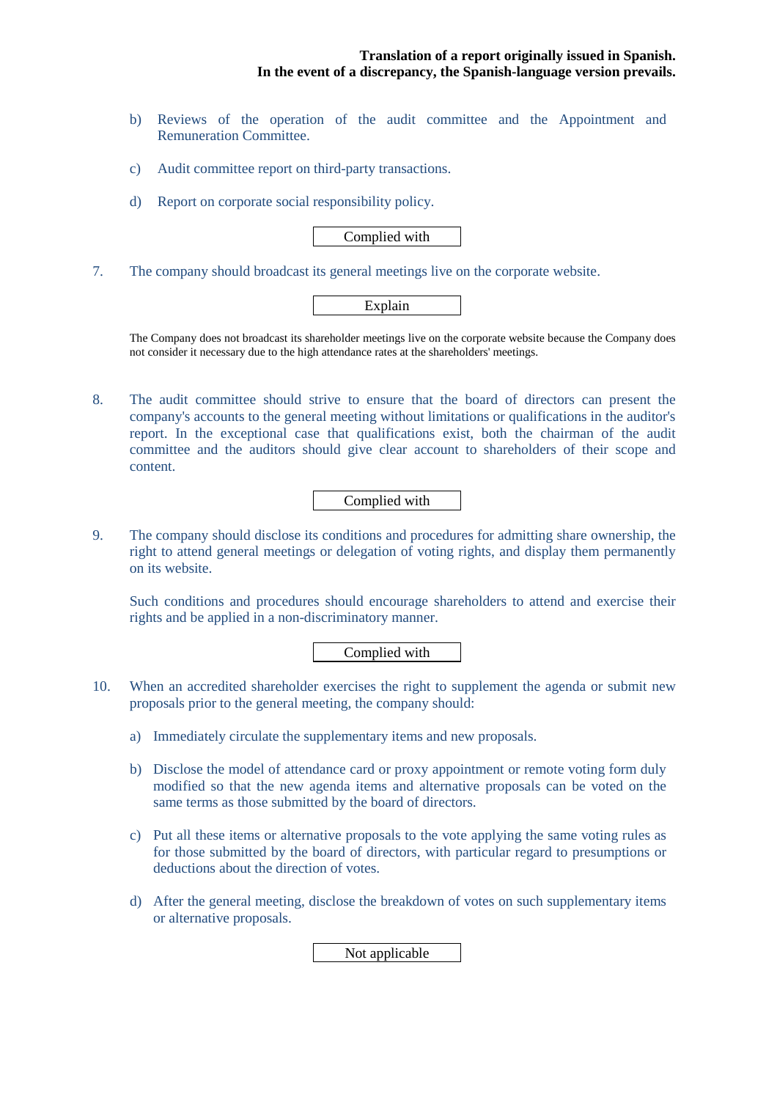- b) Reviews of the operation of the audit committee and the Appointment and Remuneration Committee.
- c) Audit committee report on third-party transactions.
- d) Report on corporate social responsibility policy.

Complied with

7. The company should broadcast its general meetings live on the corporate website.

# Explain

The Company does not broadcast its shareholder meetings live on the corporate website because the Company does not consider it necessary due to the high attendance rates at the shareholders' meetings.

8. The audit committee should strive to ensure that the board of directors can present the company's accounts to the general meeting without limitations or qualifications in the auditor's report. In the exceptional case that qualifications exist, both the chairman of the audit committee and the auditors should give clear account to shareholders of their scope and content.

Complied with

9. The company should disclose its conditions and procedures for admitting share ownership, the right to attend general meetings or delegation of voting rights, and display them permanently on its website.

Such conditions and procedures should encourage shareholders to attend and exercise their rights and be applied in a non-discriminatory manner.

Complied with

- 10. When an accredited shareholder exercises the right to supplement the agenda or submit new proposals prior to the general meeting, the company should:
	- a) Immediately circulate the supplementary items and new proposals.
	- b) Disclose the model of attendance card or proxy appointment or remote voting form duly modified so that the new agenda items and alternative proposals can be voted on the same terms as those submitted by the board of directors.
	- c) Put all these items or alternative proposals to the vote applying the same voting rules as for those submitted by the board of directors, with particular regard to presumptions or deductions about the direction of votes.
	- d) After the general meeting, disclose the breakdown of votes on such supplementary items or alternative proposals.

Not applicable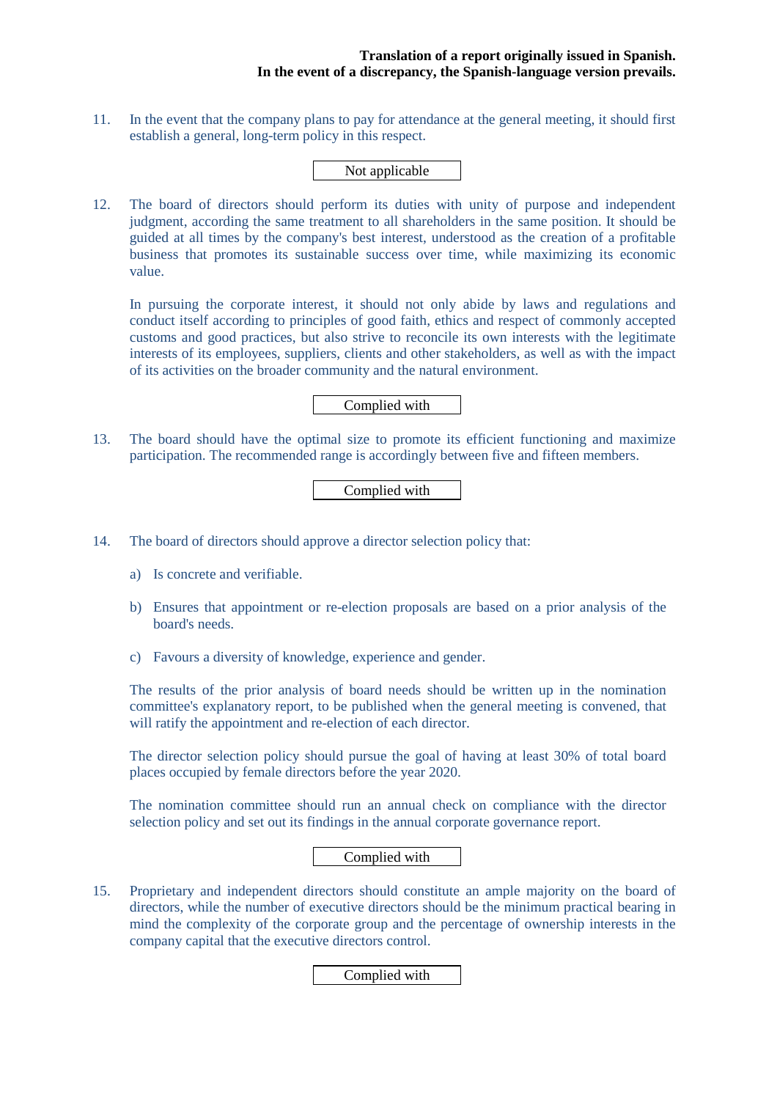11. In the event that the company plans to pay for attendance at the general meeting, it should first establish a general, long-term policy in this respect.

# Not applicable

12. The board of directors should perform its duties with unity of purpose and independent judgment, according the same treatment to all shareholders in the same position. It should be guided at all times by the company's best interest, understood as the creation of a profitable business that promotes its sustainable success over time, while maximizing its economic value.

In pursuing the corporate interest, it should not only abide by laws and regulations and conduct itself according to principles of good faith, ethics and respect of commonly accepted customs and good practices, but also strive to reconcile its own interests with the legitimate interests of its employees, suppliers, clients and other stakeholders, as well as with the impact of its activities on the broader community and the natural environment.

#### Complied with

13. The board should have the optimal size to promote its efficient functioning and maximize participation. The recommended range is accordingly between five and fifteen members.

# Complied with

- 14. The board of directors should approve a director selection policy that:
	- a) Is concrete and verifiable.
	- b) Ensures that appointment or re-election proposals are based on a prior analysis of the board's needs.
	- c) Favours a diversity of knowledge, experience and gender.

The results of the prior analysis of board needs should be written up in the nomination committee's explanatory report, to be published when the general meeting is convened, that will ratify the appointment and re-election of each director.

The director selection policy should pursue the goal of having at least 30% of total board places occupied by female directors before the year 2020.

The nomination committee should run an annual check on compliance with the director selection policy and set out its findings in the annual corporate governance report.

## Complied with

15. Proprietary and independent directors should constitute an ample majority on the board of directors, while the number of executive directors should be the minimum practical bearing in mind the complexity of the corporate group and the percentage of ownership interests in the company capital that the executive directors control.

#### Complied with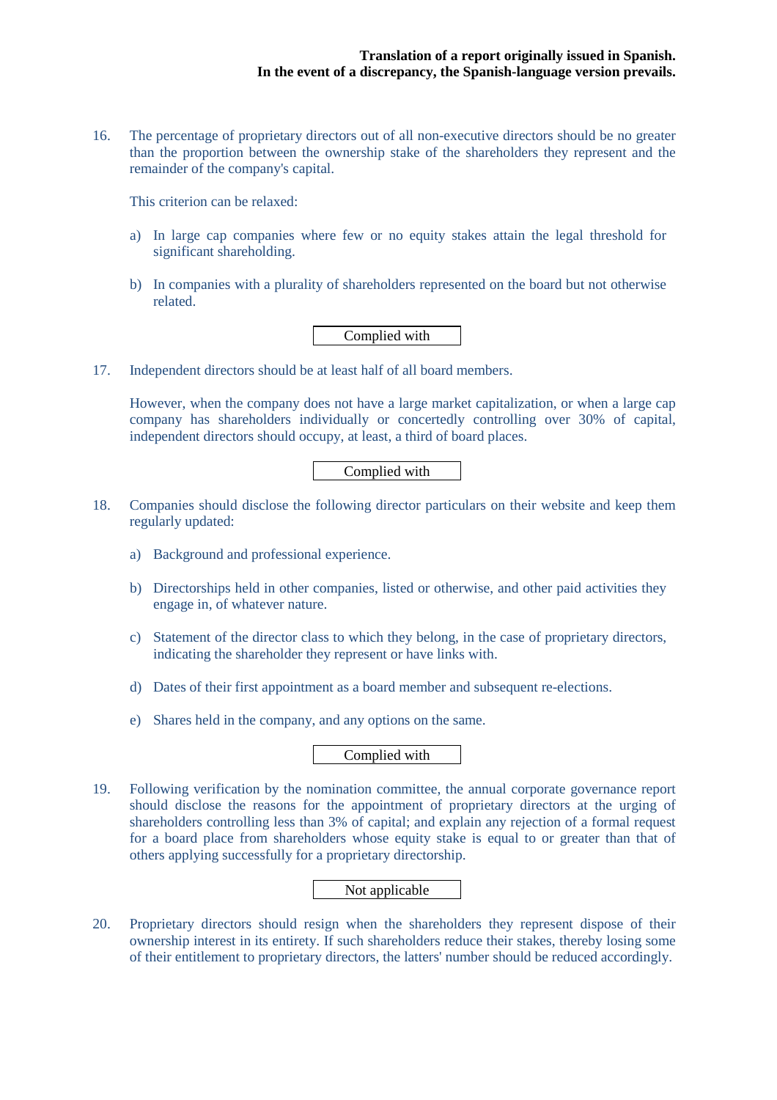16. The percentage of proprietary directors out of all non-executive directors should be no greater than the proportion between the ownership stake of the shareholders they represent and the remainder of the company's capital.

This criterion can be relaxed:

- a) In large cap companies where few or no equity stakes attain the legal threshold for significant shareholding.
- b) In companies with a plurality of shareholders represented on the board but not otherwise related.

Complied with

17. Independent directors should be at least half of all board members.

However, when the company does not have a large market capitalization, or when a large cap company has shareholders individually or concertedly controlling over 30% of capital, independent directors should occupy, at least, a third of board places.

# Complied with

- 18. Companies should disclose the following director particulars on their website and keep them regularly updated:
	- a) Background and professional experience.
	- b) Directorships held in other companies, listed or otherwise, and other paid activities they engage in, of whatever nature.
	- c) Statement of the director class to which they belong, in the case of proprietary directors, indicating the shareholder they represent or have links with.
	- d) Dates of their first appointment as a board member and subsequent re-elections.
	- e) Shares held in the company, and any options on the same.

# Complied with

19. Following verification by the nomination committee, the annual corporate governance report should disclose the reasons for the appointment of proprietary directors at the urging of shareholders controlling less than 3% of capital; and explain any rejection of a formal request for a board place from shareholders whose equity stake is equal to or greater than that of others applying successfully for a proprietary directorship.

# Not applicable

20. Proprietary directors should resign when the shareholders they represent dispose of their ownership interest in its entirety. If such shareholders reduce their stakes, thereby losing some of their entitlement to proprietary directors, the latters' number should be reduced accordingly.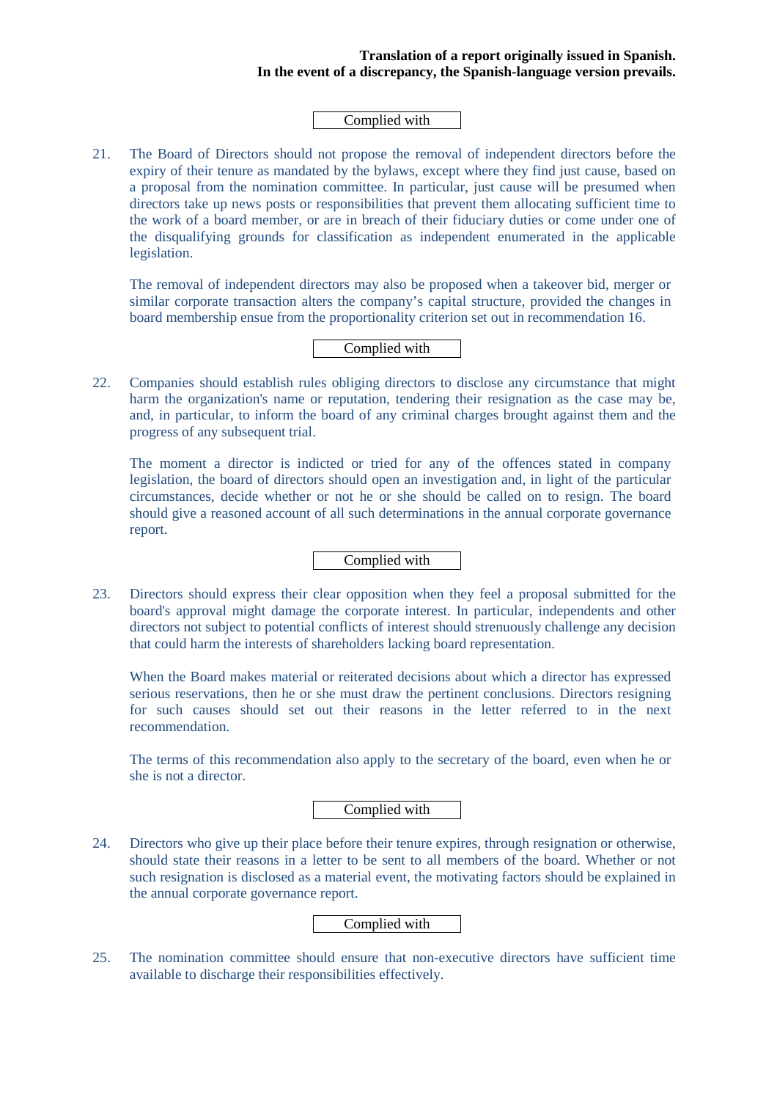#### Complied with

21. The Board of Directors should not propose the removal of independent directors before the expiry of their tenure as mandated by the bylaws, except where they find just cause, based on a proposal from the nomination committee. In particular, just cause will be presumed when directors take up news posts or responsibilities that prevent them allocating sufficient time to the work of a board member, or are in breach of their fiduciary duties or come under one of the disqualifying grounds for classification as independent enumerated in the applicable legislation.

The removal of independent directors may also be proposed when a takeover bid, merger or similar corporate transaction alters the company's capital structure, provided the changes in board membership ensue from the proportionality criterion set out in recommendation 16.

Complied with

22. Companies should establish rules obliging directors to disclose any circumstance that might harm the organization's name or reputation, tendering their resignation as the case may be, and, in particular, to inform the board of any criminal charges brought against them and the progress of any subsequent trial.

The moment a director is indicted or tried for any of the offences stated in company legislation, the board of directors should open an investigation and, in light of the particular circumstances, decide whether or not he or she should be called on to resign. The board should give a reasoned account of all such determinations in the annual corporate governance report.

# Complied with

23. Directors should express their clear opposition when they feel a proposal submitted for the board's approval might damage the corporate interest. In particular, independents and other directors not subject to potential conflicts of interest should strenuously challenge any decision that could harm the interests of shareholders lacking board representation.

When the Board makes material or reiterated decisions about which a director has expressed serious reservations, then he or she must draw the pertinent conclusions. Directors resigning for such causes should set out their reasons in the letter referred to in the next recommendation.

The terms of this recommendation also apply to the secretary of the board, even when he or she is not a director.

Complied with

24. Directors who give up their place before their tenure expires, through resignation or otherwise, should state their reasons in a letter to be sent to all members of the board. Whether or not such resignation is disclosed as a material event, the motivating factors should be explained in the annual corporate governance report.

# Complied with

25. The nomination committee should ensure that non-executive directors have sufficient time available to discharge their responsibilities effectively.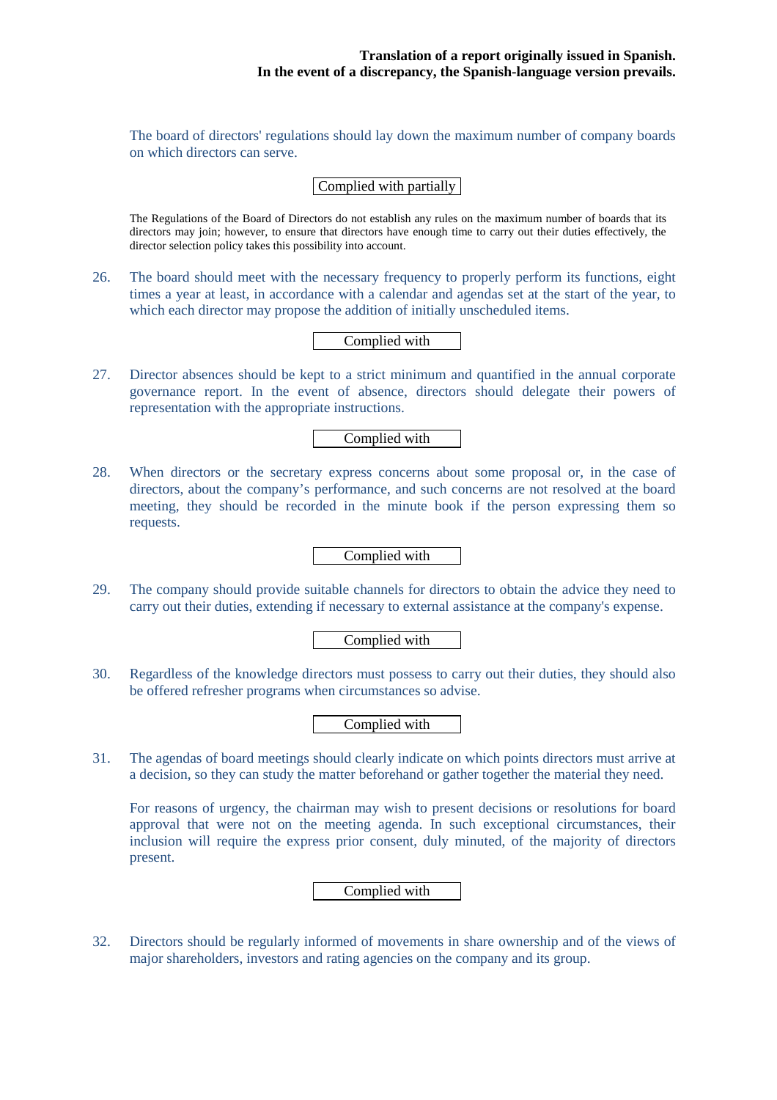The board of directors' regulations should lay down the maximum number of company boards on which directors can serve.

Complied with partially

The Regulations of the Board of Directors do not establish any rules on the maximum number of boards that its directors may join; however, to ensure that directors have enough time to carry out their duties effectively, the director selection policy takes this possibility into account.

26. The board should meet with the necessary frequency to properly perform its functions, eight times a year at least, in accordance with a calendar and agendas set at the start of the year, to which each director may propose the addition of initially unscheduled items.

Complied with

27. Director absences should be kept to a strict minimum and quantified in the annual corporate governance report. In the event of absence, directors should delegate their powers of representation with the appropriate instructions.

Complied with

28. When directors or the secretary express concerns about some proposal or, in the case of directors, about the company's performance, and such concerns are not resolved at the board meeting, they should be recorded in the minute book if the person expressing them so requests.

Complied with

29. The company should provide suitable channels for directors to obtain the advice they need to carry out their duties, extending if necessary to external assistance at the company's expense.

Complied with

30. Regardless of the knowledge directors must possess to carry out their duties, they should also be offered refresher programs when circumstances so advise.

Complied with

31. The agendas of board meetings should clearly indicate on which points directors must arrive at a decision, so they can study the matter beforehand or gather together the material they need.

For reasons of urgency, the chairman may wish to present decisions or resolutions for board approval that were not on the meeting agenda. In such exceptional circumstances, their inclusion will require the express prior consent, duly minuted, of the majority of directors present.

Complied with

32. Directors should be regularly informed of movements in share ownership and of the views of major shareholders, investors and rating agencies on the company and its group.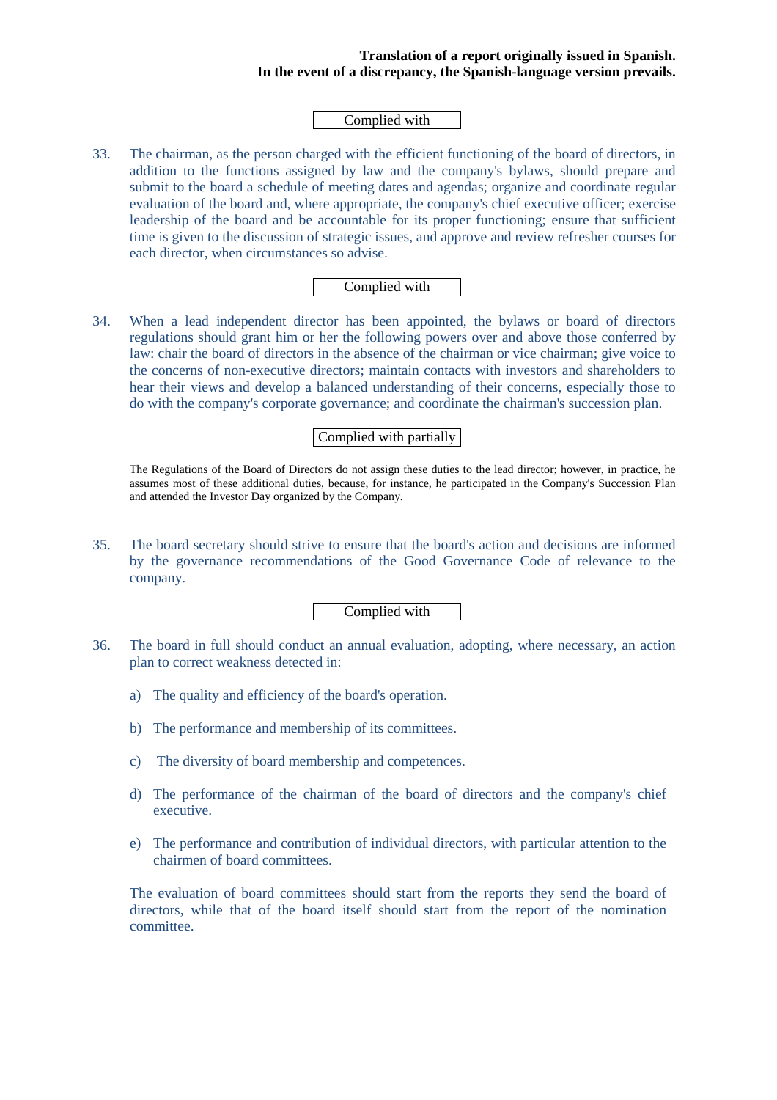#### Complied with

33. The chairman, as the person charged with the efficient functioning of the board of directors, in addition to the functions assigned by law and the company's bylaws, should prepare and submit to the board a schedule of meeting dates and agendas; organize and coordinate regular evaluation of the board and, where appropriate, the company's chief executive officer; exercise leadership of the board and be accountable for its proper functioning; ensure that sufficient time is given to the discussion of strategic issues, and approve and review refresher courses for each director, when circumstances so advise.

## Complied with

34. When a lead independent director has been appointed, the bylaws or board of directors regulations should grant him or her the following powers over and above those conferred by law: chair the board of directors in the absence of the chairman or vice chairman; give voice to the concerns of non-executive directors; maintain contacts with investors and shareholders to hear their views and develop a balanced understanding of their concerns, especially those to do with the company's corporate governance; and coordinate the chairman's succession plan.

#### Complied with partially

The Regulations of the Board of Directors do not assign these duties to the lead director; however, in practice, he assumes most of these additional duties, because, for instance, he participated in the Company's Succession Plan and attended the Investor Day organized by the Company.

35. The board secretary should strive to ensure that the board's action and decisions are informed by the governance recommendations of the Good Governance Code of relevance to the company.

#### Complied with

- 36. The board in full should conduct an annual evaluation, adopting, where necessary, an action plan to correct weakness detected in:
	- a) The quality and efficiency of the board's operation.
	- b) The performance and membership of its committees.
	- c) The diversity of board membership and competences.
	- d) The performance of the chairman of the board of directors and the company's chief executive.
	- e) The performance and contribution of individual directors, with particular attention to the chairmen of board committees.

The evaluation of board committees should start from the reports they send the board of directors, while that of the board itself should start from the report of the nomination committee.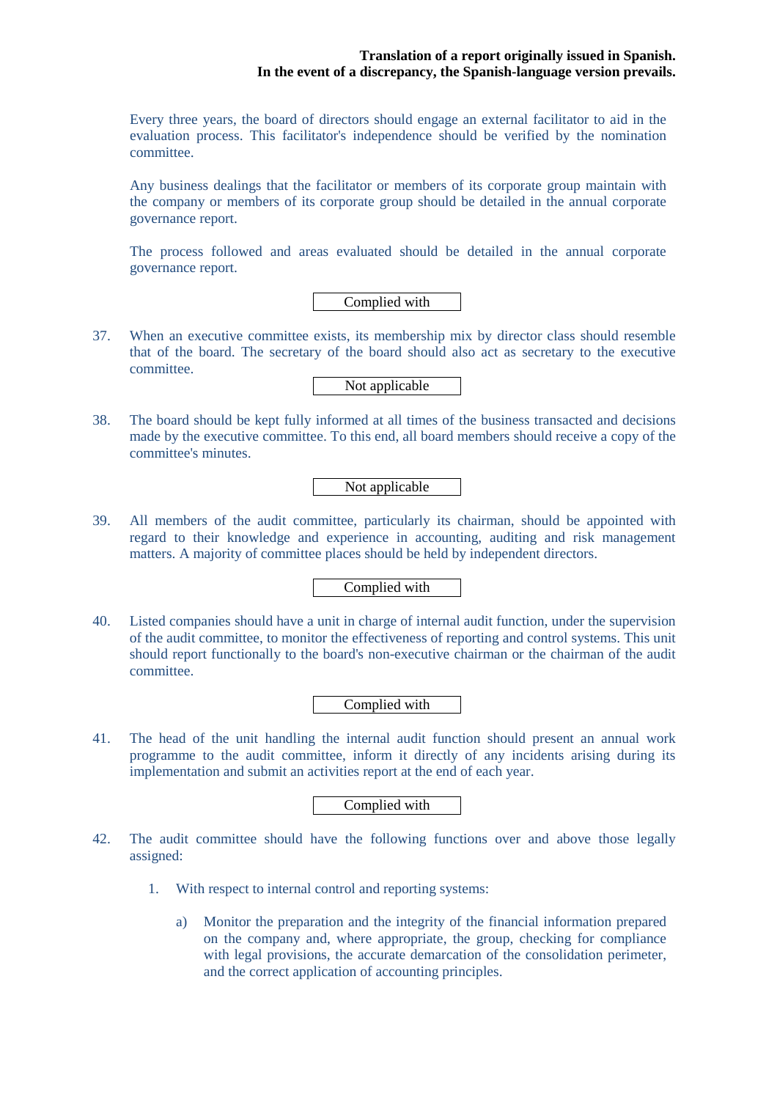Every three years, the board of directors should engage an external facilitator to aid in the evaluation process. This facilitator's independence should be verified by the nomination committee.

Any business dealings that the facilitator or members of its corporate group maintain with the company or members of its corporate group should be detailed in the annual corporate governance report.

The process followed and areas evaluated should be detailed in the annual corporate governance report.

Complied with

37. When an executive committee exists, its membership mix by director class should resemble that of the board. The secretary of the board should also act as secretary to the executive committee.

Not applicable

38. The board should be kept fully informed at all times of the business transacted and decisions made by the executive committee. To this end, all board members should receive a copy of the committee's minutes.

Not applicable

39. All members of the audit committee, particularly its chairman, should be appointed with regard to their knowledge and experience in accounting, auditing and risk management matters. A majority of committee places should be held by independent directors.

Complied with

40. Listed companies should have a unit in charge of internal audit function, under the supervision of the audit committee, to monitor the effectiveness of reporting and control systems. This unit should report functionally to the board's non-executive chairman or the chairman of the audit committee.

Complied with

41. The head of the unit handling the internal audit function should present an annual work programme to the audit committee, inform it directly of any incidents arising during its implementation and submit an activities report at the end of each year.

Complied with

- 42. The audit committee should have the following functions over and above those legally assigned:
	- 1. With respect to internal control and reporting systems:
		- a) Monitor the preparation and the integrity of the financial information prepared on the company and, where appropriate, the group, checking for compliance with legal provisions, the accurate demarcation of the consolidation perimeter, and the correct application of accounting principles.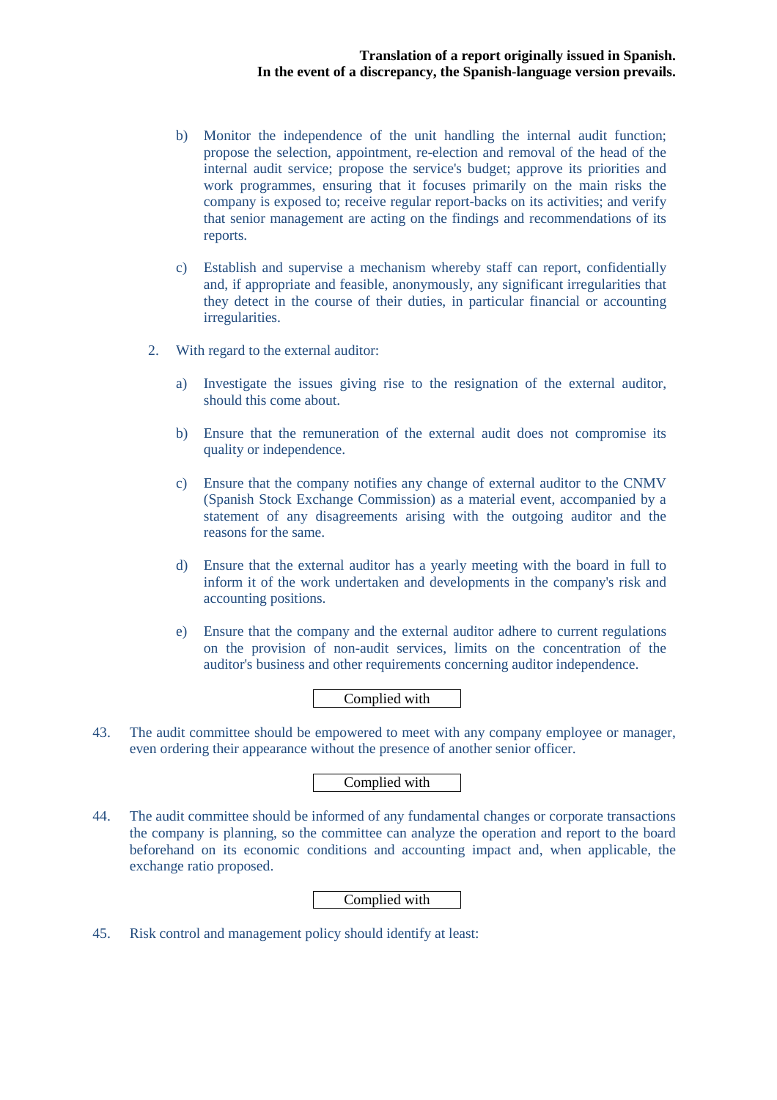- b) Monitor the independence of the unit handling the internal audit function; propose the selection, appointment, re-election and removal of the head of the internal audit service; propose the service's budget; approve its priorities and work programmes, ensuring that it focuses primarily on the main risks the company is exposed to; receive regular report-backs on its activities; and verify that senior management are acting on the findings and recommendations of its reports.
- c) Establish and supervise a mechanism whereby staff can report, confidentially and, if appropriate and feasible, anonymously, any significant irregularities that they detect in the course of their duties, in particular financial or accounting irregularities.
- 2. With regard to the external auditor:
	- a) Investigate the issues giving rise to the resignation of the external auditor, should this come about.
	- b) Ensure that the remuneration of the external audit does not compromise its quality or independence.
	- c) Ensure that the company notifies any change of external auditor to the CNMV (Spanish Stock Exchange Commission) as a material event, accompanied by a statement of any disagreements arising with the outgoing auditor and the reasons for the same.
	- d) Ensure that the external auditor has a yearly meeting with the board in full to inform it of the work undertaken and developments in the company's risk and accounting positions.
	- e) Ensure that the company and the external auditor adhere to current regulations on the provision of non-audit services, limits on the concentration of the auditor's business and other requirements concerning auditor independence.

## Complied with

43. The audit committee should be empowered to meet with any company employee or manager, even ordering their appearance without the presence of another senior officer.

# Complied with

44. The audit committee should be informed of any fundamental changes or corporate transactions the company is planning, so the committee can analyze the operation and report to the board beforehand on its economic conditions and accounting impact and, when applicable, the exchange ratio proposed.

Complied with

45. Risk control and management policy should identify at least: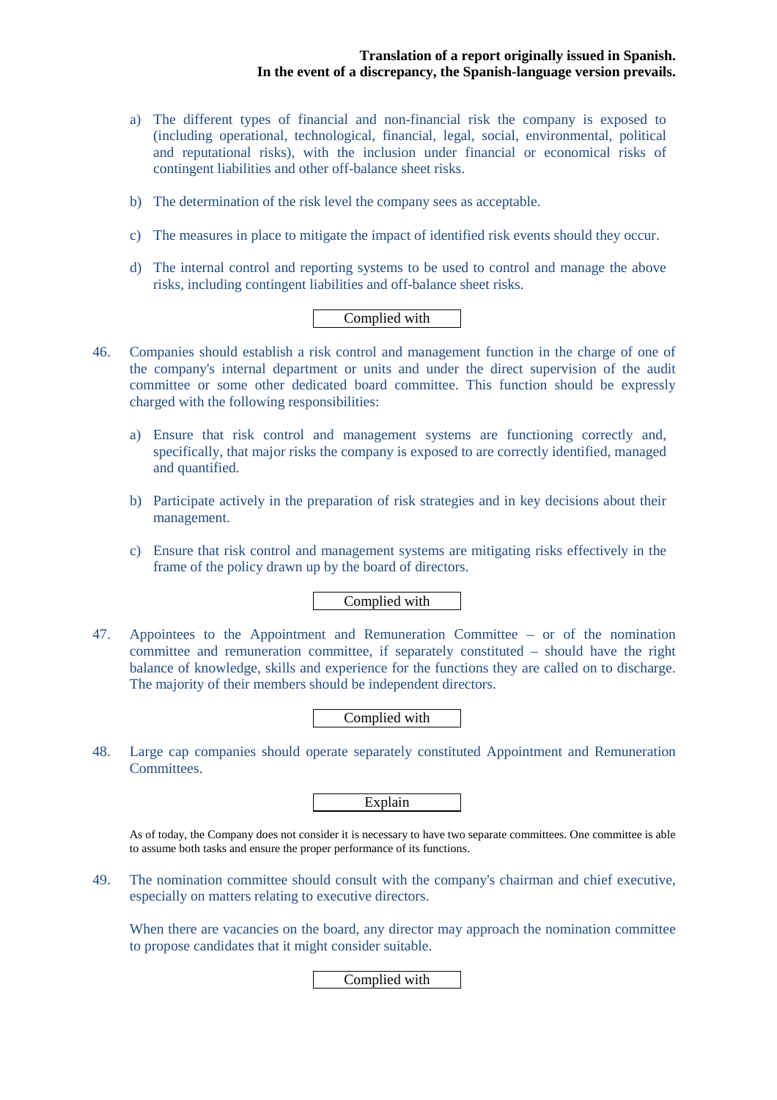- a) The different types of financial and non-financial risk the company is exposed to (including operational, technological, financial, legal, social, environmental, political and reputational risks), with the inclusion under financial or economical risks of contingent liabilities and other off-balance sheet risks.
- b) The determination of the risk level the company sees as acceptable.
- c) The measures in place to mitigate the impact of identified risk events should they occur.
- d) The internal control and reporting systems to be used to control and manage the above risks, including contingent liabilities and off-balance sheet risks.

# Complied with

- 46. Companies should establish a risk control and management function in the charge of one of the company's internal department or units and under the direct supervision of the audit committee or some other dedicated board committee. This function should be expressly charged with the following responsibilities:
	- a) Ensure that risk control and management systems are functioning correctly and, specifically, that major risks the company is exposed to are correctly identified, managed and quantified.
	- b) Participate actively in the preparation of risk strategies and in key decisions about their management.
	- c) Ensure that risk control and management systems are mitigating risks effectively in the frame of the policy drawn up by the board of directors.

# Complied with

47. Appointees to the Appointment and Remuneration Committee – or of the nomination committee and remuneration committee, if separately constituted – should have the right balance of knowledge, skills and experience for the functions they are called on to discharge. The majority of their members should be independent directors.

## Complied with

48. Large cap companies should operate separately constituted Appointment and Remuneration Committees.

Explain

As of today, the Company does not consider it is necessary to have two separate committees. One committee is able to assume both tasks and ensure the proper performance of its functions.

49. The nomination committee should consult with the company's chairman and chief executive, especially on matters relating to executive directors.

When there are vacancies on the board, any director may approach the nomination committee to propose candidates that it might consider suitable.

## Complied with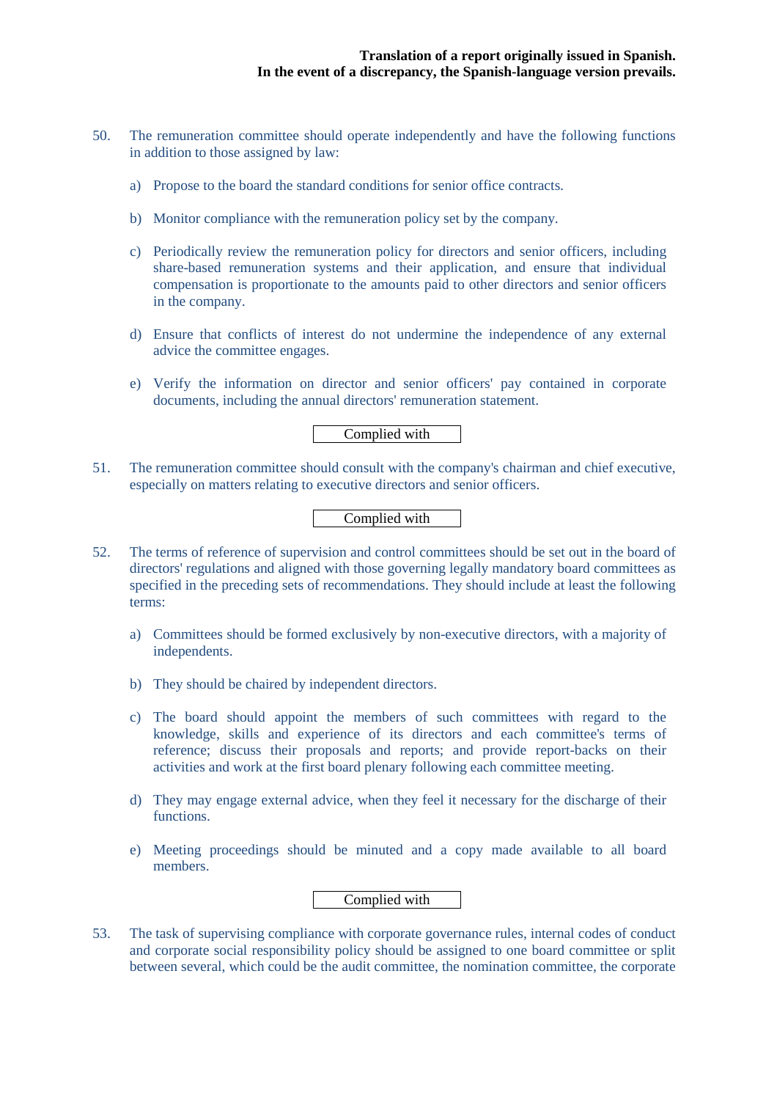- 50. The remuneration committee should operate independently and have the following functions in addition to those assigned by law:
	- a) Propose to the board the standard conditions for senior office contracts.
	- b) Monitor compliance with the remuneration policy set by the company.
	- c) Periodically review the remuneration policy for directors and senior officers, including share-based remuneration systems and their application, and ensure that individual compensation is proportionate to the amounts paid to other directors and senior officers in the company.
	- d) Ensure that conflicts of interest do not undermine the independence of any external advice the committee engages.
	- e) Verify the information on director and senior officers' pay contained in corporate documents, including the annual directors' remuneration statement.

# Complied with

51. The remuneration committee should consult with the company's chairman and chief executive, especially on matters relating to executive directors and senior officers.

#### Complied with

- 52. The terms of reference of supervision and control committees should be set out in the board of directors' regulations and aligned with those governing legally mandatory board committees as specified in the preceding sets of recommendations. They should include at least the following terms:
	- a) Committees should be formed exclusively by non-executive directors, with a majority of independents.
	- b) They should be chaired by independent directors.
	- c) The board should appoint the members of such committees with regard to the knowledge, skills and experience of its directors and each committee's terms of reference; discuss their proposals and reports; and provide report-backs on their activities and work at the first board plenary following each committee meeting.
	- d) They may engage external advice, when they feel it necessary for the discharge of their functions.
	- e) Meeting proceedings should be minuted and a copy made available to all board members.

Complied with

53. The task of supervising compliance with corporate governance rules, internal codes of conduct and corporate social responsibility policy should be assigned to one board committee or split between several, which could be the audit committee, the nomination committee, the corporate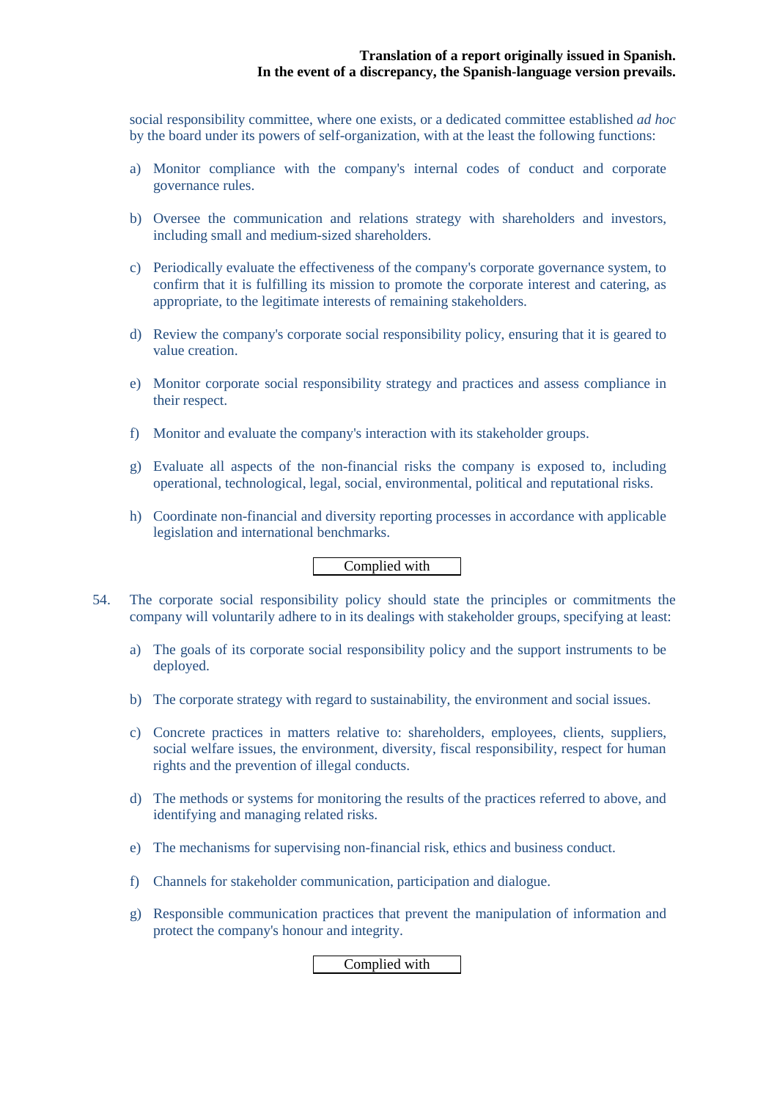social responsibility committee, where one exists, or a dedicated committee established *ad hoc* by the board under its powers of self-organization, with at the least the following functions:

- a) Monitor compliance with the company's internal codes of conduct and corporate governance rules.
- b) Oversee the communication and relations strategy with shareholders and investors, including small and medium-sized shareholders.
- c) Periodically evaluate the effectiveness of the company's corporate governance system, to confirm that it is fulfilling its mission to promote the corporate interest and catering, as appropriate, to the legitimate interests of remaining stakeholders.
- d) Review the company's corporate social responsibility policy, ensuring that it is geared to value creation.
- e) Monitor corporate social responsibility strategy and practices and assess compliance in their respect.
- f) Monitor and evaluate the company's interaction with its stakeholder groups.
- g) Evaluate all aspects of the non-financial risks the company is exposed to, including operational, technological, legal, social, environmental, political and reputational risks.
- h) Coordinate non-financial and diversity reporting processes in accordance with applicable legislation and international benchmarks.

Complied with

- 54. The corporate social responsibility policy should state the principles or commitments the company will voluntarily adhere to in its dealings with stakeholder groups, specifying at least:
	- a) The goals of its corporate social responsibility policy and the support instruments to be deployed.
	- b) The corporate strategy with regard to sustainability, the environment and social issues.
	- c) Concrete practices in matters relative to: shareholders, employees, clients, suppliers, social welfare issues, the environment, diversity, fiscal responsibility, respect for human rights and the prevention of illegal conducts.
	- d) The methods or systems for monitoring the results of the practices referred to above, and identifying and managing related risks.
	- e) The mechanisms for supervising non-financial risk, ethics and business conduct.
	- f) Channels for stakeholder communication, participation and dialogue.
	- g) Responsible communication practices that prevent the manipulation of information and protect the company's honour and integrity.

Complied with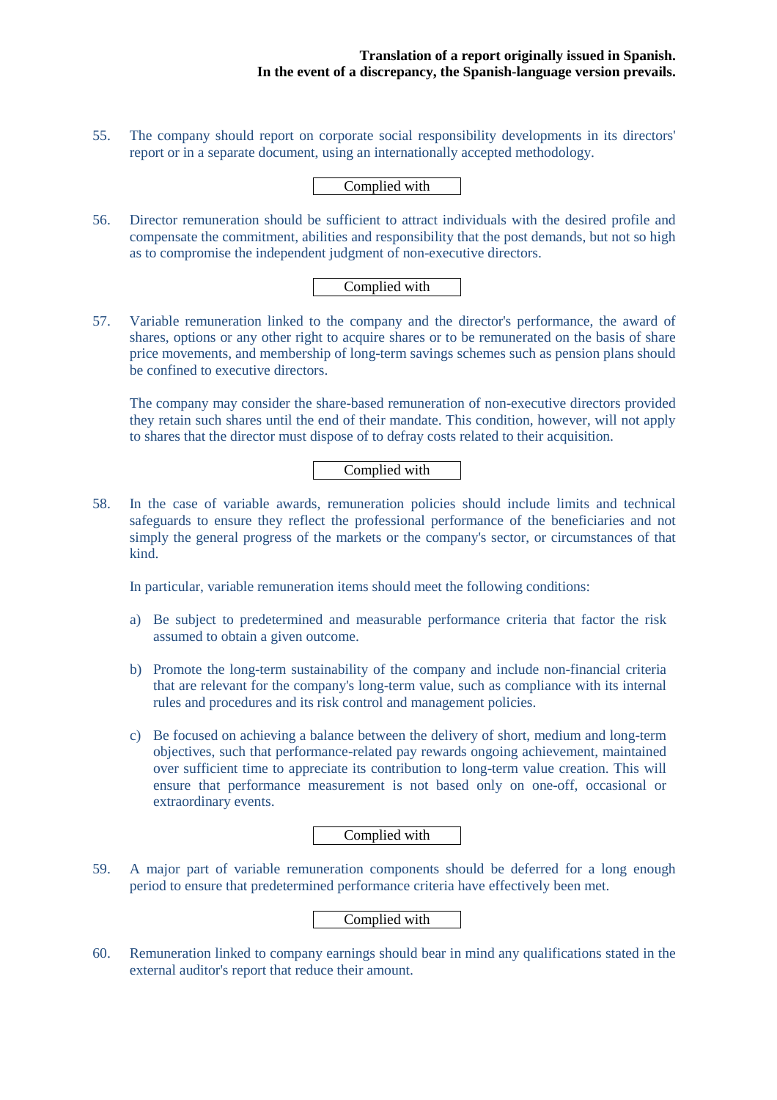55. The company should report on corporate social responsibility developments in its directors' report or in a separate document, using an internationally accepted methodology.

Complied with

56. Director remuneration should be sufficient to attract individuals with the desired profile and compensate the commitment, abilities and responsibility that the post demands, but not so high as to compromise the independent judgment of non-executive directors.

# Complied with

57. Variable remuneration linked to the company and the director's performance, the award of shares, options or any other right to acquire shares or to be remunerated on the basis of share price movements, and membership of long-term savings schemes such as pension plans should be confined to executive directors.

The company may consider the share-based remuneration of non-executive directors provided they retain such shares until the end of their mandate. This condition, however, will not apply to shares that the director must dispose of to defray costs related to their acquisition.

# Complied with

58. In the case of variable awards, remuneration policies should include limits and technical safeguards to ensure they reflect the professional performance of the beneficiaries and not simply the general progress of the markets or the company's sector, or circumstances of that kind.

In particular, variable remuneration items should meet the following conditions:

- a) Be subject to predetermined and measurable performance criteria that factor the risk assumed to obtain a given outcome.
- b) Promote the long-term sustainability of the company and include non-financial criteria that are relevant for the company's long-term value, such as compliance with its internal rules and procedures and its risk control and management policies.
- c) Be focused on achieving a balance between the delivery of short, medium and long-term objectives, such that performance-related pay rewards ongoing achievement, maintained over sufficient time to appreciate its contribution to long-term value creation. This will ensure that performance measurement is not based only on one-off, occasional or extraordinary events.

## Complied with

59. A major part of variable remuneration components should be deferred for a long enough period to ensure that predetermined performance criteria have effectively been met.

## Complied with

60. Remuneration linked to company earnings should bear in mind any qualifications stated in the external auditor's report that reduce their amount.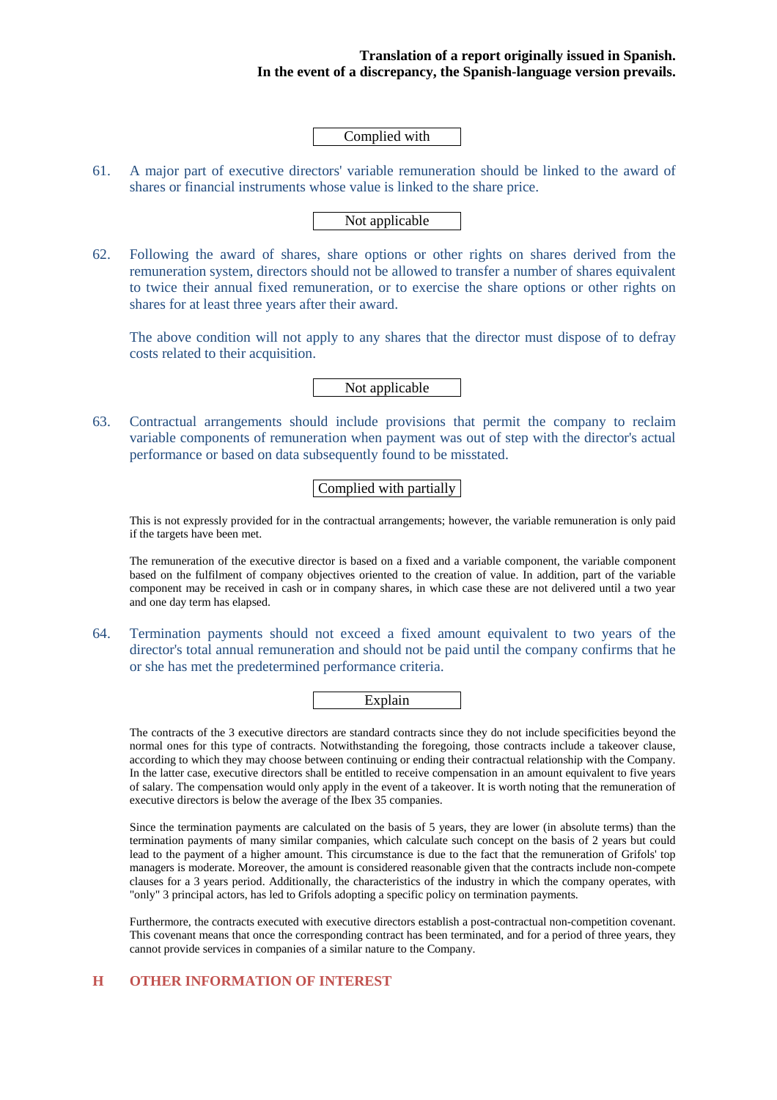Complied with

61. A major part of executive directors' variable remuneration should be linked to the award of shares or financial instruments whose value is linked to the share price.

#### Not applicable

62. Following the award of shares, share options or other rights on shares derived from the remuneration system, directors should not be allowed to transfer a number of shares equivalent to twice their annual fixed remuneration, or to exercise the share options or other rights on shares for at least three years after their award.

The above condition will not apply to any shares that the director must dispose of to defray costs related to their acquisition.

Not applicable

63. Contractual arrangements should include provisions that permit the company to reclaim variable components of remuneration when payment was out of step with the director's actual performance or based on data subsequently found to be misstated.

# Complied with partially

This is not expressly provided for in the contractual arrangements; however, the variable remuneration is only paid if the targets have been met.

The remuneration of the executive director is based on a fixed and a variable component, the variable component based on the fulfilment of company objectives oriented to the creation of value. In addition, part of the variable component may be received in cash or in company shares, in which case these are not delivered until a two year and one day term has elapsed.

64. Termination payments should not exceed a fixed amount equivalent to two years of the director's total annual remuneration and should not be paid until the company confirms that he or she has met the predetermined performance criteria.

Explain

The contracts of the 3 executive directors are standard contracts since they do not include specificities beyond the normal ones for this type of contracts. Notwithstanding the foregoing, those contracts include a takeover clause, according to which they may choose between continuing or ending their contractual relationship with the Company. In the latter case, executive directors shall be entitled to receive compensation in an amount equivalent to five years of salary. The compensation would only apply in the event of a takeover. It is worth noting that the remuneration of executive directors is below the average of the Ibex 35 companies.

Since the termination payments are calculated on the basis of 5 years, they are lower (in absolute terms) than the termination payments of many similar companies, which calculate such concept on the basis of 2 years but could lead to the payment of a higher amount. This circumstance is due to the fact that the remuneration of Grifols' top managers is moderate. Moreover, the amount is considered reasonable given that the contracts include non-compete clauses for a 3 years period. Additionally, the characteristics of the industry in which the company operates, with "only" 3 principal actors, has led to Grifols adopting a specific policy on termination payments.

Furthermore, the contracts executed with executive directors establish a post-contractual non-competition covenant. This covenant means that once the corresponding contract has been terminated, and for a period of three years, they cannot provide services in companies of a similar nature to the Company.

#### **H OTHER INFORMATION OF INTEREST**